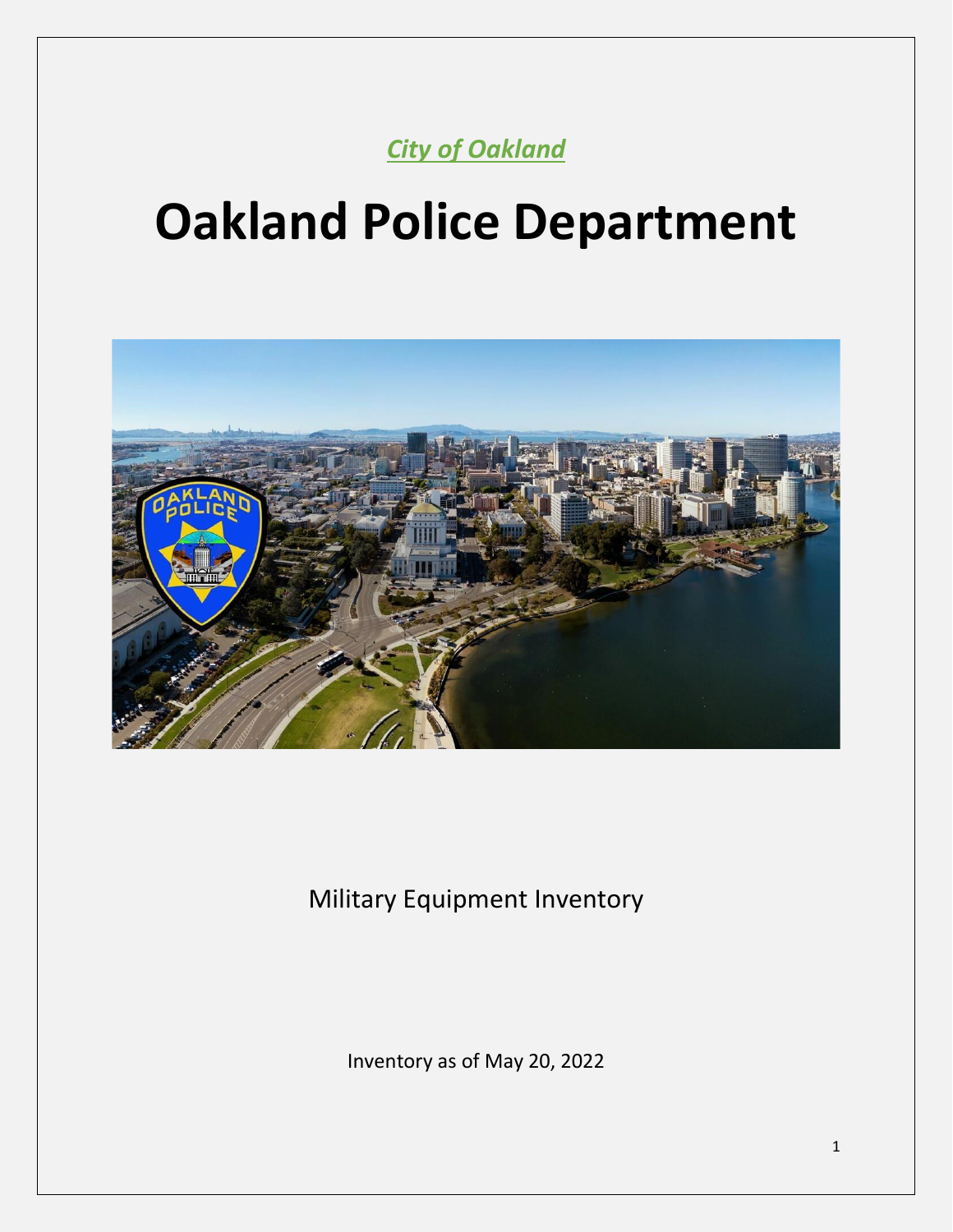*City of Oakland*

# **Oakland Police Department**



Military Equipment Inventory

Inventory as of May 20, 2022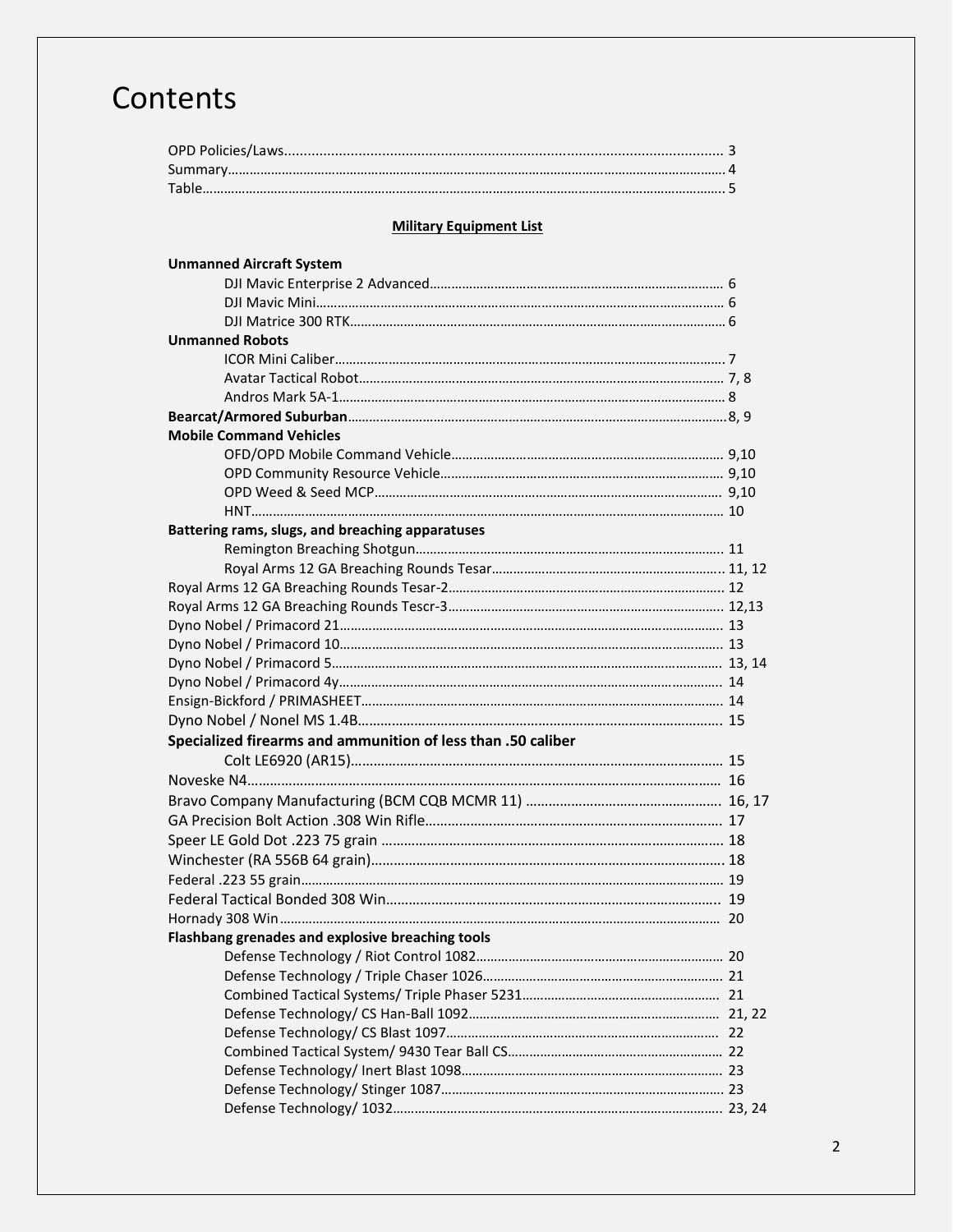## **Contents**

#### **Military Equipment List**

| <b>Unmanned Robots</b><br><b>Mobile Command Vehicles</b><br>Battering rams, slugs, and breaching apparatuses |
|--------------------------------------------------------------------------------------------------------------|
|                                                                                                              |
|                                                                                                              |
|                                                                                                              |
|                                                                                                              |
|                                                                                                              |
|                                                                                                              |
|                                                                                                              |
|                                                                                                              |
|                                                                                                              |
|                                                                                                              |
|                                                                                                              |
|                                                                                                              |
|                                                                                                              |
|                                                                                                              |
|                                                                                                              |
|                                                                                                              |
|                                                                                                              |
|                                                                                                              |
|                                                                                                              |
|                                                                                                              |
|                                                                                                              |
|                                                                                                              |
|                                                                                                              |
|                                                                                                              |
| Specialized firearms and ammunition of less than .50 caliber                                                 |
|                                                                                                              |
|                                                                                                              |
|                                                                                                              |
|                                                                                                              |
|                                                                                                              |
|                                                                                                              |
|                                                                                                              |
|                                                                                                              |
|                                                                                                              |
|                                                                                                              |
| Flashbang grenades and explosive breaching tools                                                             |
|                                                                                                              |
|                                                                                                              |
|                                                                                                              |
|                                                                                                              |
|                                                                                                              |
|                                                                                                              |
|                                                                                                              |
|                                                                                                              |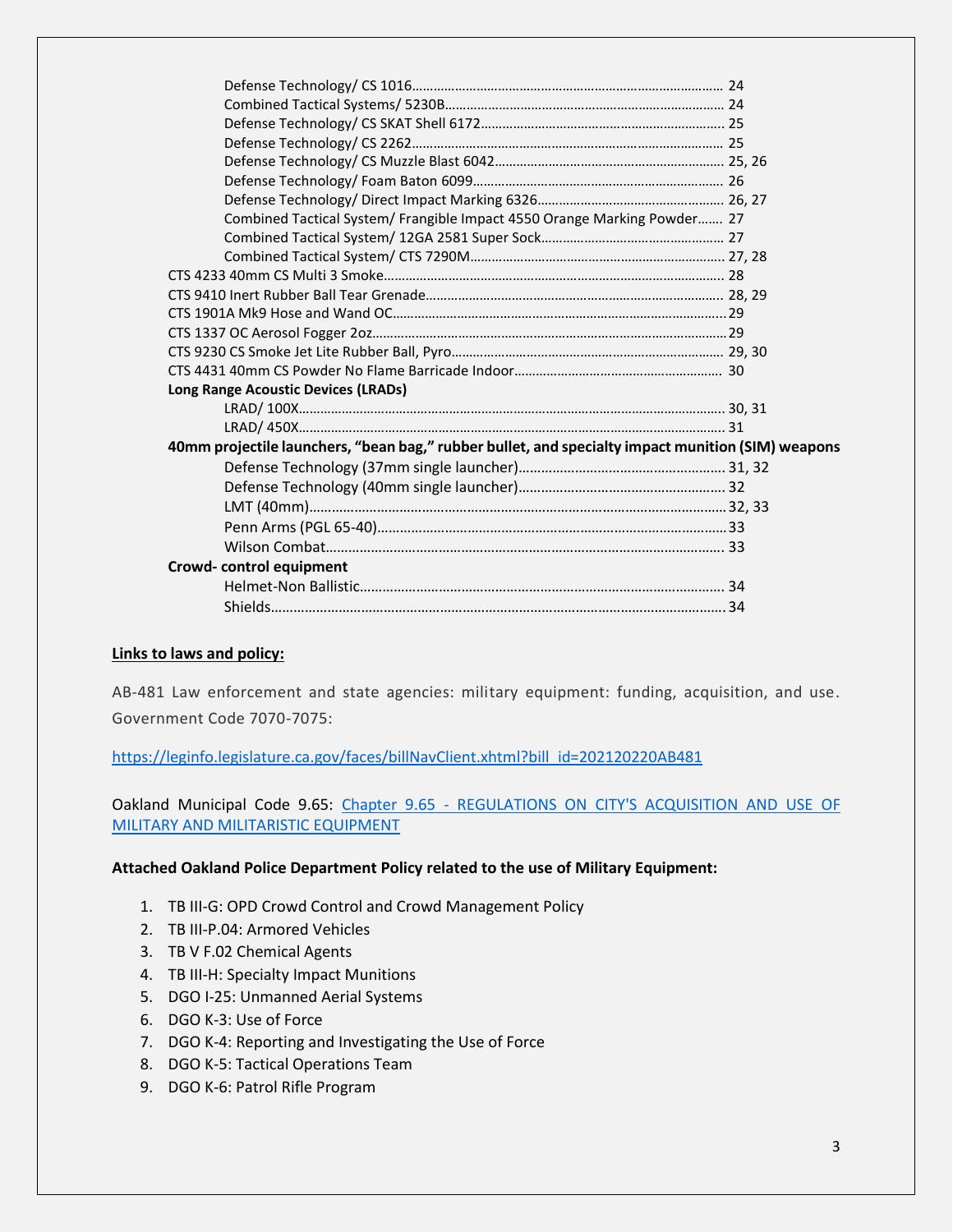| Combined Tactical System/ Frangible Impact 4550 Orange Marking Powder 27                          |  |
|---------------------------------------------------------------------------------------------------|--|
|                                                                                                   |  |
|                                                                                                   |  |
|                                                                                                   |  |
|                                                                                                   |  |
|                                                                                                   |  |
|                                                                                                   |  |
|                                                                                                   |  |
|                                                                                                   |  |
| <b>Long Range Acoustic Devices (LRADs)</b>                                                        |  |
|                                                                                                   |  |
|                                                                                                   |  |
| 40mm projectile launchers, "bean bag," rubber bullet, and specialty impact munition (SIM) weapons |  |
|                                                                                                   |  |
|                                                                                                   |  |
|                                                                                                   |  |
|                                                                                                   |  |
|                                                                                                   |  |
| Crowd-control equipment                                                                           |  |
|                                                                                                   |  |
|                                                                                                   |  |
|                                                                                                   |  |

#### **Links to laws and policy:**

AB-481 Law enforcement and state agencies: military equipment: funding, acquisition, and use. Government Code 7070-7075:

[https://leginfo.legislature.ca.gov/faces/billNavClient.xhtml?bill\\_id=202120220AB481](https://leginfo.legislature.ca.gov/faces/billNavClient.xhtml?bill_id=202120220AB481)

Oakland Municipal Code 9.65: Chapter 9.65 - [REGULATIONS ON CITY'S ACQUISITION AND USE OF](https://urldefense.proofpoint.com/v2/url?u=https-3A__library.municode.com_ca_oakland_codes_code-5Fof-5Fordinances_-3FnodeId-3DTIT9PUPEMOWE-5FCH9.65REACUSMIMIEQ&d=DwMCaQ&c=6ZboKdJzR8nZOqwBjhPnCw&r=oc93DiDmjddZS1StpRGDD9zr3mqoL1sG7cM5nhglI8Q&m=_Am1X8PczWIEW8hySEneZyv91iLp8K84jZFxKiurP2m44NAjQPvM7rAVFu58lveG&s=xD1azLdzfd-eOrLKUcqzpQx3KBuNrpMiCddAZkazV1w&e=)  [MILITARY AND MILITARISTIC EQUIPMENT](https://urldefense.proofpoint.com/v2/url?u=https-3A__library.municode.com_ca_oakland_codes_code-5Fof-5Fordinances_-3FnodeId-3DTIT9PUPEMOWE-5FCH9.65REACUSMIMIEQ&d=DwMCaQ&c=6ZboKdJzR8nZOqwBjhPnCw&r=oc93DiDmjddZS1StpRGDD9zr3mqoL1sG7cM5nhglI8Q&m=_Am1X8PczWIEW8hySEneZyv91iLp8K84jZFxKiurP2m44NAjQPvM7rAVFu58lveG&s=xD1azLdzfd-eOrLKUcqzpQx3KBuNrpMiCddAZkazV1w&e=)

#### **Attached Oakland Police Department Policy related to the use of Military Equipment:**

- 1. TB III-G: OPD Crowd Control and Crowd Management Policy
- 2. TB III-P.04: Armored Vehicles
- 3. TB V F.02 Chemical Agents
- 4. TB III-H: Specialty Impact Munitions
- 5. DGO I-25: Unmanned Aerial Systems
- 6. DGO K-3: Use of Force
- 7. DGO K-4: Reporting and Investigating the Use of Force
- 8. DGO K-5: Tactical Operations Team
- 9. DGO K-6: Patrol Rifle Program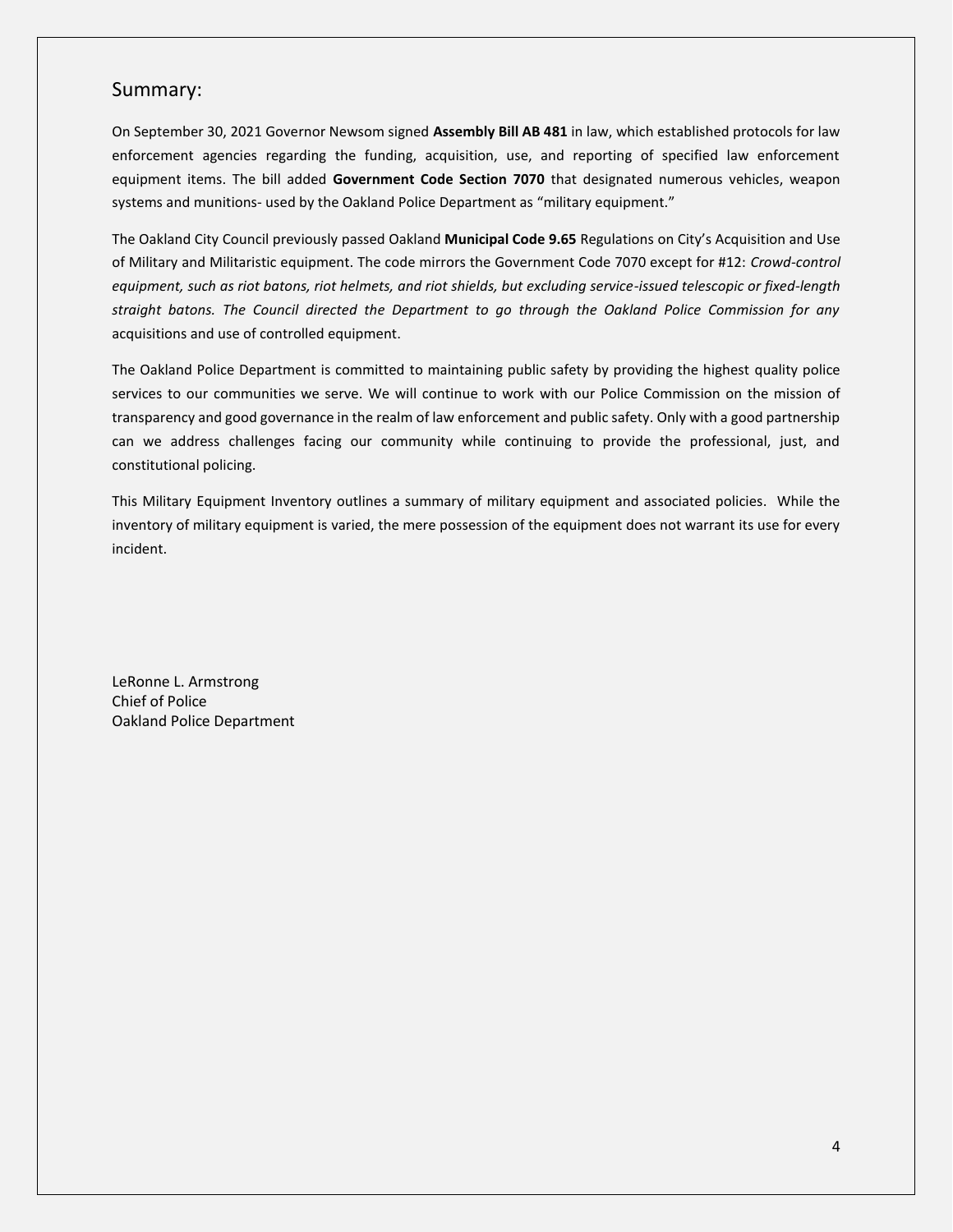#### Summary:

On September 30, 2021 Governor Newsom signed **Assembly Bill AB 481** in law, which established protocols for law enforcement agencies regarding the funding, acquisition, use, and reporting of specified law enforcement equipment items. The bill added **Government Code Section 7070** that designated numerous vehicles, weapon systems and munitions- used by the Oakland Police Department as "military equipment."

The Oakland City Council previously passed Oakland **Municipal Code 9.65** Regulations on City's Acquisition and Use of Military and Militaristic equipment. The code mirrors the Government Code 7070 except for #12: *Crowd-control equipment, such as riot batons, riot helmets, and riot shields, but excluding service-issued telescopic or fixed-length straight batons. The Council directed the Department to go through the Oakland Police Commission for any*  acquisitions and use of controlled equipment.

The Oakland Police Department is committed to maintaining public safety by providing the highest quality police services to our communities we serve. We will continue to work with our Police Commission on the mission of transparency and good governance in the realm of law enforcement and public safety. Only with a good partnership can we address challenges facing our community while continuing to provide the professional, just, and constitutional policing.

This Military Equipment Inventory outlines a summary of military equipment and associated policies. While the inventory of military equipment is varied, the mere possession of the equipment does not warrant its use for every incident.

LeRonne L. Armstrong Chief of Police Oakland Police Department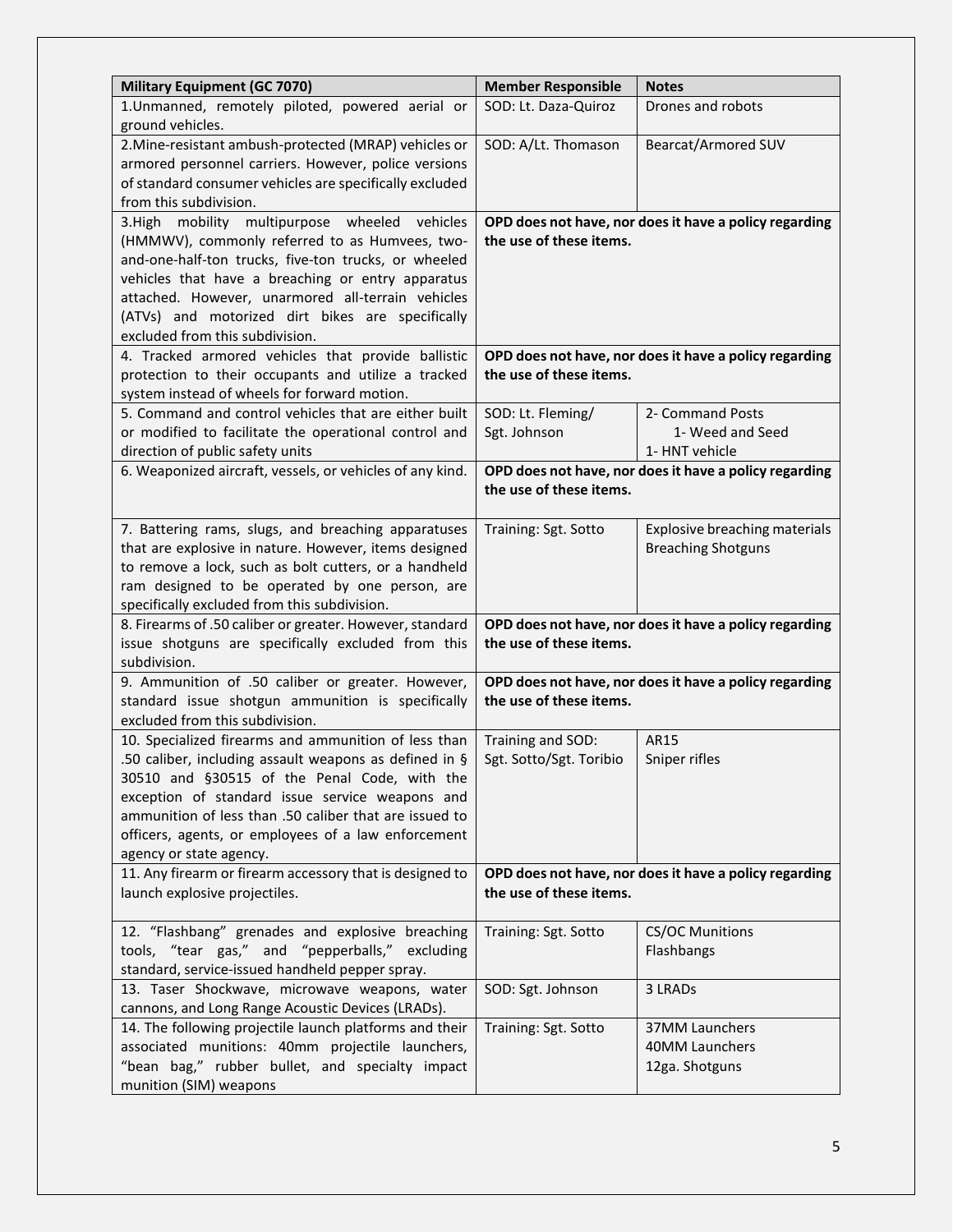| <b>Military Equipment (GC 7070)</b>                                | <b>Member Responsible</b> | <b>Notes</b>                                           |
|--------------------------------------------------------------------|---------------------------|--------------------------------------------------------|
| 1.Unmanned, remotely piloted, powered aerial or                    | SOD: Lt. Daza-Quiroz      | Drones and robots                                      |
| ground vehicles.                                                   |                           |                                                        |
| 2. Mine-resistant ambush-protected (MRAP) vehicles or              | SOD: A/Lt. Thomason       | <b>Bearcat/Armored SUV</b>                             |
| armored personnel carriers. However, police versions               |                           |                                                        |
| of standard consumer vehicles are specifically excluded            |                           |                                                        |
| from this subdivision.                                             |                           |                                                        |
| 3.High mobility multipurpose wheeled vehicles                      |                           | OPD does not have, nor does it have a policy regarding |
| (HMMWV), commonly referred to as Humvees, two-                     | the use of these items.   |                                                        |
| and-one-half-ton trucks, five-ton trucks, or wheeled               |                           |                                                        |
| vehicles that have a breaching or entry apparatus                  |                           |                                                        |
| attached. However, unarmored all-terrain vehicles                  |                           |                                                        |
| (ATVs) and motorized dirt bikes are specifically                   |                           |                                                        |
| excluded from this subdivision.                                    |                           |                                                        |
| 4. Tracked armored vehicles that provide ballistic                 |                           | OPD does not have, nor does it have a policy regarding |
| protection to their occupants and utilize a tracked                | the use of these items.   |                                                        |
| system instead of wheels for forward motion.                       |                           |                                                        |
| 5. Command and control vehicles that are either built              | SOD: Lt. Fleming/         | 2- Command Posts                                       |
| or modified to facilitate the operational control and              | Sgt. Johnson              | 1- Weed and Seed                                       |
| direction of public safety units                                   |                           | 1- HNT vehicle                                         |
| 6. Weaponized aircraft, vessels, or vehicles of any kind.          |                           | OPD does not have, nor does it have a policy regarding |
|                                                                    | the use of these items.   |                                                        |
|                                                                    |                           |                                                        |
| 7. Battering rams, slugs, and breaching apparatuses                | Training: Sgt. Sotto      | Explosive breaching materials                          |
| that are explosive in nature. However, items designed              |                           | <b>Breaching Shotguns</b>                              |
| to remove a lock, such as bolt cutters, or a handheld              |                           |                                                        |
| ram designed to be operated by one person, are                     |                           |                                                        |
| specifically excluded from this subdivision.                       |                           |                                                        |
| 8. Firearms of .50 caliber or greater. However, standard           |                           | OPD does not have, nor does it have a policy regarding |
| issue shotguns are specifically excluded from this<br>subdivision. | the use of these items.   |                                                        |
| 9. Ammunition of .50 caliber or greater. However,                  |                           | OPD does not have, nor does it have a policy regarding |
| standard issue shotgun ammunition is specifically                  | the use of these items.   |                                                        |
| excluded from this subdivision.                                    |                           |                                                        |
| 10. Specialized firearms and ammunition of less than               | Training and SOD:         | AR15                                                   |
| .50 caliber, including assault weapons as defined in §             | Sgt. Sotto/Sgt. Toribio   | Sniper rifles                                          |
| 30510 and §30515 of the Penal Code, with the                       |                           |                                                        |
| exception of standard issue service weapons and                    |                           |                                                        |
| ammunition of less than .50 caliber that are issued to             |                           |                                                        |
| officers, agents, or employees of a law enforcement                |                           |                                                        |
| agency or state agency.                                            |                           |                                                        |
| 11. Any firearm or firearm accessory that is designed to           |                           | OPD does not have, nor does it have a policy regarding |
| launch explosive projectiles.                                      | the use of these items.   |                                                        |
|                                                                    |                           |                                                        |
| 12. "Flashbang" grenades and explosive breaching                   | Training: Sgt. Sotto      | <b>CS/OC Munitions</b>                                 |
| tools, "tear gas," and "pepperballs," excluding                    |                           | Flashbangs                                             |
| standard, service-issued handheld pepper spray.                    |                           |                                                        |
| 13. Taser Shockwave, microwave weapons, water                      | SOD: Sgt. Johnson         | 3 LRADs                                                |
| cannons, and Long Range Acoustic Devices (LRADs).                  |                           |                                                        |
| 14. The following projectile launch platforms and their            | Training: Sgt. Sotto      | 37MM Launchers                                         |
| associated munitions: 40mm projectile launchers,                   |                           | 40MM Launchers                                         |
| "bean bag," rubber bullet, and specialty impact                    |                           | 12ga. Shotguns                                         |
| munition (SIM) weapons                                             |                           |                                                        |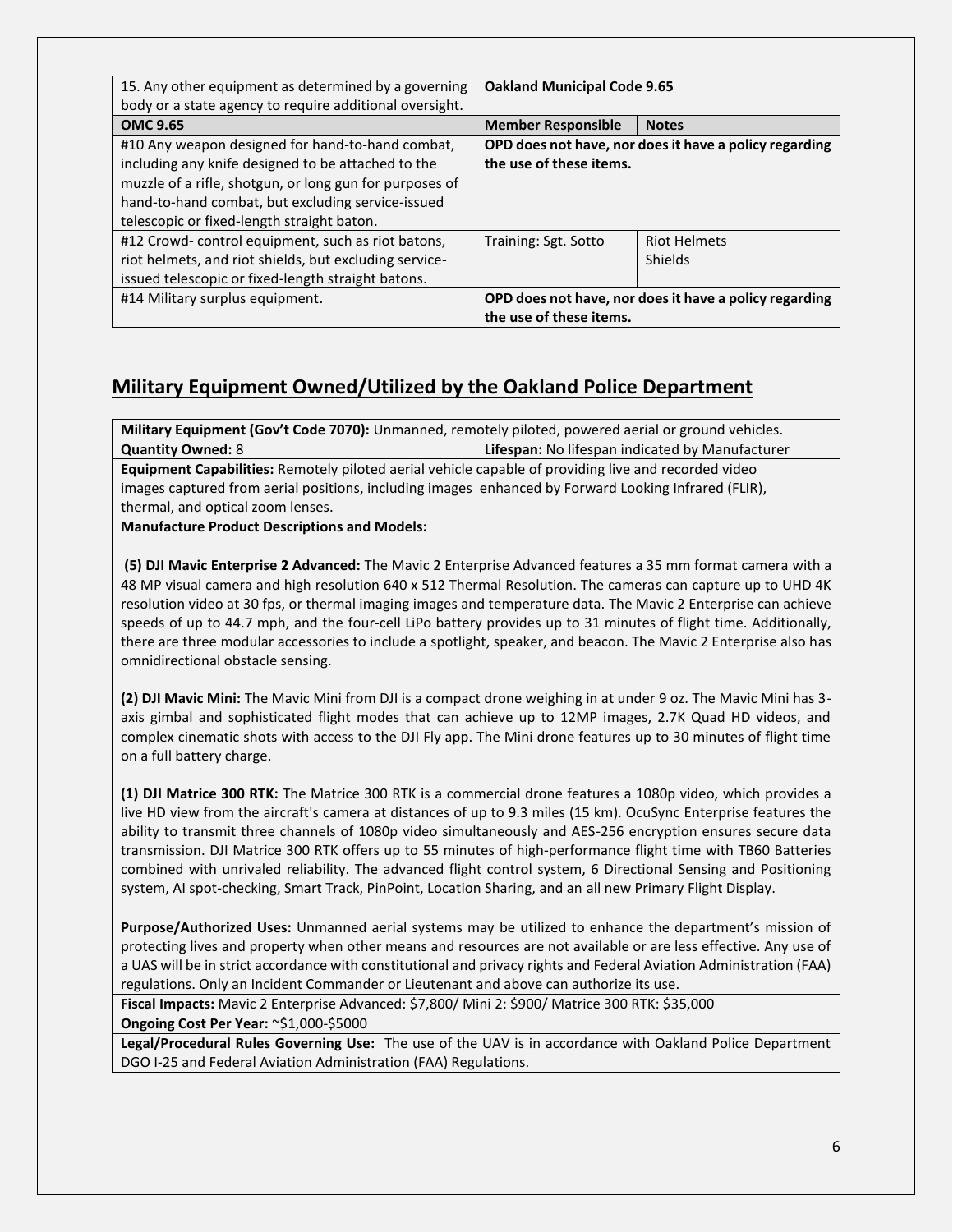| 15. Any other equipment as determined by a governing<br>body or a state agency to require additional oversight.                                                                                                                                                      | <b>Oakland Municipal Code 9.65</b> |                                                        |
|----------------------------------------------------------------------------------------------------------------------------------------------------------------------------------------------------------------------------------------------------------------------|------------------------------------|--------------------------------------------------------|
| <b>OMC 9.65</b>                                                                                                                                                                                                                                                      | <b>Member Responsible</b>          | <b>Notes</b>                                           |
| #10 Any weapon designed for hand-to-hand combat,<br>including any knife designed to be attached to the<br>muzzle of a rifle, shotgun, or long gun for purposes of<br>hand-to-hand combat, but excluding service-issued<br>telescopic or fixed-length straight baton. | the use of these items.            | OPD does not have, nor does it have a policy regarding |
| #12 Crowd-control equipment, such as riot batons,<br>riot helmets, and riot shields, but excluding service-<br>issued telescopic or fixed-length straight batons.                                                                                                    | Training: Sgt. Sotto               | <b>Riot Helmets</b><br>Shields                         |
| #14 Military surplus equipment.                                                                                                                                                                                                                                      | the use of these items.            | OPD does not have, nor does it have a policy regarding |

### **Military Equipment Owned/Utilized by the Oakland Police Department**

**Military Equipment (Gov't Code 7070):** Unmanned, remotely piloted, powered aerial or ground vehicles. **Quantity Owned:** 8 **Lifespan:** No lifespan indicated by Manufacturer

**Equipment Capabilities:** Remotely piloted aerial vehicle capable of providing live and recorded video images captured from aerial positions, including images enhanced by Forward Looking Infrared (FLIR), thermal, and optical zoom lenses.

**Manufacture Product Descriptions and Models:**

**(5) DJI Mavic Enterprise 2 Advanced:** The Mavic 2 Enterprise Advanced features a 35 mm format camera with a 48 MP visual camera and high resolution 640 x 512 Thermal Resolution. The cameras can capture up to UHD 4K resolution video at 30 fps, or thermal imaging images and temperature data. The Mavic 2 Enterprise can achieve speeds of up to 44.7 mph, and the four-cell LiPo battery provides up to 31 minutes of flight time. Additionally, there are three modular accessories to include a spotlight, speaker, and beacon. The Mavic 2 Enterprise also has omnidirectional obstacle sensing.

**(2) DJI Mavic Mini:** The Mavic Mini from DJI is a compact drone weighing in at under 9 oz. The Mavic Mini has 3 axis gimbal and sophisticated flight modes that can achieve up to 12MP images, 2.7K Quad HD videos, and complex cinematic shots with access to the DJI Fly app. The Mini drone features up to 30 minutes of flight time on a full battery charge.

**(1) DJI Matrice 300 RTK:** The Matrice 300 RTK is a commercial drone features a 1080p video, which provides a live HD view from the aircraft's camera at distances of up to 9.3 miles (15 km). OcuSync Enterprise features the ability to transmit three channels of 1080p video simultaneously and AES-256 encryption ensures secure data transmission. DJI Matrice 300 RTK offers up to 55 minutes of high-performance flight time with TB60 Batteries combined with unrivaled reliability. The advanced flight control system, 6 Directional Sensing and Positioning system, AI spot-checking, Smart Track, PinPoint, Location Sharing, and an all new Primary Flight Display.

**Purpose/Authorized Uses:** Unmanned aerial systems may be utilized to enhance the department's mission of protecting lives and property when other means and resources are not available or are less effective. Any use of a UAS will be in strict accordance with constitutional and privacy rights and Federal Aviation Administration (FAA) regulations. Only an Incident Commander or Lieutenant and above can authorize its use.

**Fiscal Impacts:** Mavic 2 Enterprise Advanced: \$7,800/ Mini 2: \$900/ Matrice 300 RTK: \$35,000

**Ongoing Cost Per Year:** ~\$1,000-\$5000

**Legal/Procedural Rules Governing Use:** The use of the UAV is in accordance with Oakland Police Department DGO I-25 and Federal Aviation Administration (FAA) Regulations.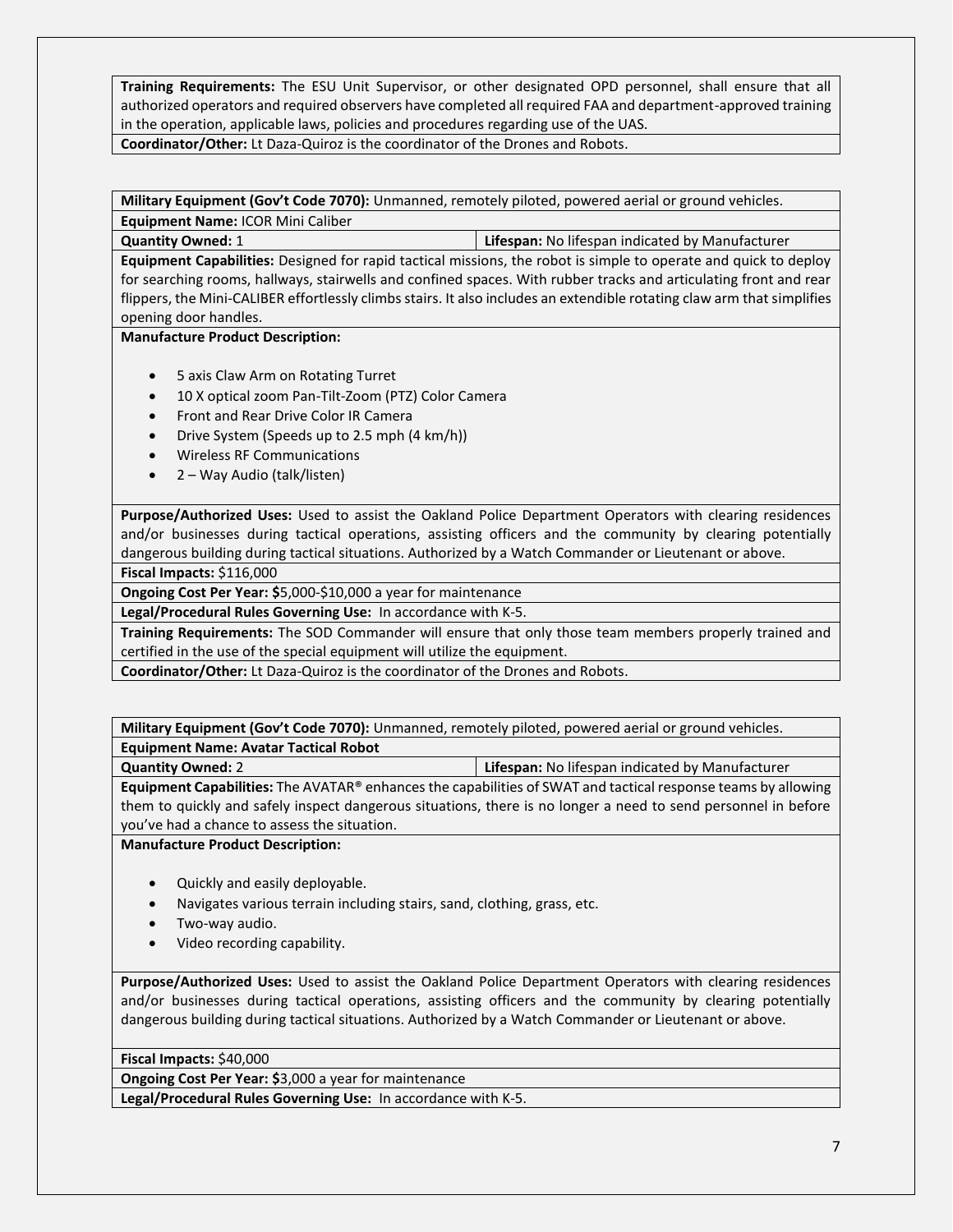**Training Requirements:** The ESU Unit Supervisor, or other designated OPD personnel, shall ensure that all authorized operators and required observers have completed all required FAA and department-approved training in the operation, applicable laws, policies and procedures regarding use of the UAS. **Coordinator/Other:** Lt Daza-Quiroz is the coordinator of the Drones and Robots.

**Military Equipment (Gov't Code 7070):** Unmanned, remotely piloted, powered aerial or ground vehicles. **Equipment Name:** ICOR Mini Caliber

**Quantity Owned:** 1 **Lifespan:** No lifespan indicated by Manufacturer

**Equipment Capabilities:** Designed for rapid tactical missions, the robot is simple to operate and quick to deploy for searching rooms, hallways, stairwells and confined spaces. With rubber tracks and articulating front and rear flippers, the Mini-CALIBER effortlessly climbs stairs. It also includes an extendible rotating claw arm that simplifies opening door handles.

#### **Manufacture Product Description:**

- 5 axis Claw Arm on Rotating Turret
- 10 X optical zoom Pan-Tilt-Zoom (PTZ) Color Camera
- Front and Rear Drive Color IR Camera
- Drive System (Speeds up to 2.5 mph (4 km/h))
- Wireless RF Communications
- 2 Way Audio (talk/listen)

**Purpose/Authorized Uses:** Used to assist the Oakland Police Department Operators with clearing residences and/or businesses during tactical operations, assisting officers and the community by clearing potentially dangerous building during tactical situations. Authorized by a Watch Commander or Lieutenant or above.

**Fiscal Impacts:** \$116,000

**Ongoing Cost Per Year: \$**5,000-\$10,000 a year for maintenance

**Legal/Procedural Rules Governing Use:** In accordance with K-5.

**Training Requirements:** The SOD Commander will ensure that only those team members properly trained and certified in the use of the special equipment will utilize the equipment.

**Coordinator/Other:** Lt Daza-Quiroz is the coordinator of the Drones and Robots.

**Military Equipment (Gov't Code 7070):** Unmanned, remotely piloted, powered aerial or ground vehicles. **Equipment Name: Avatar Tactical Robot**

**Quantity Owned:** 2 **Lifespan:** No lifespan indicated by Manufacturer

**Equipment Capabilities:** The AVATAR® enhances the capabilities of SWAT and tactical response teams by allowing them to quickly and safely inspect dangerous situations, there is no longer a need to send personnel in before you've had a chance to assess the situation.

**Manufacture Product Description:**

- Quickly and easily deployable.
- Navigates various terrain including stairs, sand, clothing, grass, etc.
- Two-way audio.
- Video recording capability.

**Purpose/Authorized Uses:** Used to assist the Oakland Police Department Operators with clearing residences and/or businesses during tactical operations, assisting officers and the community by clearing potentially dangerous building during tactical situations. Authorized by a Watch Commander or Lieutenant or above.

**Fiscal Impacts:** \$40,000

**Ongoing Cost Per Year: \$**3,000 a year for maintenance

**Legal/Procedural Rules Governing Use:** In accordance with K-5.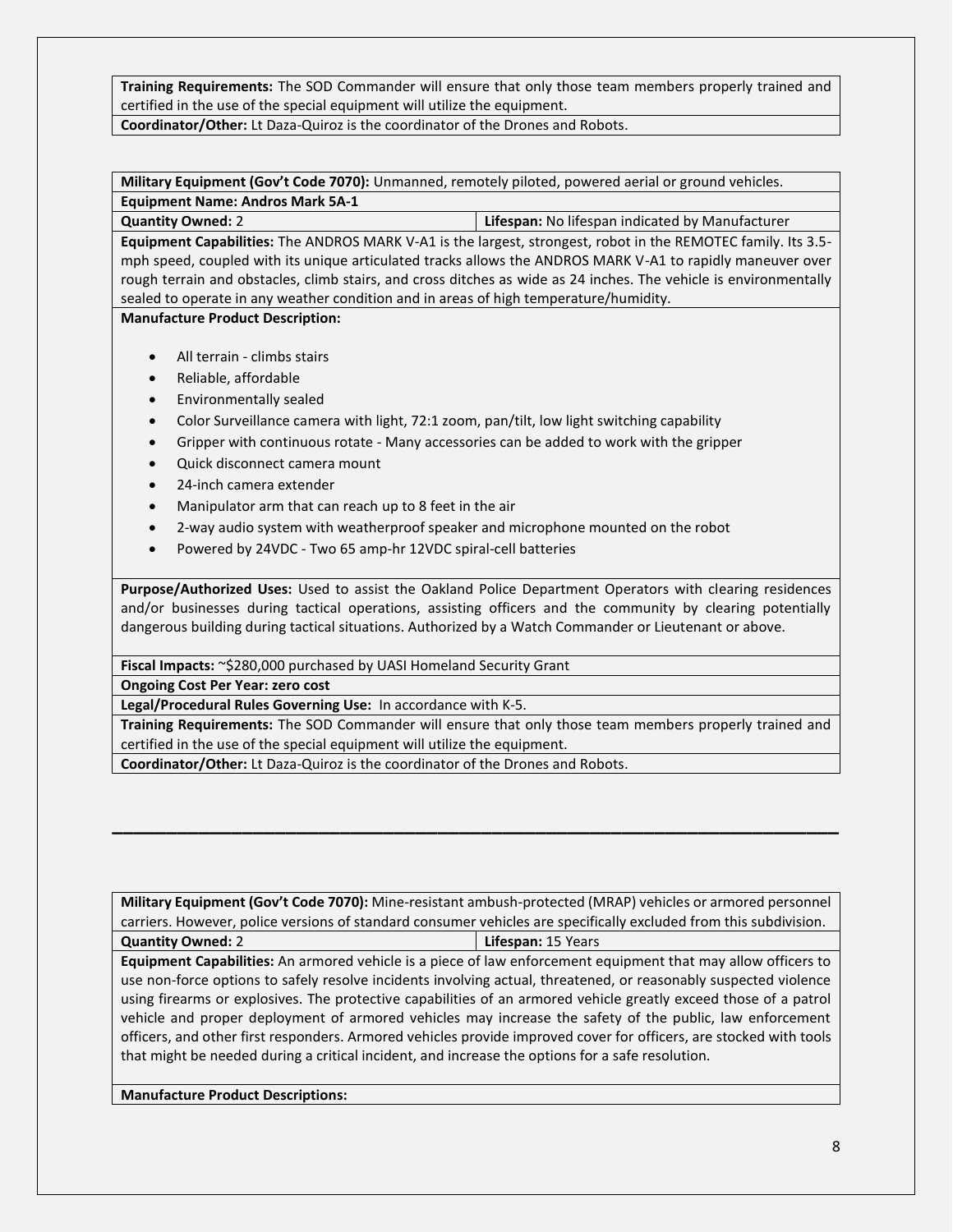**Training Requirements:** The SOD Commander will ensure that only those team members properly trained and certified in the use of the special equipment will utilize the equipment.

**Coordinator/Other:** Lt Daza-Quiroz is the coordinator of the Drones and Robots.

**Military Equipment (Gov't Code 7070):** Unmanned, remotely piloted, powered aerial or ground vehicles. **Equipment Name: Andros Mark 5A-1**

**Quantity Owned:** 2 **Lifespan:** No lifespan indicated by Manufacturer **Equipment Capabilities:** The ANDROS MARK V-A1 is the largest, strongest, robot in the REMOTEC family. Its 3.5 mph speed, coupled with its unique articulated tracks allows the ANDROS MARK V-A1 to rapidly maneuver over

rough terrain and obstacles, climb stairs, and cross ditches as wide as 24 inches. The vehicle is environmentally sealed to operate in any weather condition and in areas of high temperature/humidity.

**Manufacture Product Description:**

- All terrain climbs stairs
- Reliable, affordable
- Environmentally sealed
- Color Surveillance camera with light, 72:1 zoom, pan/tilt, low light switching capability
- Gripper with continuous rotate Many accessories can be added to work with the gripper
- Quick disconnect camera mount
- 24-inch camera extender
- Manipulator arm that can reach up to 8 feet in the air
- 2-way audio system with weatherproof speaker and microphone mounted on the robot
- Powered by 24VDC Two 65 amp-hr 12VDC spiral-cell batteries

**Purpose/Authorized Uses:** Used to assist the Oakland Police Department Operators with clearing residences and/or businesses during tactical operations, assisting officers and the community by clearing potentially dangerous building during tactical situations. Authorized by a Watch Commander or Lieutenant or above.

**Fiscal Impacts:** ~\$280,000 purchased by UASI Homeland Security Grant

**Ongoing Cost Per Year: zero cost**

**Legal/Procedural Rules Governing Use:** In accordance with K-5.

**Training Requirements:** The SOD Commander will ensure that only those team members properly trained and certified in the use of the special equipment will utilize the equipment.

**Coordinator/Other:** Lt Daza-Quiroz is the coordinator of the Drones and Robots.

**Military Equipment (Gov't Code 7070):** Mine-resistant ambush-protected (MRAP) vehicles or armored personnel carriers. However, police versions of standard consumer vehicles are specifically excluded from this subdivision. **Quantity Owned:** 2 **Lifespan:** 15 Years

**\_\_\_\_\_\_\_\_\_\_\_\_\_\_\_\_\_\_\_\_\_\_\_\_\_\_\_\_\_\_\_\_\_\_\_\_\_\_\_\_\_\_\_\_\_\_\_\_\_\_\_\_\_\_\_\_\_\_\_\_\_\_\_\_\_\_\_**

**Equipment Capabilities:** An armored vehicle is a piece of law enforcement equipment that may allow officers to use non-force options to safely resolve incidents involving actual, threatened, or reasonably suspected violence using firearms or explosives. The protective capabilities of an armored vehicle greatly exceed those of a patrol vehicle and proper deployment of armored vehicles may increase the safety of the public, law enforcement officers, and other first responders. Armored vehicles provide improved cover for officers, are stocked with tools that might be needed during a critical incident, and increase the options for a safe resolution.

**Manufacture Product Descriptions:**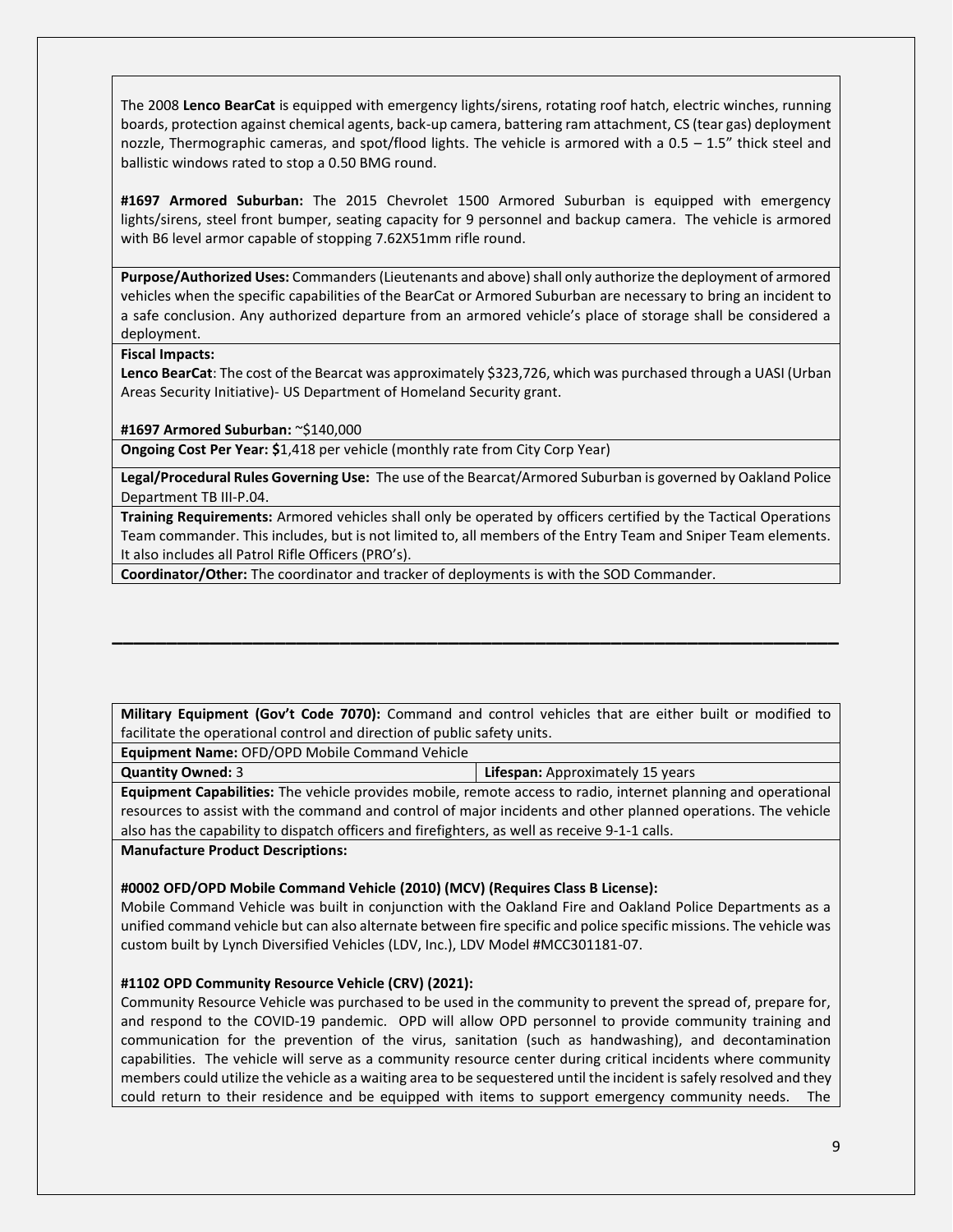The 2008 **Lenco BearCat** is equipped with emergency lights/sirens, rotating roof hatch, electric winches, running boards, protection against chemical agents, back-up camera, battering ram attachment, CS (tear gas) deployment nozzle, Thermographic cameras, and spot/flood lights. The vehicle is armored with a 0.5 – 1.5" thick steel and ballistic windows rated to stop a 0.50 BMG round.

**#1697 Armored Suburban:** The 2015 Chevrolet 1500 Armored Suburban is equipped with emergency lights/sirens, steel front bumper, seating capacity for 9 personnel and backup camera. The vehicle is armored with B6 level armor capable of stopping 7.62X51mm rifle round.

**Purpose/Authorized Uses:** Commanders (Lieutenants and above) shall only authorize the deployment of armored vehicles when the specific capabilities of the BearCat or Armored Suburban are necessary to bring an incident to a safe conclusion. Any authorized departure from an armored vehicle's place of storage shall be considered a deployment.

#### **Fiscal Impacts:**

**Lenco BearCat**: The cost of the Bearcat was approximately \$323,726, which was purchased through a UASI (Urban Areas Security Initiative)- US Department of Homeland Security grant.

**#1697 Armored Suburban:** ~\$140,000

**Ongoing Cost Per Year: \$**1,418 per vehicle (monthly rate from City Corp Year)

**Legal/Procedural Rules Governing Use:** The use of the Bearcat/Armored Suburban is governed by Oakland Police Department TB III-P.04.

**Training Requirements:** Armored vehicles shall only be operated by officers certified by the Tactical Operations Team commander. This includes, but is not limited to, all members of the Entry Team and Sniper Team elements. It also includes all Patrol Rifle Officers (PRO's).

**Coordinator/Other:** The coordinator and tracker of deployments is with the SOD Commander.

**Military Equipment (Gov't Code 7070):** Command and control vehicles that are either built or modified to facilitate the operational control and direction of public safety units.

**\_\_\_\_\_\_\_\_\_\_\_\_\_\_\_\_\_\_\_\_\_\_\_\_\_\_\_\_\_\_\_\_\_\_\_\_\_\_\_\_\_\_\_\_\_\_\_\_\_\_\_\_\_\_\_\_\_\_\_\_\_\_\_\_\_\_\_**

**Equipment Name:** OFD/OPD Mobile Command Vehicle

**Quantity Owned:** 3 **Lifespan:** Approximately 15 years

**Equipment Capabilities:** The vehicle provides mobile, remote access to radio, internet planning and operational resources to assist with the command and control of major incidents and other planned operations. The vehicle also has the capability to dispatch officers and firefighters, as well as receive 9-1-1 calls.

**Manufacture Product Descriptions:**

#### **#0002 OFD/OPD Mobile Command Vehicle (2010) (MCV) (Requires Class B License):**

Mobile Command Vehicle was built in conjunction with the Oakland Fire and Oakland Police Departments as a unified command vehicle but can also alternate between fire specific and police specific missions. The vehicle was custom built by Lynch Diversified Vehicles (LDV, Inc.), LDV Model #MCC301181-07.

#### **#1102 OPD Community Resource Vehicle (CRV) (2021):**

Community Resource Vehicle was purchased to be used in the community to prevent the spread of, prepare for, and respond to the COVID-19 pandemic. OPD will allow OPD personnel to provide community training and communication for the prevention of the virus, sanitation (such as handwashing), and decontamination capabilities. The vehicle will serve as a community resource center during critical incidents where community members could utilize the vehicle as a waiting area to be sequestered until the incident is safely resolved and they could return to their residence and be equipped with items to support emergency community needs. The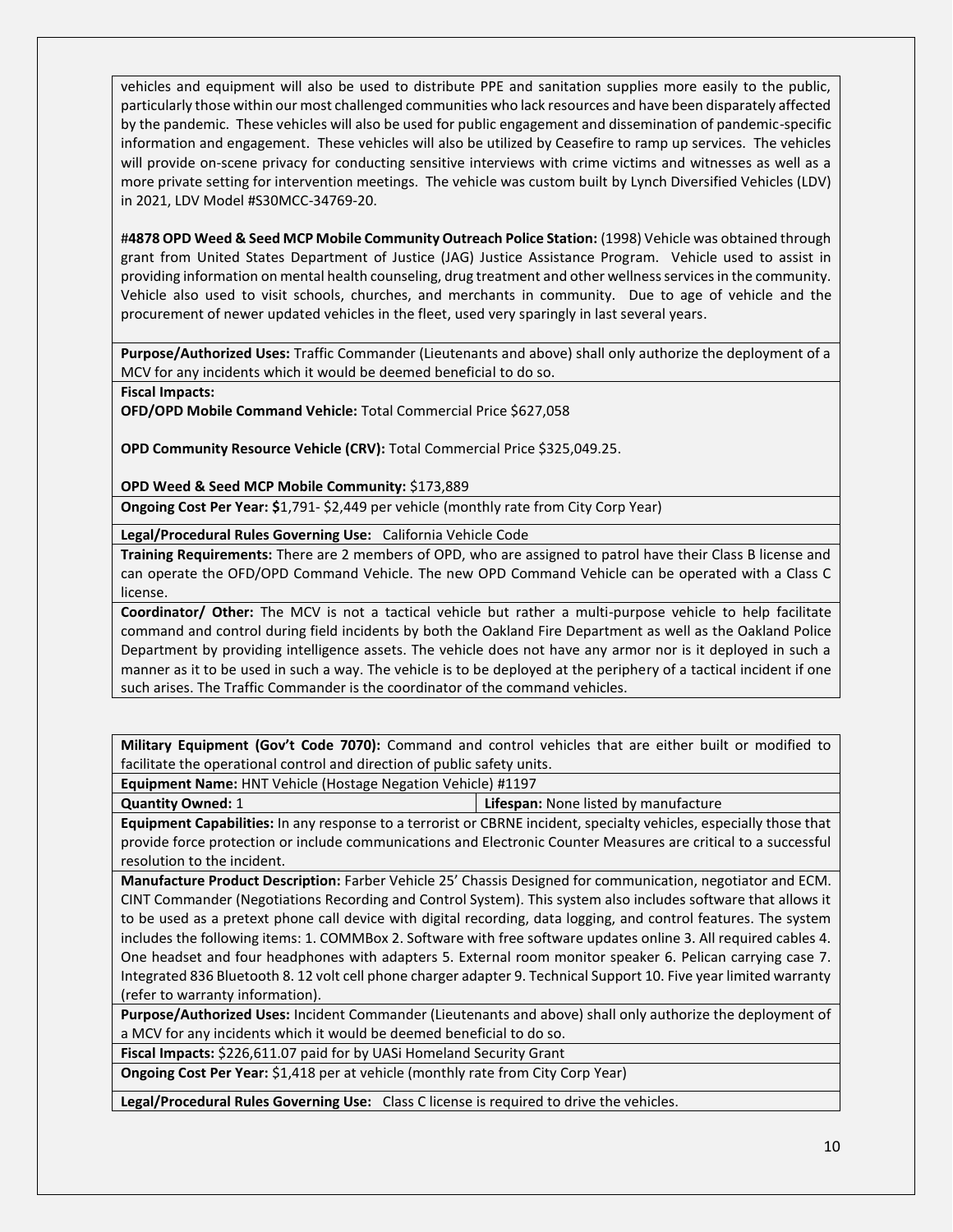vehicles and equipment will also be used to distribute PPE and sanitation supplies more easily to the public, particularly those within our most challenged communities who lack resources and have been disparately affected by the pandemic. These vehicles will also be used for public engagement and dissemination of pandemic-specific information and engagement. These vehicles will also be utilized by Ceasefire to ramp up services. The vehicles will provide on-scene privacy for conducting sensitive interviews with crime victims and witnesses as well as a more private setting for intervention meetings. The vehicle was custom built by Lynch Diversified Vehicles (LDV) in 2021, LDV Model #S30MCC-34769-20.

#**4878 OPD Weed & Seed MCP Mobile Community Outreach Police Station:** (1998) Vehicle was obtained through grant from United States Department of Justice (JAG) Justice Assistance Program. Vehicle used to assist in providing information on mental health counseling, drug treatment and other wellness services in the community. Vehicle also used to visit schools, churches, and merchants in community. Due to age of vehicle and the procurement of newer updated vehicles in the fleet, used very sparingly in last several years.

**Purpose/Authorized Uses:** Traffic Commander (Lieutenants and above) shall only authorize the deployment of a MCV for any incidents which it would be deemed beneficial to do so.

**Fiscal Impacts:** 

**OFD/OPD Mobile Command Vehicle:** Total Commercial Price \$627,058

**OPD Community Resource Vehicle (CRV):** Total Commercial Price \$325,049.25.

**OPD Weed & Seed MCP Mobile Community:** \$173,889

**Ongoing Cost Per Year: \$**1,791- \$2,449 per vehicle (monthly rate from City Corp Year)

**Legal/Procedural Rules Governing Use:** California Vehicle Code

**Training Requirements:** There are 2 members of OPD, who are assigned to patrol have their Class B license and can operate the OFD/OPD Command Vehicle. The new OPD Command Vehicle can be operated with a Class C license.

**Coordinator/ Other:** The MCV is not a tactical vehicle but rather a multi-purpose vehicle to help facilitate command and control during field incidents by both the Oakland Fire Department as well as the Oakland Police Department by providing intelligence assets. The vehicle does not have any armor nor is it deployed in such a manner as it to be used in such a way. The vehicle is to be deployed at the periphery of a tactical incident if one such arises. The Traffic Commander is the coordinator of the command vehicles.

**Military Equipment (Gov't Code 7070):** Command and control vehicles that are either built or modified to facilitate the operational control and direction of public safety units.

**Equipment Name:** HNT Vehicle (Hostage Negation Vehicle) #1197

**Quantity Owned:** 1 **Lifespan:** None listed by manufacture

**Equipment Capabilities:** In any response to a terrorist or CBRNE incident, specialty vehicles, especially those that provide force protection or include communications and Electronic Counter Measures are critical to a successful resolution to the incident.

**Manufacture Product Description:** Farber Vehicle 25' Chassis Designed for communication, negotiator and ECM. CINT Commander (Negotiations Recording and Control System). This system also includes software that allows it to be used as a pretext phone call device with digital recording, data logging, and control features. The system includes the following items: 1. COMMBox 2. Software with free software updates online 3. All required cables 4. One headset and four headphones with adapters 5. External room monitor speaker 6. Pelican carrying case 7. Integrated 836 Bluetooth 8. 12 volt cell phone charger adapter 9. Technical Support 10. Five year limited warranty (refer to warranty information).

**Purpose/Authorized Uses:** Incident Commander (Lieutenants and above) shall only authorize the deployment of a MCV for any incidents which it would be deemed beneficial to do so.

**Fiscal Impacts:** \$226,611.07 paid for by UASi Homeland Security Grant

**Ongoing Cost Per Year:** \$1,418 per at vehicle (monthly rate from City Corp Year)

**Legal/Procedural Rules Governing Use:** Class C license is required to drive the vehicles.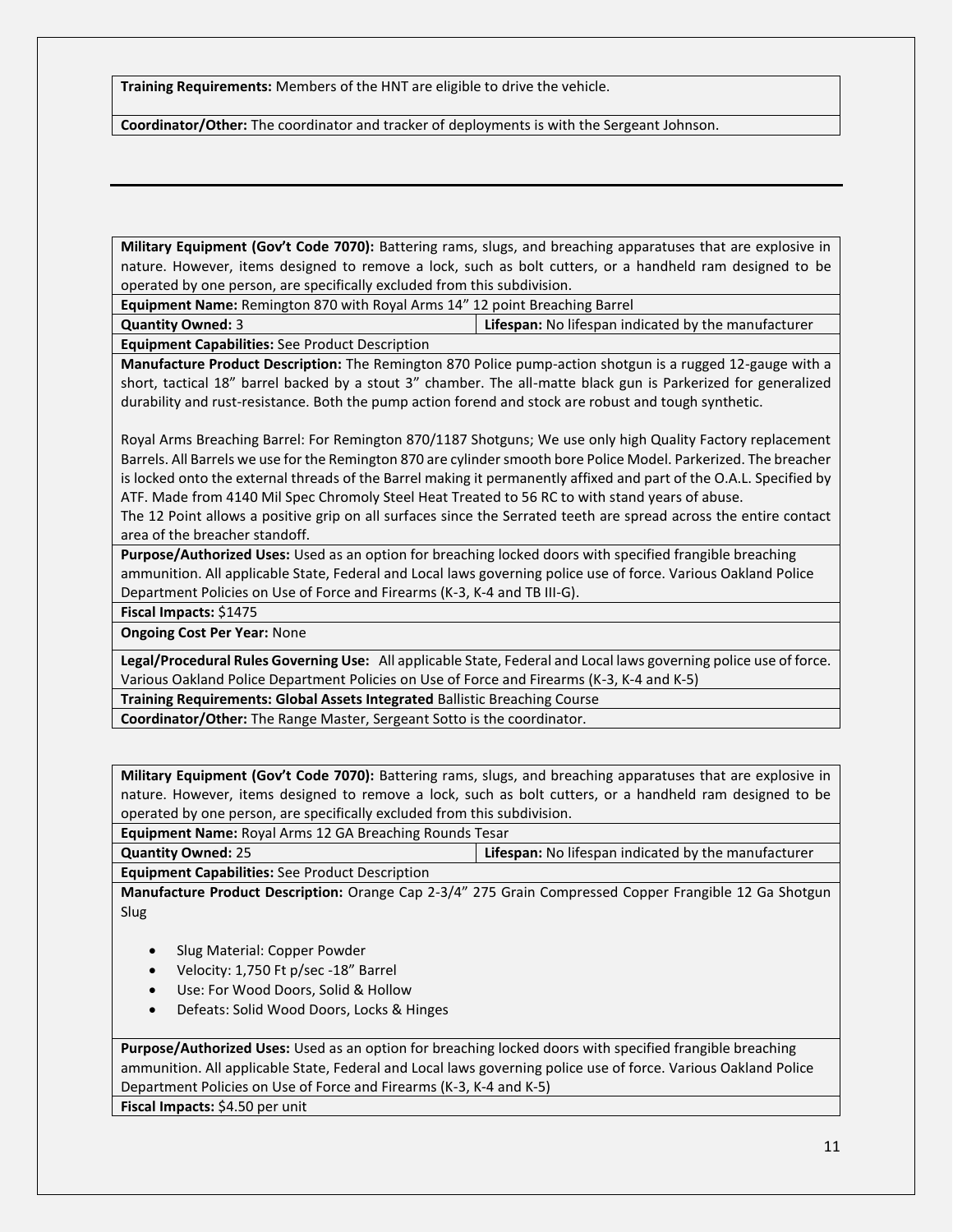**Training Requirements:** Members of the HNT are eligible to drive the vehicle.

**Coordinator/Other:** The coordinator and tracker of deployments is with the Sergeant Johnson.

**Military Equipment (Gov't Code 7070):** Battering rams, slugs, and breaching apparatuses that are explosive in nature. However, items designed to remove a lock, such as bolt cutters, or a handheld ram designed to be operated by one person, are specifically excluded from this subdivision.

**Equipment Name:** Remington 870 with Royal Arms 14" 12 point Breaching Barrel

**Quantity Owned:** 3 **Lifespan:** No lifespan indicated by the manufacturer **Equipment Capabilities:** See Product Description

**Manufacture Product Description:** The Remington 870 Police pump-action shotgun is a rugged 12-gauge with a short, tactical 18" barrel backed by a stout 3" chamber. The all-matte black gun is Parkerized for generalized durability and rust-resistance. Both the pump action forend and stock are robust and tough synthetic.

Royal Arms Breaching Barrel: For Remington 870/1187 Shotguns; We use only high Quality Factory replacement Barrels. All Barrels we use for the Remington 870 are cylinder smooth bore Police Model. Parkerized. The breacher is locked onto the external threads of the Barrel making it permanently affixed and part of the O.A.L. Specified by ATF. Made from 4140 Mil Spec Chromoly Steel Heat Treated to 56 RC to with stand years of abuse.

The 12 Point allows a positive grip on all surfaces since the Serrated teeth are spread across the entire contact area of the breacher standoff.

**Purpose/Authorized Uses:** Used as an option for breaching locked doors with specified frangible breaching ammunition. All applicable State, Federal and Local laws governing police use of force. Various Oakland Police Department Policies on Use of Force and Firearms (K-3, K-4 and TB III-G).

**Fiscal Impacts:** \$1475

**Ongoing Cost Per Year:** None

**Legal/Procedural Rules Governing Use:** All applicable State, Federal and Local laws governing police use of force. Various Oakland Police Department Policies on Use of Force and Firearms (K-3, K-4 and K-5)

**Training Requirements: Global Assets Integrated** Ballistic Breaching Course

**Coordinator/Other:** The Range Master, Sergeant Sotto is the coordinator.

**Military Equipment (Gov't Code 7070):** Battering rams, slugs, and breaching apparatuses that are explosive in nature. However, items designed to remove a lock, such as bolt cutters, or a handheld ram designed to be operated by one person, are specifically excluded from this subdivision.

**Equipment Name:** Royal Arms 12 GA Breaching Rounds Tesar

**Quantity Owned:** 25 **Lifespan:** No lifespan indicated by the manufacturer **Equipment Capabilities:** See Product Description

**Manufacture Product Description:** Orange Cap 2-3/4" 275 Grain Compressed Copper Frangible 12 Ga Shotgun Slug

- Slug Material: Copper Powder
- Velocity: 1,750 Ft p/sec -18" Barrel
- Use: For Wood Doors, Solid & Hollow
- Defeats: Solid Wood Doors, Locks & Hinges

**Purpose/Authorized Uses:** Used as an option for breaching locked doors with specified frangible breaching ammunition. All applicable State, Federal and Local laws governing police use of force. Various Oakland Police Department Policies on Use of Force and Firearms (K-3, K-4 and K-5)

**Fiscal Impacts:** \$4.50 per unit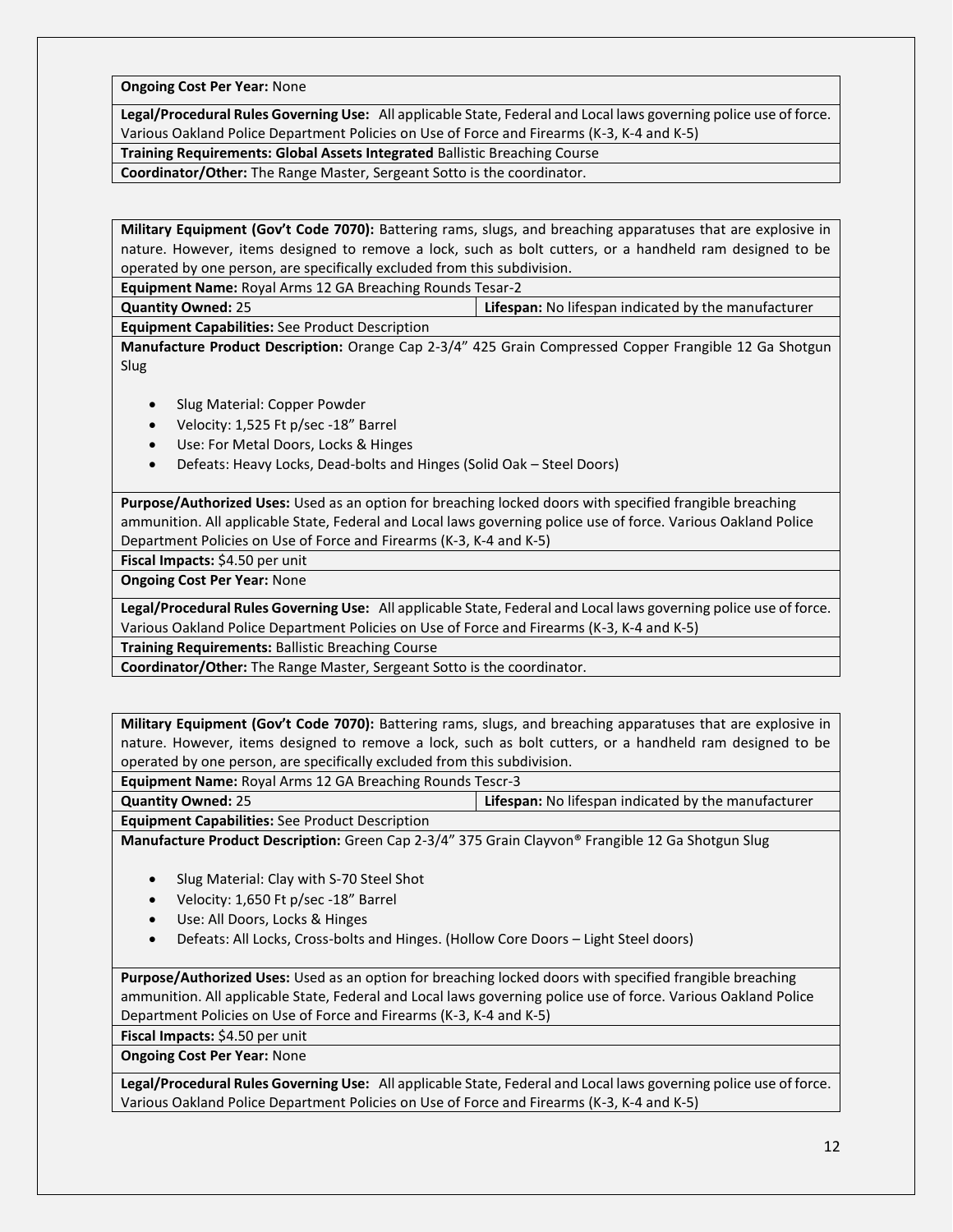**Ongoing Cost Per Year:** None

**Legal/Procedural Rules Governing Use:** All applicable State, Federal and Local laws governing police use of force. Various Oakland Police Department Policies on Use of Force and Firearms (K-3, K-4 and K-5)

**Training Requirements: Global Assets Integrated** Ballistic Breaching Course

**Coordinator/Other:** The Range Master, Sergeant Sotto is the coordinator.

**Military Equipment (Gov't Code 7070):** Battering rams, slugs, and breaching apparatuses that are explosive in nature. However, items designed to remove a lock, such as bolt cutters, or a handheld ram designed to be operated by one person, are specifically excluded from this subdivision.

**Equipment Name:** Royal Arms 12 GA Breaching Rounds Tesar-2

**Quantity Owned:** 25 **Lifespan:** No lifespan indicated by the manufacturer

**Equipment Capabilities:** See Product Description

**Manufacture Product Description:** Orange Cap 2-3/4" 425 Grain Compressed Copper Frangible 12 Ga Shotgun Slug

- Slug Material: Copper Powder
- Velocity: 1,525 Ft p/sec -18" Barrel
- Use: For Metal Doors, Locks & Hinges
- Defeats: Heavy Locks, Dead-bolts and Hinges (Solid Oak Steel Doors)

**Purpose/Authorized Uses:** Used as an option for breaching locked doors with specified frangible breaching ammunition. All applicable State, Federal and Local laws governing police use of force. Various Oakland Police Department Policies on Use of Force and Firearms (K-3, K-4 and K-5)

**Fiscal Impacts:** \$4.50 per unit

**Ongoing Cost Per Year:** None

**Legal/Procedural Rules Governing Use:** All applicable State, Federal and Local laws governing police use of force. Various Oakland Police Department Policies on Use of Force and Firearms (K-3, K-4 and K-5)

**Training Requirements:** Ballistic Breaching Course

**Coordinator/Other:** The Range Master, Sergeant Sotto is the coordinator.

**Military Equipment (Gov't Code 7070):** Battering rams, slugs, and breaching apparatuses that are explosive in nature. However, items designed to remove a lock, such as bolt cutters, or a handheld ram designed to be operated by one person, are specifically excluded from this subdivision.

**Equipment Name:** Royal Arms 12 GA Breaching Rounds Tescr-3

**Quantity Owned:** 25 **Lifespan:** No lifespan indicated by the manufacturer

**Equipment Capabilities:** See Product Description

**Manufacture Product Description:** Green Cap 2-3/4" 375 Grain Clayvon® Frangible 12 Ga Shotgun Slug

- Slug Material: Clay with S-70 Steel Shot
- Velocity: 1,650 Ft p/sec -18" Barrel
- Use: All Doors, Locks & Hinges
- Defeats: All Locks, Cross-bolts and Hinges. (Hollow Core Doors Light Steel doors)

**Purpose/Authorized Uses:** Used as an option for breaching locked doors with specified frangible breaching ammunition. All applicable State, Federal and Local laws governing police use of force. Various Oakland Police Department Policies on Use of Force and Firearms (K-3, K-4 and K-5)

**Fiscal Impacts:** \$4.50 per unit

**Ongoing Cost Per Year:** None

**Legal/Procedural Rules Governing Use:** All applicable State, Federal and Local laws governing police use of force. Various Oakland Police Department Policies on Use of Force and Firearms (K-3, K-4 and K-5)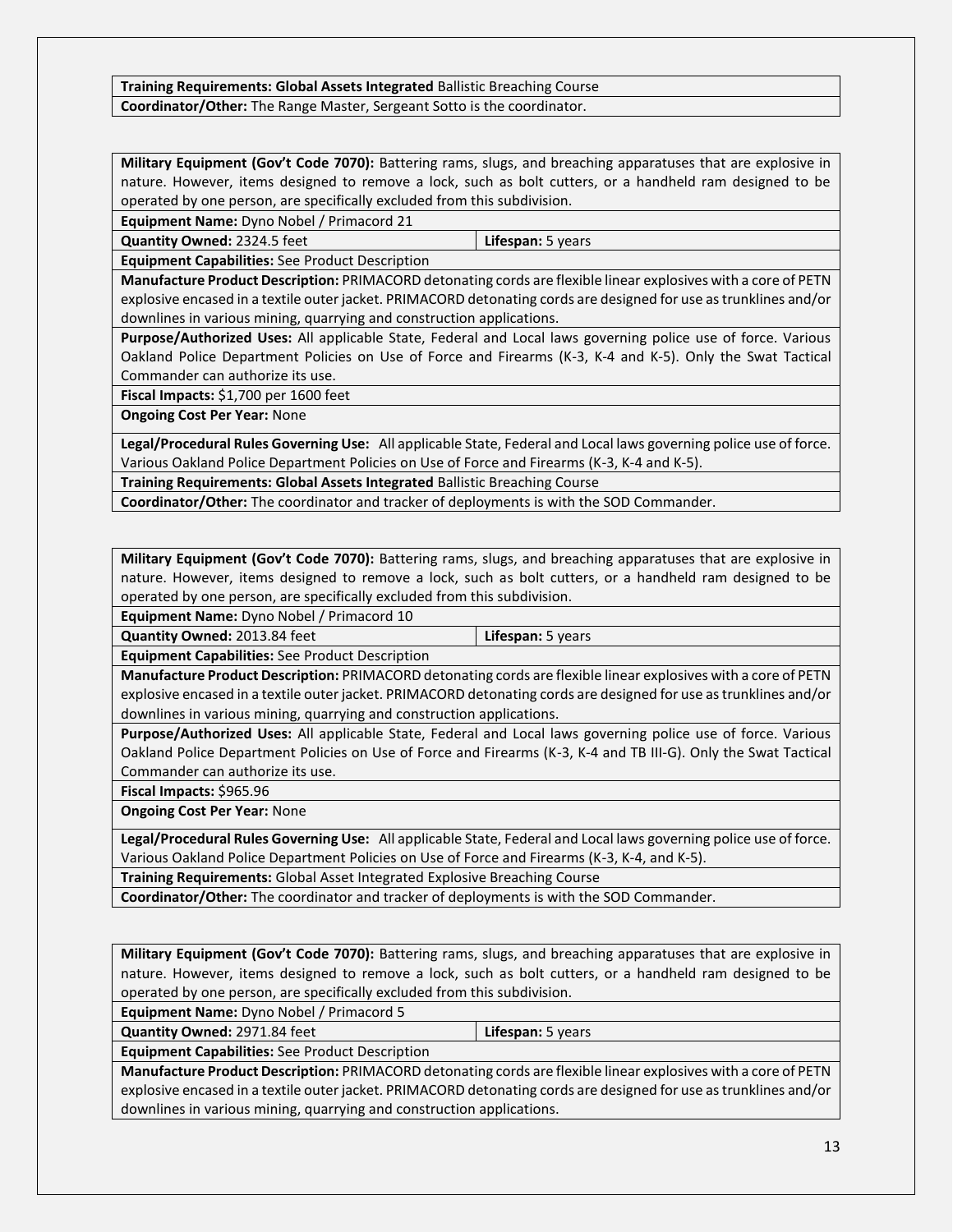#### **Training Requirements: Global Assets Integrated** Ballistic Breaching Course **Coordinator/Other:** The Range Master, Sergeant Sotto is the coordinator.

**Military Equipment (Gov't Code 7070):** Battering rams, slugs, and breaching apparatuses that are explosive in nature. However, items designed to remove a lock, such as bolt cutters, or a handheld ram designed to be operated by one person, are specifically excluded from this subdivision.

**Equipment Name:** Dyno Nobel / Primacord 21

**Quantity Owned:** 2324.5 feet **Lifespan:** 5 years

**Equipment Capabilities:** See Product Description

**Manufacture Product Description:** PRIMACORD detonating cords are flexible linear explosives with a core of PETN explosive encased in a textile outer jacket. PRIMACORD detonating cords are designed for use as trunklines and/or downlines in various mining, quarrying and construction applications.

**Purpose/Authorized Uses:** All applicable State, Federal and Local laws governing police use of force. Various Oakland Police Department Policies on Use of Force and Firearms (K-3, K-4 and K-5). Only the Swat Tactical Commander can authorize its use.

**Fiscal Impacts:** \$1,700 per 1600 feet

**Ongoing Cost Per Year:** None

**Legal/Procedural Rules Governing Use:** All applicable State, Federal and Local laws governing police use of force. Various Oakland Police Department Policies on Use of Force and Firearms (K-3, K-4 and K-5).

**Training Requirements: Global Assets Integrated** Ballistic Breaching Course

**Coordinator/Other:** The coordinator and tracker of deployments is with the SOD Commander.

**Military Equipment (Gov't Code 7070):** Battering rams, slugs, and breaching apparatuses that are explosive in nature. However, items designed to remove a lock, such as bolt cutters, or a handheld ram designed to be operated by one person, are specifically excluded from this subdivision.

**Equipment Name:** Dyno Nobel / Primacord 10

**Quantity Owned:** 2013.84 feet **Lifespan:** 5 years

**Equipment Capabilities:** See Product Description

**Manufacture Product Description:** PRIMACORD detonating cords are flexible linear explosives with a core of PETN explosive encased in a textile outer jacket. PRIMACORD detonating cords are designed for use as trunklines and/or downlines in various mining, quarrying and construction applications.

**Purpose/Authorized Uses:** All applicable State, Federal and Local laws governing police use of force. Various Oakland Police Department Policies on Use of Force and Firearms (K-3, K-4 and TB III-G). Only the Swat Tactical Commander can authorize its use.

**Fiscal Impacts:** \$965.96

**Ongoing Cost Per Year:** None

**Legal/Procedural Rules Governing Use:** All applicable State, Federal and Local laws governing police use of force. Various Oakland Police Department Policies on Use of Force and Firearms (K-3, K-4, and K-5).

**Training Requirements:** Global Asset Integrated Explosive Breaching Course

**Coordinator/Other:** The coordinator and tracker of deployments is with the SOD Commander.

**Military Equipment (Gov't Code 7070):** Battering rams, slugs, and breaching apparatuses that are explosive in nature. However, items designed to remove a lock, such as bolt cutters, or a handheld ram designed to be operated by one person, are specifically excluded from this subdivision.

**Equipment Name:** Dyno Nobel / Primacord 5

**Quantity Owned:** 2971.84 feet **Lifespan:** 5 years

**Equipment Capabilities:** See Product Description

**Manufacture Product Description:** PRIMACORD detonating cords are flexible linear explosives with a core of PETN explosive encased in a textile outer jacket. PRIMACORD detonating cords are designed for use as trunklines and/or downlines in various mining, quarrying and construction applications.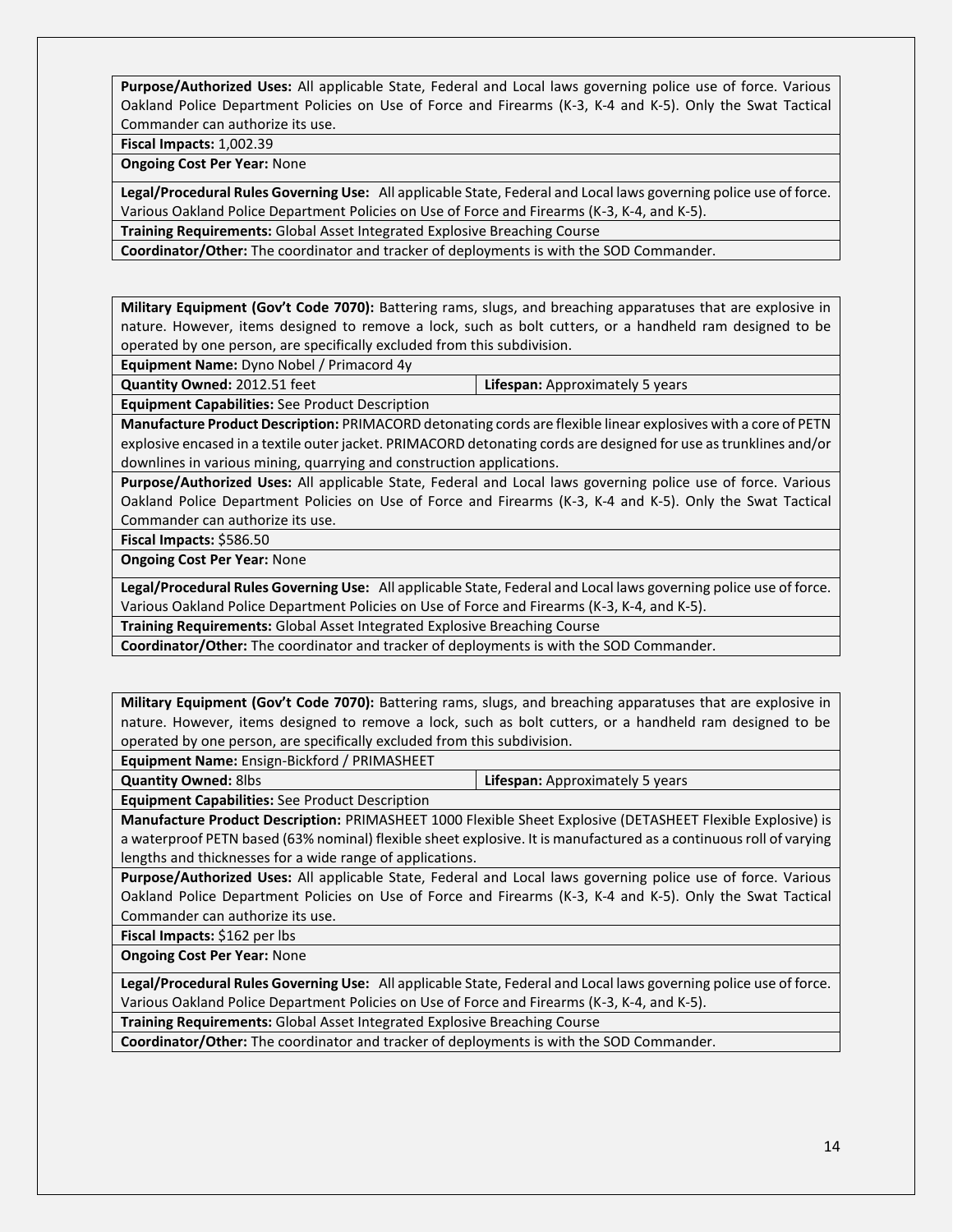**Purpose/Authorized Uses:** All applicable State, Federal and Local laws governing police use of force. Various Oakland Police Department Policies on Use of Force and Firearms (K-3, K-4 and K-5). Only the Swat Tactical Commander can authorize its use.

**Fiscal Impacts:** 1,002.39

**Ongoing Cost Per Year:** None

**Legal/Procedural Rules Governing Use:** All applicable State, Federal and Local laws governing police use of force. Various Oakland Police Department Policies on Use of Force and Firearms (K-3, K-4, and K-5).

**Training Requirements:** Global Asset Integrated Explosive Breaching Course

**Coordinator/Other:** The coordinator and tracker of deployments is with the SOD Commander.

**Military Equipment (Gov't Code 7070):** Battering rams, slugs, and breaching apparatuses that are explosive in nature. However, items designed to remove a lock, such as bolt cutters, or a handheld ram designed to be operated by one person, are specifically excluded from this subdivision.

**Equipment Name:** Dyno Nobel / Primacord 4y

**Quantity Owned:** 2012.51 feet **Lifespan:** Approximately 5 years **Equipment Capabilities:** See Product Description

**Manufacture Product Description:** PRIMACORD detonating cords are flexible linear explosives with a core of PETN explosive encased in a textile outer jacket. PRIMACORD detonating cords are designed for use as trunklines and/or downlines in various mining, quarrying and construction applications.

**Purpose/Authorized Uses:** All applicable State, Federal and Local laws governing police use of force. Various Oakland Police Department Policies on Use of Force and Firearms (K-3, K-4 and K-5). Only the Swat Tactical Commander can authorize its use.

**Fiscal Impacts:** \$586.50

**Ongoing Cost Per Year:** None

**Legal/Procedural Rules Governing Use:** All applicable State, Federal and Local laws governing police use of force. Various Oakland Police Department Policies on Use of Force and Firearms (K-3, K-4, and K-5).

**Training Requirements:** Global Asset Integrated Explosive Breaching Course

**Coordinator/Other:** The coordinator and tracker of deployments is with the SOD Commander.

**Military Equipment (Gov't Code 7070):** Battering rams, slugs, and breaching apparatuses that are explosive in nature. However, items designed to remove a lock, such as bolt cutters, or a handheld ram designed to be operated by one person, are specifically excluded from this subdivision.

**Equipment Name:** Ensign-Bickford / PRIMASHEET

**Quantity Owned:** 8lbs **Lifespan:** Approximately 5 years

**Equipment Capabilities:** See Product Description

**Manufacture Product Description:** PRIMASHEET 1000 Flexible Sheet Explosive (DETASHEET Flexible Explosive) is a waterproof PETN based (63% nominal) flexible sheet explosive. It is manufactured as a continuous roll of varying lengths and thicknesses for a wide range of applications.

**Purpose/Authorized Uses:** All applicable State, Federal and Local laws governing police use of force. Various Oakland Police Department Policies on Use of Force and Firearms (K-3, K-4 and K-5). Only the Swat Tactical Commander can authorize its use.

**Fiscal Impacts:** \$162 per lbs

**Ongoing Cost Per Year:** None

**Legal/Procedural Rules Governing Use:** All applicable State, Federal and Local laws governing police use of force. Various Oakland Police Department Policies on Use of Force and Firearms (K-3, K-4, and K-5).

**Training Requirements:** Global Asset Integrated Explosive Breaching Course

**Coordinator/Other:** The coordinator and tracker of deployments is with the SOD Commander.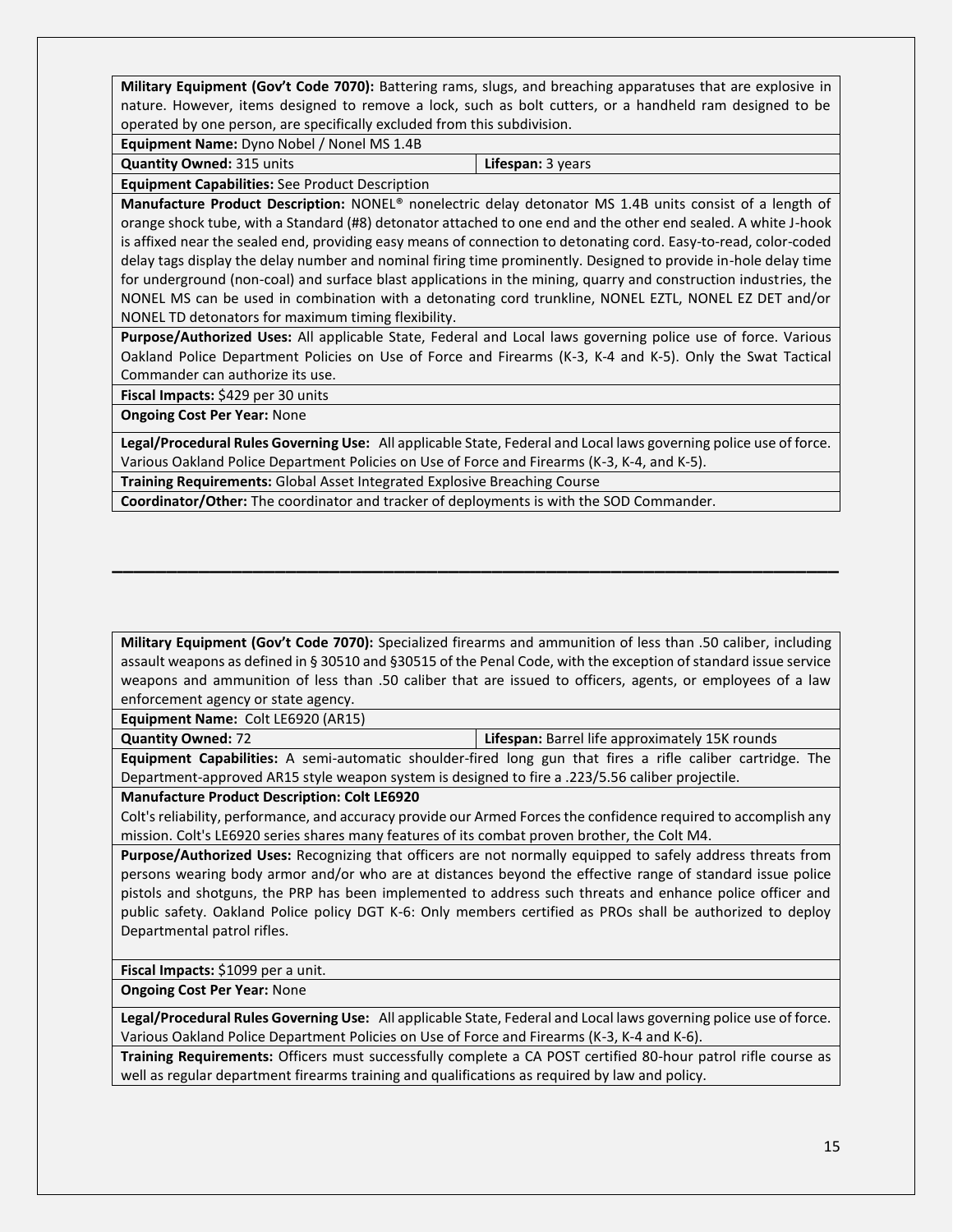**Military Equipment (Gov't Code 7070):** Battering rams, slugs, and breaching apparatuses that are explosive in nature. However, items designed to remove a lock, such as bolt cutters, or a handheld ram designed to be operated by one person, are specifically excluded from this subdivision.

**Equipment Name:** Dyno Nobel / Nonel MS 1.4B

**Quantity Owned:** 315 units **Lifespan:** 3 years

**Equipment Capabilities:** See Product Description

**Manufacture Product Description:** NONEL® nonelectric delay detonator MS 1.4B units consist of a length of orange shock tube, with a Standard (#8) detonator attached to one end and the other end sealed. A white J-hook is affixed near the sealed end, providing easy means of connection to detonating cord. Easy-to-read, color-coded delay tags display the delay number and nominal firing time prominently. Designed to provide in-hole delay time for underground (non-coal) and surface blast applications in the mining, quarry and construction industries, the NONEL MS can be used in combination with a detonating cord trunkline, NONEL EZTL, NONEL EZ DET and/or NONEL TD detonators for maximum timing flexibility.

**Purpose/Authorized Uses:** All applicable State, Federal and Local laws governing police use of force. Various Oakland Police Department Policies on Use of Force and Firearms (K-3, K-4 and K-5). Only the Swat Tactical Commander can authorize its use.

**Fiscal Impacts:** \$429 per 30 units

**Ongoing Cost Per Year:** None

**Legal/Procedural Rules Governing Use:** All applicable State, Federal and Local laws governing police use of force. Various Oakland Police Department Policies on Use of Force and Firearms (K-3, K-4, and K-5).

**Training Requirements:** Global Asset Integrated Explosive Breaching Course

**Coordinator/Other:** The coordinator and tracker of deployments is with the SOD Commander.

**Military Equipment (Gov't Code 7070):** Specialized firearms and ammunition of less than .50 caliber, including assault weapons as defined in § 30510 and §30515 of the Penal Code, with the exception of standard issue service weapons and ammunition of less than .50 caliber that are issued to officers, agents, or employees of a law enforcement agency or state agency.

**\_\_\_\_\_\_\_\_\_\_\_\_\_\_\_\_\_\_\_\_\_\_\_\_\_\_\_\_\_\_\_\_\_\_\_\_\_\_\_\_\_\_\_\_\_\_\_\_\_\_\_\_\_\_\_\_\_\_\_\_\_\_\_\_\_\_\_**

**Equipment Name:** Colt LE6920 (AR15)

**Quantity Owned:** 72 **Lifespan:** Barrel life approximately 15K rounds

**Equipment Capabilities:** A semi-automatic shoulder-fired long gun that fires a rifle caliber cartridge. The Department-approved AR15 style weapon system is designed to fire a .223/5.56 caliber projectile.

**Manufacture Product Description: Colt LE6920**

Colt's reliability, performance, and accuracy provide our Armed Forces the confidence required to accomplish any mission. Colt's LE6920 series shares many features of its combat proven brother, the Colt M4.

**Purpose/Authorized Uses:** Recognizing that officers are not normally equipped to safely address threats from persons wearing body armor and/or who are at distances beyond the effective range of standard issue police pistols and shotguns, the PRP has been implemented to address such threats and enhance police officer and public safety. Oakland Police policy DGT K-6: Only members certified as PROs shall be authorized to deploy Departmental patrol rifles.

**Fiscal Impacts:** \$1099 per a unit.

**Ongoing Cost Per Year:** None

**Legal/Procedural Rules Governing Use:** All applicable State, Federal and Local laws governing police use of force. Various Oakland Police Department Policies on Use of Force and Firearms (K-3, K-4 and K-6).

**Training Requirements:** Officers must successfully complete a CA POST certified 80-hour patrol rifle course as well as regular department firearms training and qualifications as required by law and policy.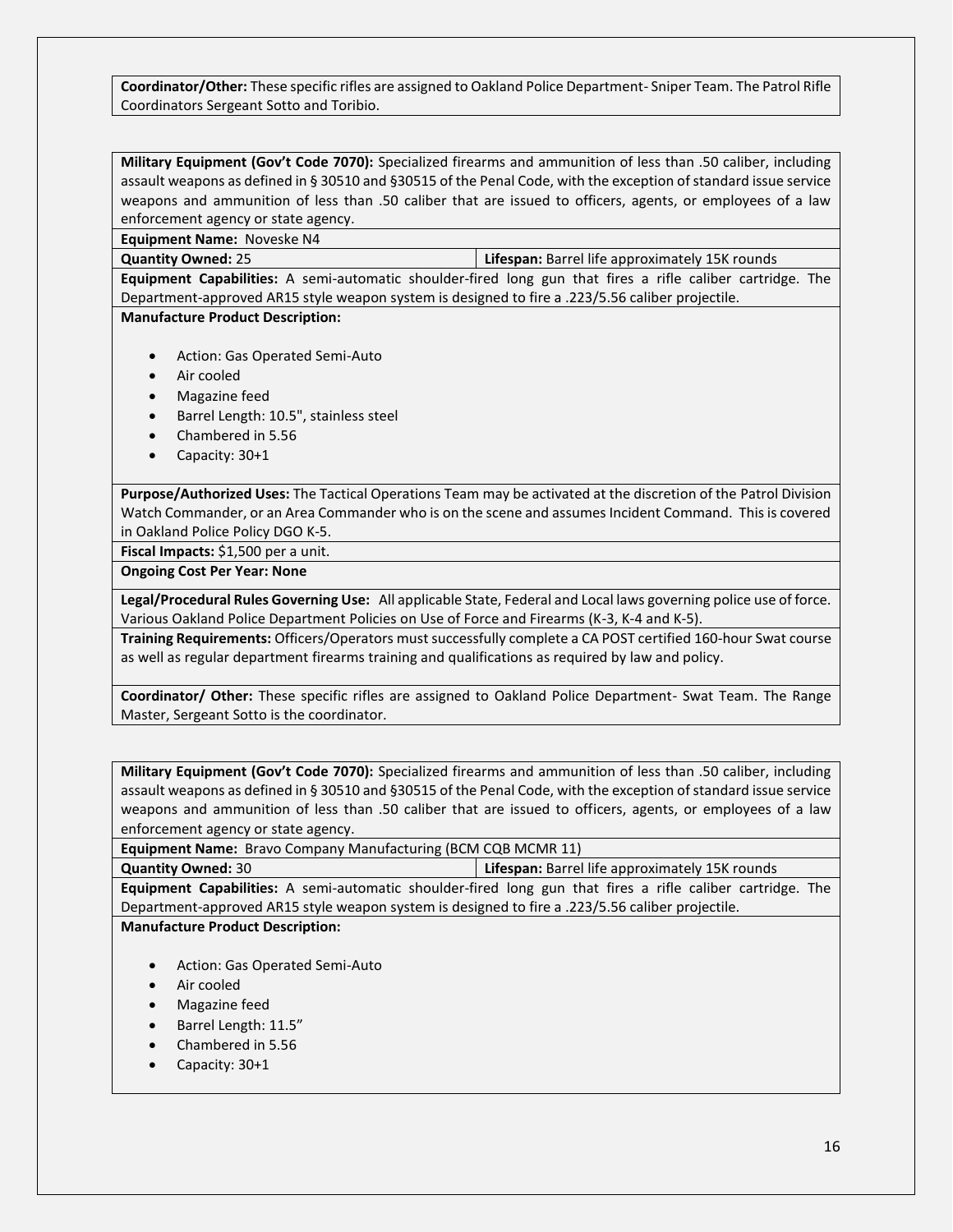**Coordinator/Other:** These specific rifles are assigned to Oakland Police Department- Sniper Team. The Patrol Rifle Coordinators Sergeant Sotto and Toribio.

**Military Equipment (Gov't Code 7070):** Specialized firearms and ammunition of less than .50 caliber, including assault weapons as defined in § 30510 and §30515 of the Penal Code, with the exception of standard issue service weapons and ammunition of less than .50 caliber that are issued to officers, agents, or employees of a law enforcement agency or state agency.

**Equipment Name:** Noveske N4

**Quantity Owned:** 25 **Lifespan:** Barrel life approximately 15K rounds

**Equipment Capabilities:** A semi-automatic shoulder-fired long gun that fires a rifle caliber cartridge. The Department-approved AR15 style weapon system is designed to fire a .223/5.56 caliber projectile.

**Manufacture Product Description:**

- Action: Gas Operated Semi-Auto
- Air cooled
- Magazine feed
- Barrel Length: 10.5", stainless steel
- Chambered in 5.56
- Capacity: 30+1

**Purpose/Authorized Uses:** The Tactical Operations Team may be activated at the discretion of the Patrol Division Watch Commander, or an Area Commander who is on the scene and assumes Incident Command. This is covered in Oakland Police Policy DGO K-5.

**Fiscal Impacts:** \$1,500 per a unit.

**Ongoing Cost Per Year: None**

**Legal/Procedural Rules Governing Use:** All applicable State, Federal and Local laws governing police use of force. Various Oakland Police Department Policies on Use of Force and Firearms (K-3, K-4 and K-5).

**Training Requirements:** Officers/Operators must successfully complete a CA POST certified 160-hour Swat course as well as regular department firearms training and qualifications as required by law and policy.

**Coordinator/ Other:** These specific rifles are assigned to Oakland Police Department- Swat Team. The Range Master, Sergeant Sotto is the coordinator.

**Military Equipment (Gov't Code 7070):** Specialized firearms and ammunition of less than .50 caliber, including assault weapons as defined in § 30510 and §30515 of the Penal Code, with the exception of standard issue service weapons and ammunition of less than .50 caliber that are issued to officers, agents, or employees of a law enforcement agency or state agency.

**Equipment Name:** Bravo Company Manufacturing (BCM CQB MCMR 11)

**Quantity Owned:** 30 **Lifespan:** Barrel life approximately 15K rounds

**Equipment Capabilities:** A semi-automatic shoulder-fired long gun that fires a rifle caliber cartridge. The Department-approved AR15 style weapon system is designed to fire a .223/5.56 caliber projectile.

**Manufacture Product Description:**

- Action: Gas Operated Semi-Auto
- Air cooled
- Magazine feed
- Barrel Length: 11.5"
- Chambered in 5.56
- Capacity: 30+1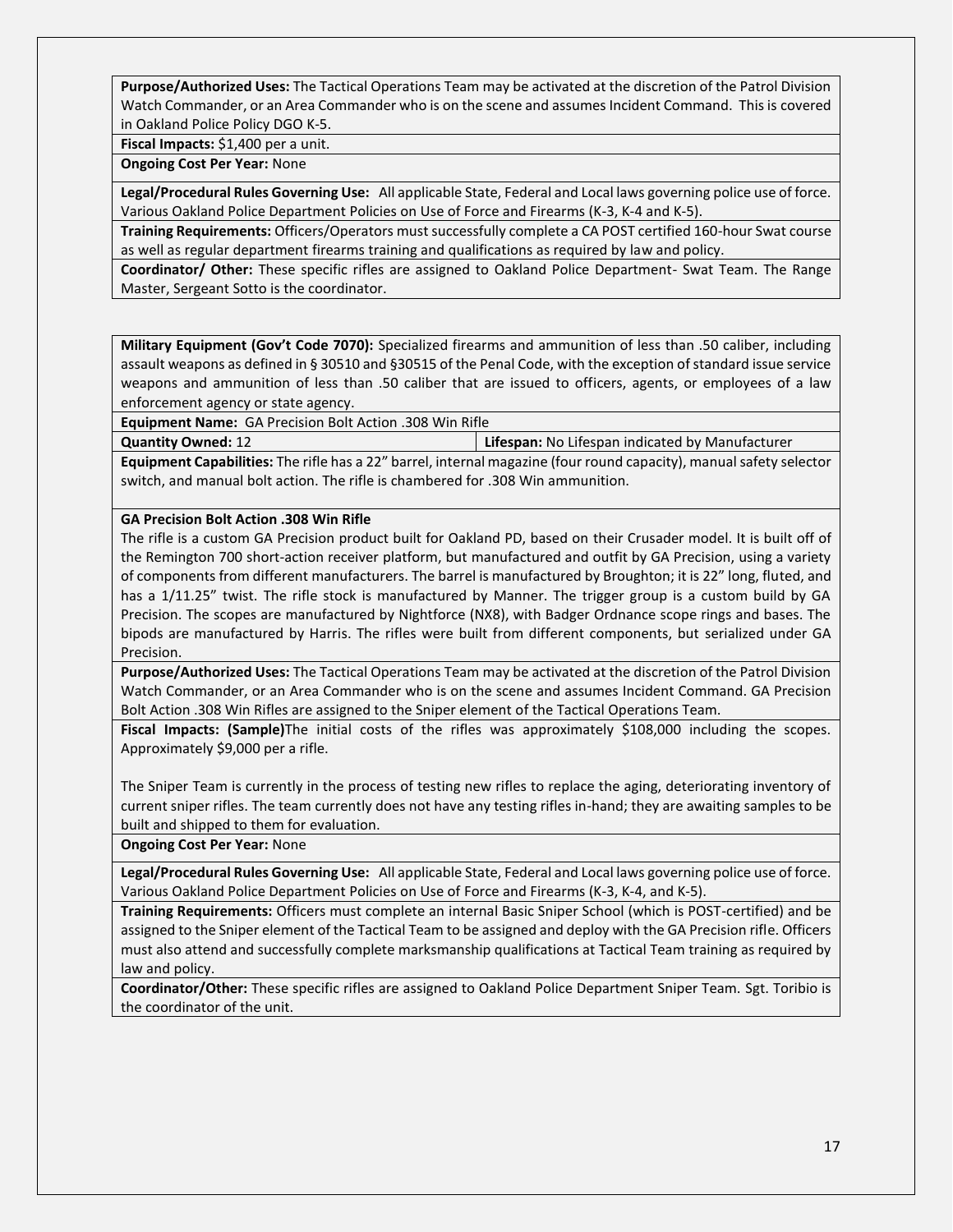**Purpose/Authorized Uses:** The Tactical Operations Team may be activated at the discretion of the Patrol Division Watch Commander, or an Area Commander who is on the scene and assumes Incident Command. This is covered in Oakland Police Policy DGO K-5.

**Fiscal Impacts:** \$1,400 per a unit.

**Ongoing Cost Per Year:** None

**Legal/Procedural Rules Governing Use:** All applicable State, Federal and Local laws governing police use of force. Various Oakland Police Department Policies on Use of Force and Firearms (K-3, K-4 and K-5).

**Training Requirements:** Officers/Operators must successfully complete a CA POST certified 160-hour Swat course as well as regular department firearms training and qualifications as required by law and policy.

**Coordinator/ Other:** These specific rifles are assigned to Oakland Police Department- Swat Team. The Range Master, Sergeant Sotto is the coordinator.

**Military Equipment (Gov't Code 7070):** Specialized firearms and ammunition of less than .50 caliber, including assault weapons as defined in § 30510 and §30515 of the Penal Code, with the exception of standard issue service weapons and ammunition of less than .50 caliber that are issued to officers, agents, or employees of a law enforcement agency or state agency.

**Equipment Name:** GA Precision Bolt Action .308 Win Rifle

**Quantity Owned:** 12 **Lifespan:** No Lifespan indicated by Manufacturer

**Equipment Capabilities:** The rifle has a 22" barrel, internal magazine (four round capacity), manual safety selector switch, and manual bolt action. The rifle is chambered for .308 Win ammunition.

#### **GA Precision Bolt Action .308 Win Rifle**

The rifle is a custom GA Precision product built for Oakland PD, based on their Crusader model. It is built off of the Remington 700 short-action receiver platform, but manufactured and outfit by GA Precision, using a variety of components from different manufacturers. The barrel is manufactured by Broughton; it is 22" long, fluted, and has a 1/11.25" twist. The rifle stock is manufactured by Manner. The trigger group is a custom build by GA Precision. The scopes are manufactured by Nightforce (NX8), with Badger Ordnance scope rings and bases. The bipods are manufactured by Harris. The rifles were built from different components, but serialized under GA Precision.

**Purpose/Authorized Uses:** The Tactical Operations Team may be activated at the discretion of the Patrol Division Watch Commander, or an Area Commander who is on the scene and assumes Incident Command. GA Precision Bolt Action .308 Win Rifles are assigned to the Sniper element of the Tactical Operations Team.

**Fiscal Impacts: (Sample)**The initial costs of the rifles was approximately \$108,000 including the scopes. Approximately \$9,000 per a rifle.

The Sniper Team is currently in the process of testing new rifles to replace the aging, deteriorating inventory of current sniper rifles. The team currently does not have any testing rifles in-hand; they are awaiting samples to be built and shipped to them for evaluation.

**Ongoing Cost Per Year:** None

**Legal/Procedural Rules Governing Use:** All applicable State, Federal and Local laws governing police use of force. Various Oakland Police Department Policies on Use of Force and Firearms (K-3, K-4, and K-5).

**Training Requirements:** Officers must complete an internal Basic Sniper School (which is POST-certified) and be assigned to the Sniper element of the Tactical Team to be assigned and deploy with the GA Precision rifle. Officers must also attend and successfully complete marksmanship qualifications at Tactical Team training as required by law and policy.

**Coordinator/Other:** These specific rifles are assigned to Oakland Police Department Sniper Team. Sgt. Toribio is the coordinator of the unit.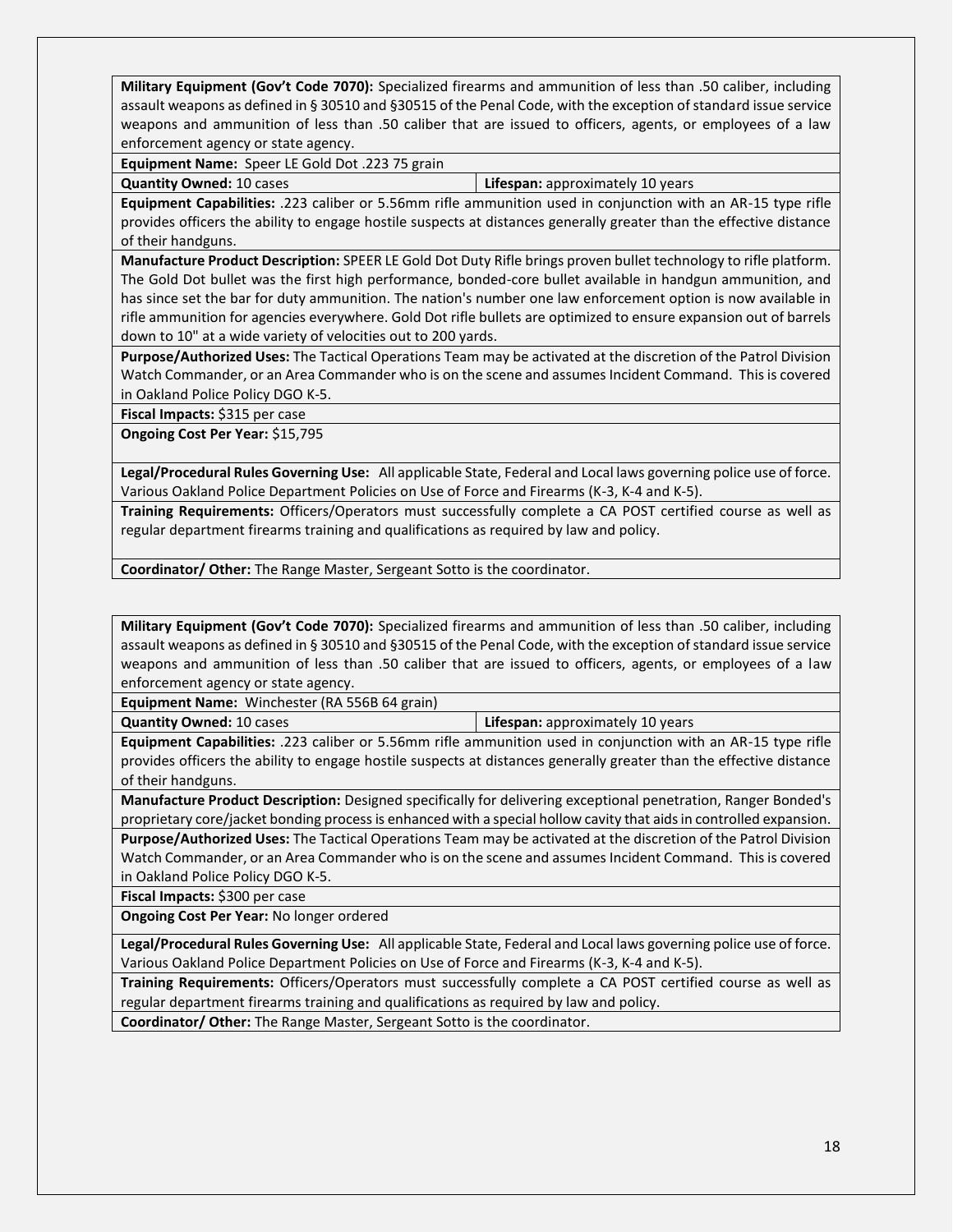**Military Equipment (Gov't Code 7070):** Specialized firearms and ammunition of less than .50 caliber, including assault weapons as defined in § 30510 and §30515 of the Penal Code, with the exception of standard issue service weapons and ammunition of less than .50 caliber that are issued to officers, agents, or employees of a law enforcement agency or state agency.

**Equipment Name:** Speer LE Gold Dot .223 75 grain

**Quantity Owned:** 10 cases **Lifespan:** approximately 10 years

**Equipment Capabilities:** .223 caliber or 5.56mm rifle ammunition used in conjunction with an AR-15 type rifle provides officers the ability to engage hostile suspects at distances generally greater than the effective distance of their handguns.

**Manufacture Product Description:** SPEER LE Gold Dot Duty Rifle brings proven bullet technology to rifle platform. The Gold Dot bullet was the first high performance, bonded-core bullet available in handgun ammunition, and has since set the bar for duty ammunition. The nation's number one law enforcement option is now available in rifle ammunition for agencies everywhere. Gold Dot rifle bullets are optimized to ensure expansion out of barrels down to 10" at a wide variety of velocities out to 200 yards.

**Purpose/Authorized Uses:** The Tactical Operations Team may be activated at the discretion of the Patrol Division Watch Commander, or an Area Commander who is on the scene and assumes Incident Command. This is covered in Oakland Police Policy DGO K-5.

**Fiscal Impacts:** \$315 per case

**Ongoing Cost Per Year:** \$15,795

**Legal/Procedural Rules Governing Use:** All applicable State, Federal and Local laws governing police use of force. Various Oakland Police Department Policies on Use of Force and Firearms (K-3, K-4 and K-5).

**Training Requirements:** Officers/Operators must successfully complete a CA POST certified course as well as regular department firearms training and qualifications as required by law and policy.

**Coordinator/ Other:** The Range Master, Sergeant Sotto is the coordinator.

**Military Equipment (Gov't Code 7070):** Specialized firearms and ammunition of less than .50 caliber, including assault weapons as defined in § 30510 and §30515 of the Penal Code, with the exception of standard issue service weapons and ammunition of less than .50 caliber that are issued to officers, agents, or employees of a law enforcement agency or state agency.

**Equipment Name:** Winchester (RA 556B 64 grain)

**Quantity Owned:** 10 cases **Lifespan:** approximately 10 years

**Equipment Capabilities:** .223 caliber or 5.56mm rifle ammunition used in conjunction with an AR-15 type rifle provides officers the ability to engage hostile suspects at distances generally greater than the effective distance of their handguns.

**Manufacture Product Description:** Designed specifically for delivering exceptional penetration, Ranger Bonded's proprietary core/jacket bonding process is enhanced with a special hollow cavity that aids in controlled expansion.

**Purpose/Authorized Uses:** The Tactical Operations Team may be activated at the discretion of the Patrol Division Watch Commander, or an Area Commander who is on the scene and assumes Incident Command. This is covered in Oakland Police Policy DGO K-5.

**Fiscal Impacts:** \$300 per case

**Ongoing Cost Per Year:** No longer ordered

**Legal/Procedural Rules Governing Use:** All applicable State, Federal and Local laws governing police use of force. Various Oakland Police Department Policies on Use of Force and Firearms (K-3, K-4 and K-5).

**Training Requirements:** Officers/Operators must successfully complete a CA POST certified course as well as regular department firearms training and qualifications as required by law and policy.

**Coordinator/ Other:** The Range Master, Sergeant Sotto is the coordinator.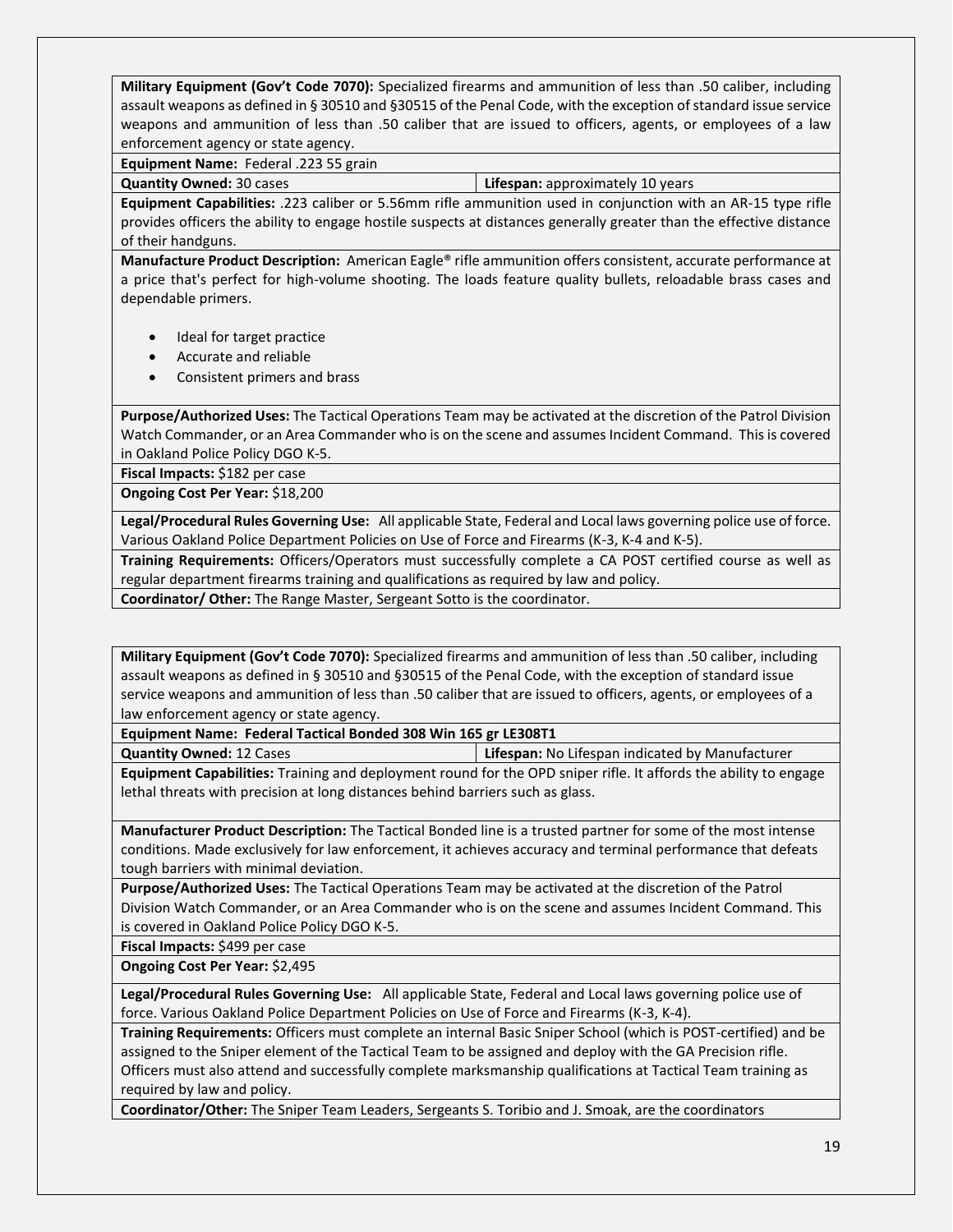**Military Equipment (Gov't Code 7070):** Specialized firearms and ammunition of less than .50 caliber, including assault weapons as defined in § 30510 and §30515 of the Penal Code, with the exception of standard issue service weapons and ammunition of less than .50 caliber that are issued to officers, agents, or employees of a law enforcement agency or state agency.

**Equipment Name:** Federal .223 55 grain

**Quantity Owned:** 30 cases **Lifespan:** approximately 10 years

**Equipment Capabilities:** .223 caliber or 5.56mm rifle ammunition used in conjunction with an AR-15 type rifle provides officers the ability to engage hostile suspects at distances generally greater than the effective distance of their handguns.

**Manufacture Product Description:** American Eagle® rifle ammunition offers consistent, accurate performance at a price that's perfect for high-volume shooting. The loads feature quality bullets, reloadable brass cases and dependable primers.

- Ideal for target practice
- Accurate and reliable
- Consistent primers and brass

**Purpose/Authorized Uses:** The Tactical Operations Team may be activated at the discretion of the Patrol Division Watch Commander, or an Area Commander who is on the scene and assumes Incident Command. This is covered in Oakland Police Policy DGO K-5.

**Fiscal Impacts:** \$182 per case

**Ongoing Cost Per Year:** \$18,200

**Legal/Procedural Rules Governing Use:** All applicable State, Federal and Local laws governing police use of force. Various Oakland Police Department Policies on Use of Force and Firearms (K-3, K-4 and K-5).

**Training Requirements:** Officers/Operators must successfully complete a CA POST certified course as well as regular department firearms training and qualifications as required by law and policy.

**Coordinator/ Other:** The Range Master, Sergeant Sotto is the coordinator.

**Military Equipment (Gov't Code 7070):** Specialized firearms and ammunition of less than .50 caliber, including assault weapons as defined in § 30510 and §30515 of the Penal Code, with the exception of standard issue service weapons and ammunition of less than .50 caliber that are issued to officers, agents, or employees of a law enforcement agency or state agency.

**Equipment Name: Federal Tactical Bonded 308 Win 165 gr LE308T1**

**Quantity Owned:** 12 Cases **Lifespan:** No Lifespan indicated by Manufacturer

**Equipment Capabilities:** Training and deployment round for the OPD sniper rifle. It affords the ability to engage lethal threats with precision at long distances behind barriers such as glass.

**Manufacturer Product Description:** The Tactical Bonded line is a trusted partner for some of the most intense conditions. Made exclusively for law enforcement, it achieves accuracy and terminal performance that defeats tough barriers with minimal deviation.

**Purpose/Authorized Uses:** The Tactical Operations Team may be activated at the discretion of the Patrol Division Watch Commander, or an Area Commander who is on the scene and assumes Incident Command. This is covered in Oakland Police Policy DGO K-5.

**Fiscal Impacts:** \$499 per case

**Ongoing Cost Per Year:** \$2,495

**Legal/Procedural Rules Governing Use:** All applicable State, Federal and Local laws governing police use of force. Various Oakland Police Department Policies on Use of Force and Firearms (K-3, K-4).

**Training Requirements:** Officers must complete an internal Basic Sniper School (which is POST-certified) and be assigned to the Sniper element of the Tactical Team to be assigned and deploy with the GA Precision rifle. Officers must also attend and successfully complete marksmanship qualifications at Tactical Team training as required by law and policy.

**Coordinator/Other:** The Sniper Team Leaders, Sergeants S. Toribio and J. Smoak, are the coordinators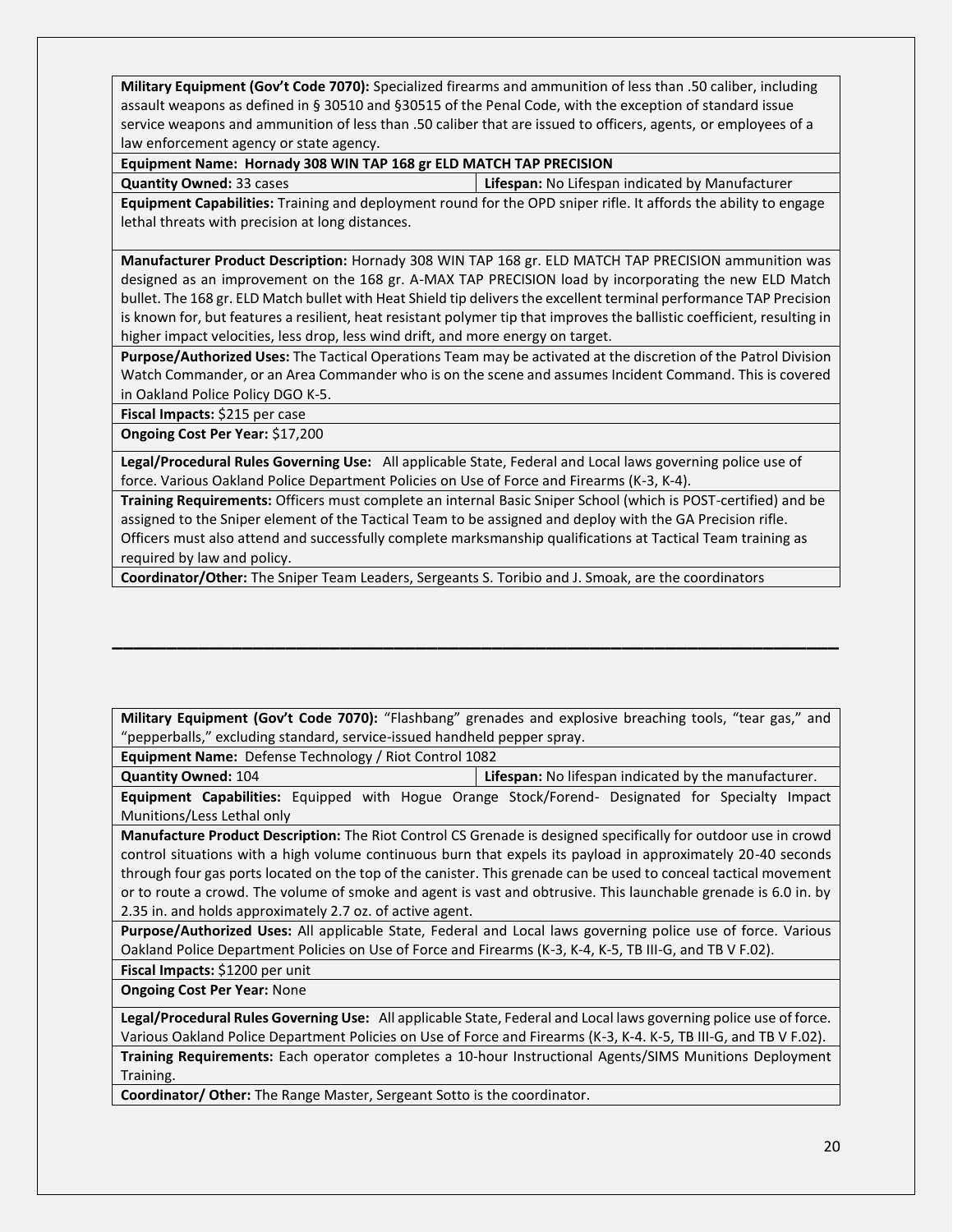**Military Equipment (Gov't Code 7070):** Specialized firearms and ammunition of less than .50 caliber, including assault weapons as defined in § 30510 and §30515 of the Penal Code, with the exception of standard issue service weapons and ammunition of less than .50 caliber that are issued to officers, agents, or employees of a law enforcement agency or state agency.

#### **Equipment Name: Hornady 308 WIN TAP 168 gr ELD MATCH TAP PRECISION**

**Quantity Owned:** 33 cases **Lifespan:** No Lifespan indicated by Manufacturer

**Equipment Capabilities:** Training and deployment round for the OPD sniper rifle. It affords the ability to engage lethal threats with precision at long distances.

**Manufacturer Product Description:** Hornady 308 WIN TAP 168 gr. ELD MATCH TAP PRECISION ammunition was designed as an improvement on the 168 gr. A-MAX TAP PRECISION load by incorporating the new ELD Match bullet. The 168 gr. ELD Match bullet with Heat Shield tip delivers the excellent terminal performance TAP Precision is known for, but features a resilient, heat resistant polymer tip that improves the ballistic coefficient, resulting in higher impact velocities, less drop, less wind drift, and more energy on target.

**Purpose/Authorized Uses:** The Tactical Operations Team may be activated at the discretion of the Patrol Division Watch Commander, or an Area Commander who is on the scene and assumes Incident Command. This is covered in Oakland Police Policy DGO K-5.

**Fiscal Impacts:** \$215 per case

**Ongoing Cost Per Year:** \$17,200

**Legal/Procedural Rules Governing Use:** All applicable State, Federal and Local laws governing police use of force. Various Oakland Police Department Policies on Use of Force and Firearms (K-3, K-4).

**Training Requirements:** Officers must complete an internal Basic Sniper School (which is POST-certified) and be assigned to the Sniper element of the Tactical Team to be assigned and deploy with the GA Precision rifle. Officers must also attend and successfully complete marksmanship qualifications at Tactical Team training as required by law and policy.

**Coordinator/Other:** The Sniper Team Leaders, Sergeants S. Toribio and J. Smoak, are the coordinators

**Military Equipment (Gov't Code 7070):** "Flashbang" grenades and explosive breaching tools, "tear gas," and "pepperballs," excluding standard, service-issued handheld pepper spray.

**\_\_\_\_\_\_\_\_\_\_\_\_\_\_\_\_\_\_\_\_\_\_\_\_\_\_\_\_\_\_\_\_\_\_\_\_\_\_\_\_\_\_\_\_\_\_\_\_\_\_\_\_\_\_\_\_\_\_\_\_\_\_\_\_\_\_\_**

**Equipment Name:** Defense Technology / Riot Control 1082

**Quantity Owned:** 104 **Lifespan:** No lifespan indicated by the manufacturer. **Equipment Capabilities:** Equipped with Hogue Orange Stock/Forend- Designated for Specialty Impact Munitions/Less Lethal only

**Manufacture Product Description:** The Riot Control CS Grenade is designed specifically for outdoor use in crowd control situations with a high volume continuous burn that expels its payload in approximately 20-40 seconds through four gas ports located on the top of the canister. This grenade can be used to conceal tactical movement or to route a crowd. The volume of smoke and agent is vast and obtrusive. This launchable grenade is 6.0 in. by 2.35 in. and holds approximately 2.7 oz. of active agent.

**Purpose/Authorized Uses:** All applicable State, Federal and Local laws governing police use of force. Various Oakland Police Department Policies on Use of Force and Firearms (K-3, K-4, K-5, TB III-G, and TB V F.02).

**Fiscal Impacts:** \$1200 per unit

**Ongoing Cost Per Year:** None

**Legal/Procedural Rules Governing Use:** All applicable State, Federal and Local laws governing police use of force. Various Oakland Police Department Policies on Use of Force and Firearms (K-3, K-4. K-5, TB III-G, and TB V F.02).

**Training Requirements:** Each operator completes a 10-hour Instructional Agents/SIMS Munitions Deployment Training.

**Coordinator/ Other:** The Range Master, Sergeant Sotto is the coordinator.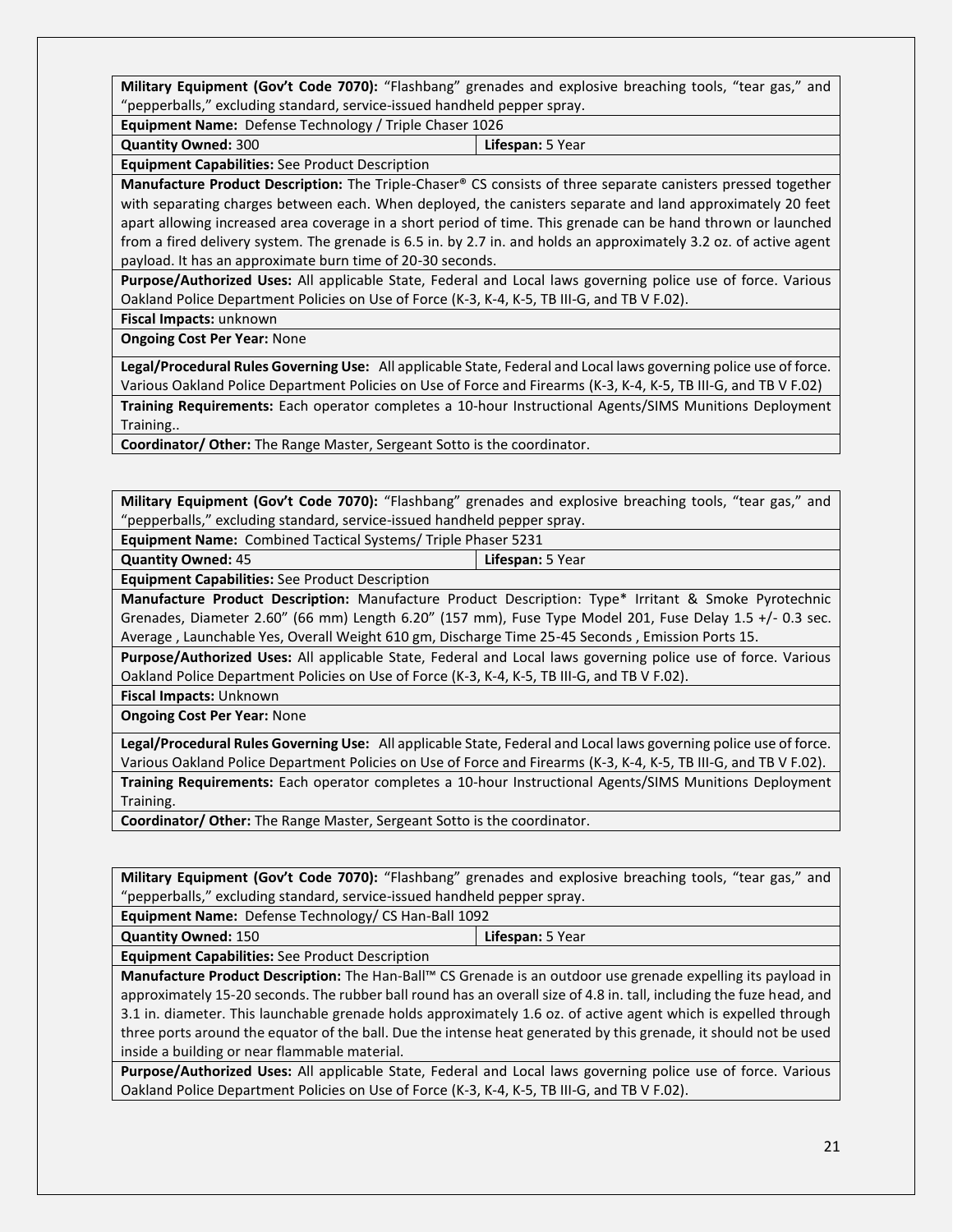**Military Equipment (Gov't Code 7070):** "Flashbang" grenades and explosive breaching tools, "tear gas," and "pepperballs," excluding standard, service-issued handheld pepper spray.

**Equipment Name:** Defense Technology / Triple Chaser 1026

**Quantity Owned:** 300 **Lifespan:** 5 Year

**Equipment Capabilities:** See Product Description

**Manufacture Product Description:** The Triple-Chaser® CS consists of three separate canisters pressed together with separating charges between each. When deployed, the canisters separate and land approximately 20 feet apart allowing increased area coverage in a short period of time. This grenade can be hand thrown or launched from a fired delivery system. The grenade is 6.5 in. by 2.7 in. and holds an approximately 3.2 oz. of active agent payload. It has an approximate burn time of 20-30 seconds.

**Purpose/Authorized Uses:** All applicable State, Federal and Local laws governing police use of force. Various Oakland Police Department Policies on Use of Force (K-3, K-4, K-5, TB III-G, and TB V F.02).

**Fiscal Impacts:** unknown

**Ongoing Cost Per Year:** None

**Legal/Procedural Rules Governing Use:** All applicable State, Federal and Local laws governing police use of force. Various Oakland Police Department Policies on Use of Force and Firearms (K-3, K-4, K-5, TB III-G, and TB V F.02) **Training Requirements:** Each operator completes a 10-hour Instructional Agents/SIMS Munitions Deployment

Training..

**Coordinator/ Other:** The Range Master, Sergeant Sotto is the coordinator.

**Military Equipment (Gov't Code 7070):** "Flashbang" grenades and explosive breaching tools, "tear gas," and "pepperballs," excluding standard, service-issued handheld pepper spray.

**Equipment Name:** Combined Tactical Systems/ Triple Phaser 5231

**Quantity Owned:** 45 **Lifespan:** 5 Year

**Equipment Capabilities:** See Product Description

**Manufacture Product Description:** Manufacture Product Description: Type\* Irritant & Smoke Pyrotechnic Grenades, Diameter 2.60" (66 mm) Length 6.20" (157 mm), Fuse Type Model 201, Fuse Delay 1.5 +/- 0.3 sec. Average , Launchable Yes, Overall Weight 610 gm, Discharge Time 25-45 Seconds , Emission Ports 15.

**Purpose/Authorized Uses:** All applicable State, Federal and Local laws governing police use of force. Various Oakland Police Department Policies on Use of Force (K-3, K-4, K-5, TB III-G, and TB V F.02).

**Fiscal Impacts:** Unknown

**Ongoing Cost Per Year:** None

**Legal/Procedural Rules Governing Use:** All applicable State, Federal and Local laws governing police use of force. Various Oakland Police Department Policies on Use of Force and Firearms (K-3, K-4, K-5, TB III-G, and TB V F.02). **Training Requirements:** Each operator completes a 10-hour Instructional Agents/SIMS Munitions Deployment Training.

**Coordinator/ Other:** The Range Master, Sergeant Sotto is the coordinator.

**Military Equipment (Gov't Code 7070):** "Flashbang" grenades and explosive breaching tools, "tear gas," and "pepperballs," excluding standard, service-issued handheld pepper spray.

**Equipment Name:** Defense Technology/ CS Han-Ball 1092

**Quantity Owned:** 150 **Lifespan:** 5 Year

**Equipment Capabilities:** See Product Description

**Manufacture Product Description:** The Han-Ball™ CS Grenade is an outdoor use grenade expelling its payload in approximately 15-20 seconds. The rubber ball round has an overall size of 4.8 in. tall, including the fuze head, and 3.1 in. diameter. This launchable grenade holds approximately 1.6 oz. of active agent which is expelled through three ports around the equator of the ball. Due the intense heat generated by this grenade, it should not be used inside a building or near flammable material.

**Purpose/Authorized Uses:** All applicable State, Federal and Local laws governing police use of force. Various Oakland Police Department Policies on Use of Force (K-3, K-4, K-5, TB III-G, and TB V F.02).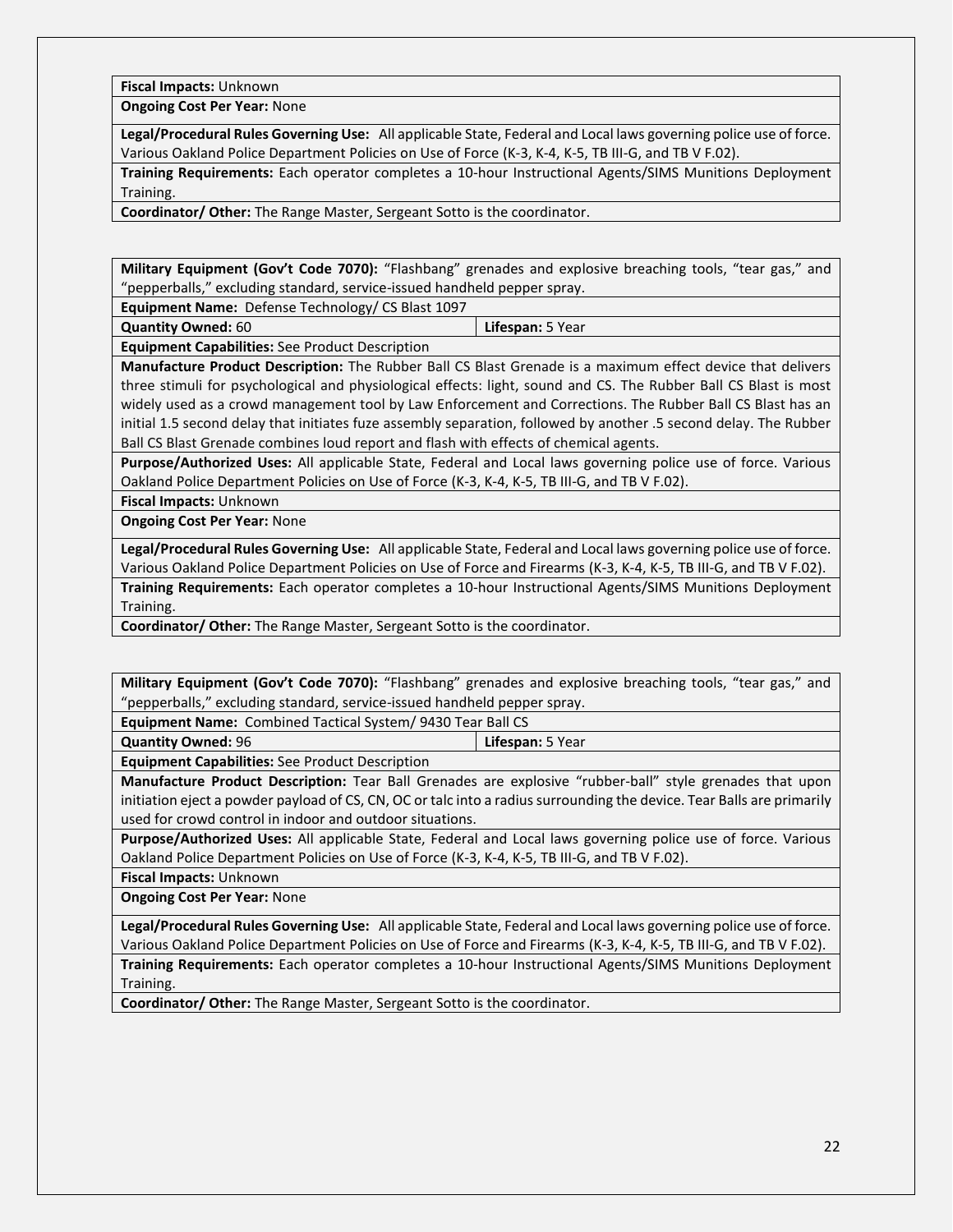**Fiscal Impacts:** Unknown

**Ongoing Cost Per Year:** None

**Legal/Procedural Rules Governing Use:** All applicable State, Federal and Local laws governing police use of force. Various Oakland Police Department Policies on Use of Force (K-3, K-4, K-5, TB III-G, and TB V F.02).

**Training Requirements:** Each operator completes a 10-hour Instructional Agents/SIMS Munitions Deployment Training.

**Coordinator/ Other:** The Range Master, Sergeant Sotto is the coordinator.

**Military Equipment (Gov't Code 7070):** "Flashbang" grenades and explosive breaching tools, "tear gas," and "pepperballs," excluding standard, service-issued handheld pepper spray.

**Equipment Name:** Defense Technology/ CS Blast 1097

**Quantity Owned:** 60 **Lifespan:** 5 Year

**Equipment Capabilities:** See Product Description

**Manufacture Product Description:** The Rubber Ball CS Blast Grenade is a maximum effect device that delivers three stimuli for psychological and physiological effects: light, sound and CS. The Rubber Ball CS Blast is most widely used as a crowd management tool by Law Enforcement and Corrections. The Rubber Ball CS Blast has an initial 1.5 second delay that initiates fuze assembly separation, followed by another .5 second delay. The Rubber Ball CS Blast Grenade combines loud report and flash with effects of chemical agents.

**Purpose/Authorized Uses:** All applicable State, Federal and Local laws governing police use of force. Various Oakland Police Department Policies on Use of Force (K-3, K-4, K-5, TB III-G, and TB V F.02).

**Fiscal Impacts:** Unknown

**Ongoing Cost Per Year:** None

**Legal/Procedural Rules Governing Use:** All applicable State, Federal and Local laws governing police use of force. Various Oakland Police Department Policies on Use of Force and Firearms (K-3, K-4, K-5, TB III-G, and TB V F.02). **Training Requirements:** Each operator completes a 10-hour Instructional Agents/SIMS Munitions Deployment Training.

**Coordinator/ Other:** The Range Master, Sergeant Sotto is the coordinator.

**Military Equipment (Gov't Code 7070):** "Flashbang" grenades and explosive breaching tools, "tear gas," and "pepperballs," excluding standard, service-issued handheld pepper spray.

**Equipment Name:** Combined Tactical System/ 9430 Tear Ball CS

**Quantity Owned:** 96 **Lifespan:** 5 Year

**Equipment Capabilities:** See Product Description

**Manufacture Product Description:** Tear Ball Grenades are explosive "rubber-ball" style grenades that upon initiation eject a powder payload of CS, CN, OC or talc into a radius surrounding the device. Tear Balls are primarily used for crowd control in indoor and outdoor situations.

**Purpose/Authorized Uses:** All applicable State, Federal and Local laws governing police use of force. Various Oakland Police Department Policies on Use of Force (K-3, K-4, K-5, TB III-G, and TB V F.02).

**Fiscal Impacts:** Unknown

**Ongoing Cost Per Year:** None

**Legal/Procedural Rules Governing Use:** All applicable State, Federal and Local laws governing police use of force. Various Oakland Police Department Policies on Use of Force and Firearms (K-3, K-4, K-5, TB III-G, and TB V F.02).

**Training Requirements:** Each operator completes a 10-hour Instructional Agents/SIMS Munitions Deployment Training.

**Coordinator/ Other:** The Range Master, Sergeant Sotto is the coordinator.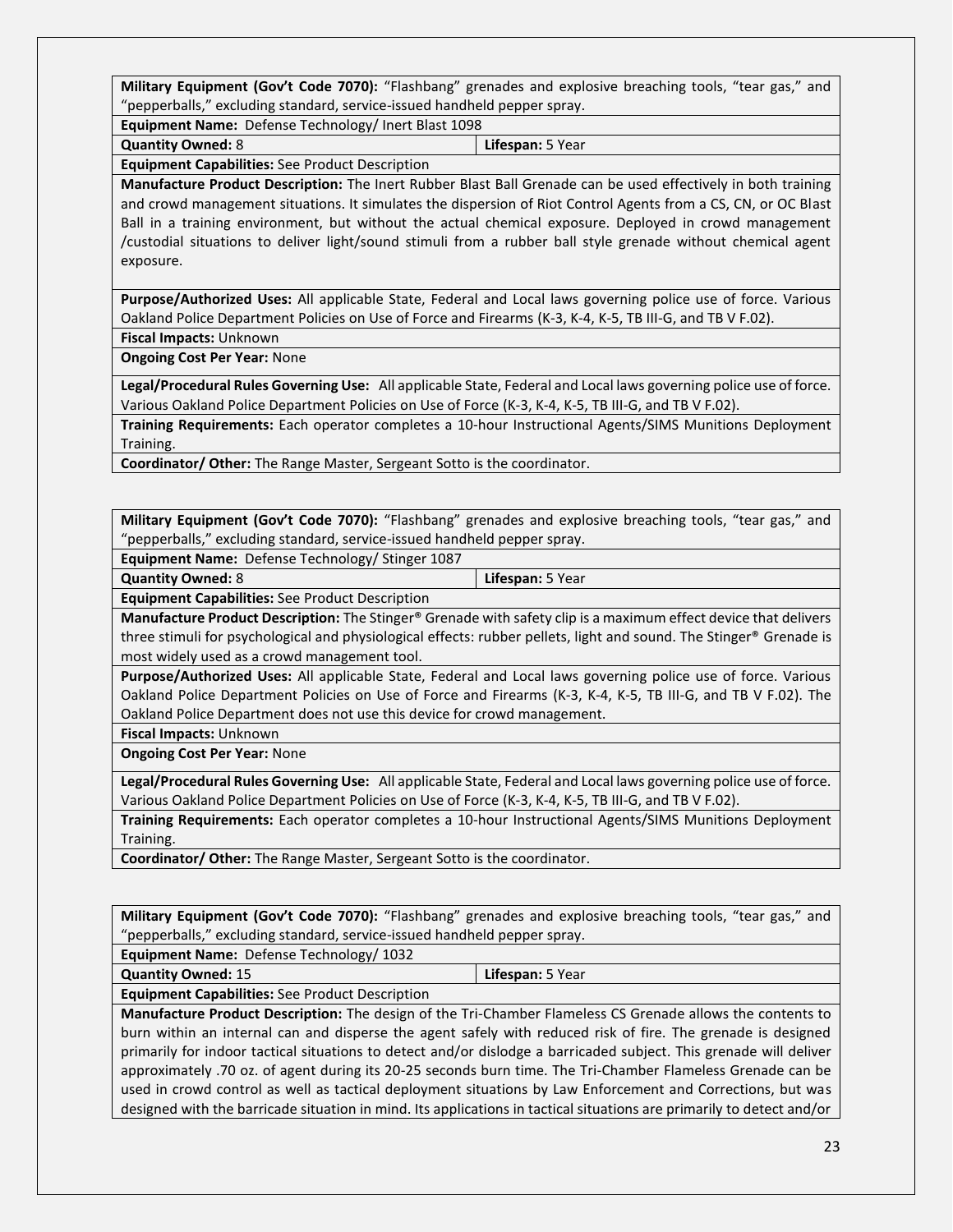**Military Equipment (Gov't Code 7070):** "Flashbang" grenades and explosive breaching tools, "tear gas," and "pepperballs," excluding standard, service-issued handheld pepper spray.

**Equipment Name:** Defense Technology/ Inert Blast 1098

**Quantity Owned:** 8 **Lifespan:** 5 Year

**Equipment Capabilities:** See Product Description

**Manufacture Product Description:** The Inert Rubber Blast Ball Grenade can be used effectively in both training and crowd management situations. It simulates the dispersion of Riot Control Agents from a CS, CN, or OC Blast Ball in a training environment, but without the actual chemical exposure. Deployed in crowd management /custodial situations to deliver light/sound stimuli from a rubber ball style grenade without chemical agent exposure.

**Purpose/Authorized Uses:** All applicable State, Federal and Local laws governing police use of force. Various Oakland Police Department Policies on Use of Force and Firearms (K-3, K-4, K-5, TB III-G, and TB V F.02).

**Fiscal Impacts:** Unknown

**Ongoing Cost Per Year:** None

**Legal/Procedural Rules Governing Use:** All applicable State, Federal and Local laws governing police use of force. Various Oakland Police Department Policies on Use of Force (K-3, K-4, K-5, TB III-G, and TB V F.02).

**Training Requirements:** Each operator completes a 10-hour Instructional Agents/SIMS Munitions Deployment Training.

**Coordinator/ Other:** The Range Master, Sergeant Sotto is the coordinator.

**Military Equipment (Gov't Code 7070):** "Flashbang" grenades and explosive breaching tools, "tear gas," and "pepperballs," excluding standard, service-issued handheld pepper spray.

**Equipment Name:** Defense Technology/ Stinger 1087

**Quantity Owned:** 8 **Lifespan:** 5 Year

**Equipment Capabilities:** See Product Description

**Manufacture Product Description:** The Stinger® Grenade with safety clip is a maximum effect device that delivers three stimuli for psychological and physiological effects: rubber pellets, light and sound. The Stinger® Grenade is most widely used as a crowd management tool.

**Purpose/Authorized Uses:** All applicable State, Federal and Local laws governing police use of force. Various Oakland Police Department Policies on Use of Force and Firearms (K-3, K-4, K-5, TB III-G, and TB V F.02). The Oakland Police Department does not use this device for crowd management.

**Fiscal Impacts:** Unknown

**Ongoing Cost Per Year:** None

**Legal/Procedural Rules Governing Use:** All applicable State, Federal and Local laws governing police use of force. Various Oakland Police Department Policies on Use of Force (K-3, K-4, K-5, TB III-G, and TB V F.02).

**Training Requirements:** Each operator completes a 10-hour Instructional Agents/SIMS Munitions Deployment Training.

**Coordinator/ Other:** The Range Master, Sergeant Sotto is the coordinator.

**Military Equipment (Gov't Code 7070):** "Flashbang" grenades and explosive breaching tools, "tear gas," and "pepperballs," excluding standard, service-issued handheld pepper spray.

**Equipment Name:** Defense Technology/ 1032

**Quantity Owned:** 15 **Lifespan:** 5 Year

**Equipment Capabilities:** See Product Description

**Manufacture Product Description:** The design of the Tri-Chamber Flameless CS Grenade allows the contents to burn within an internal can and disperse the agent safely with reduced risk of fire. The grenade is designed primarily for indoor tactical situations to detect and/or dislodge a barricaded subject. This grenade will deliver approximately .70 oz. of agent during its 20-25 seconds burn time. The Tri-Chamber Flameless Grenade can be used in crowd control as well as tactical deployment situations by Law Enforcement and Corrections, but was designed with the barricade situation in mind. Its applications in tactical situations are primarily to detect and/or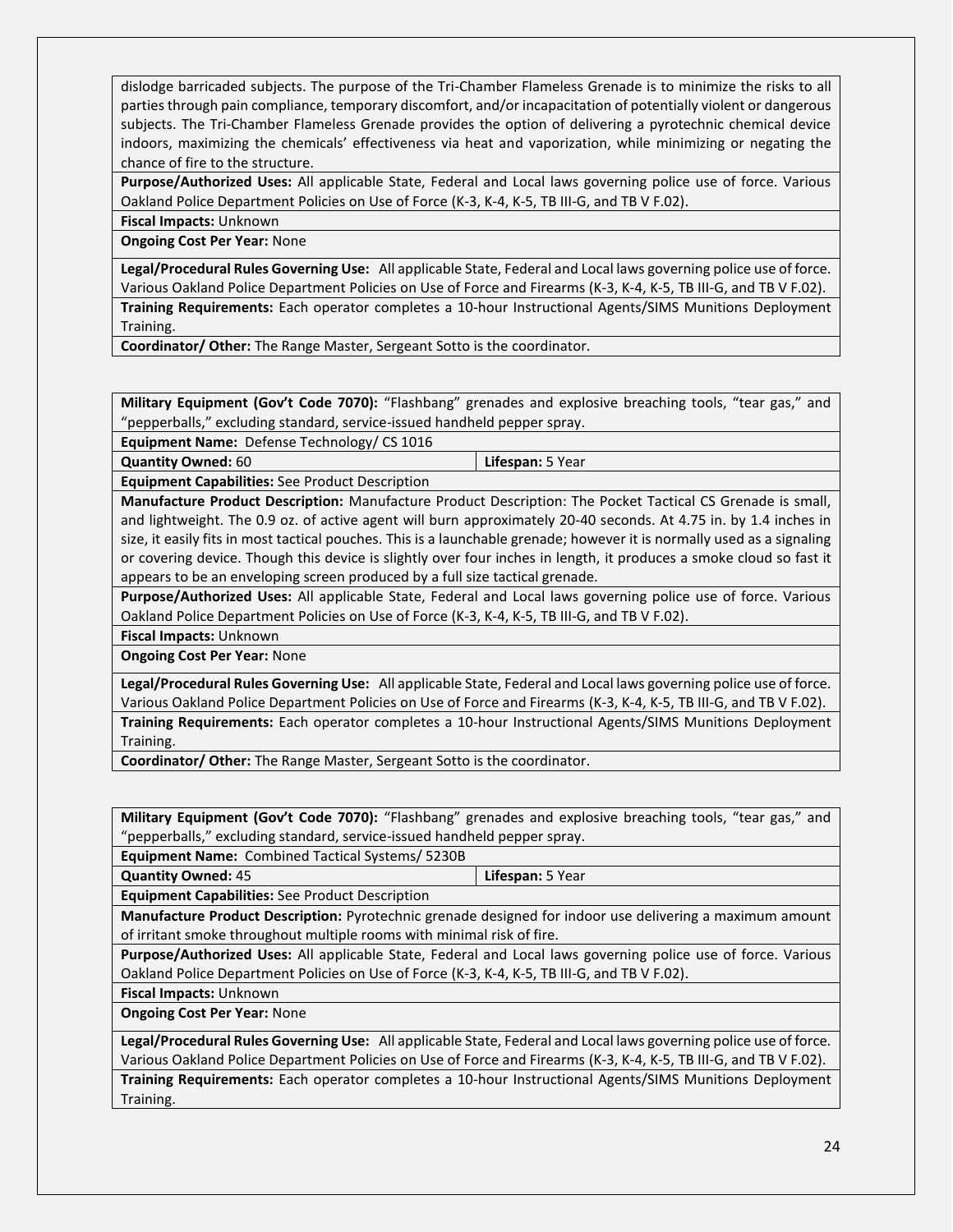dislodge barricaded subjects. The purpose of the Tri-Chamber Flameless Grenade is to minimize the risks to all parties through pain compliance, temporary discomfort, and/or incapacitation of potentially violent or dangerous subjects. The Tri-Chamber Flameless Grenade provides the option of delivering a pyrotechnic chemical device indoors, maximizing the chemicals' effectiveness via heat and vaporization, while minimizing or negating the chance of fire to the structure.

**Purpose/Authorized Uses:** All applicable State, Federal and Local laws governing police use of force. Various Oakland Police Department Policies on Use of Force (K-3, K-4, K-5, TB III-G, and TB V F.02).

**Fiscal Impacts:** Unknown

**Ongoing Cost Per Year:** None

**Legal/Procedural Rules Governing Use:** All applicable State, Federal and Local laws governing police use of force. Various Oakland Police Department Policies on Use of Force and Firearms (K-3, K-4, K-5, TB III-G, and TB V F.02). **Training Requirements:** Each operator completes a 10-hour Instructional Agents/SIMS Munitions Deployment Training.

**Coordinator/ Other:** The Range Master, Sergeant Sotto is the coordinator.

**Military Equipment (Gov't Code 7070):** "Flashbang" grenades and explosive breaching tools, "tear gas," and "pepperballs," excluding standard, service-issued handheld pepper spray.

**Equipment Name:** Defense Technology/ CS 1016

| Quantity Owned: 60                                     | Lifespan: 5 Year |
|--------------------------------------------------------|------------------|
| <b>Equipment Capabilities:</b> See Product Description |                  |

**Manufacture Product Description:** Manufacture Product Description: The Pocket Tactical CS Grenade is small, and lightweight. The 0.9 oz. of active agent will burn approximately 20-40 seconds. At 4.75 in. by 1.4 inches in size, it easily fits in most tactical pouches. This is a launchable grenade; however it is normally used as a signaling or covering device. Though this device is slightly over four inches in length, it produces a smoke cloud so fast it appears to be an enveloping screen produced by a full size tactical grenade.

**Purpose/Authorized Uses:** All applicable State, Federal and Local laws governing police use of force. Various Oakland Police Department Policies on Use of Force (K-3, K-4, K-5, TB III-G, and TB V F.02).

**Fiscal Impacts:** Unknown

**Ongoing Cost Per Year:** None

**Legal/Procedural Rules Governing Use:** All applicable State, Federal and Local laws governing police use of force. Various Oakland Police Department Policies on Use of Force and Firearms (K-3, K-4, K-5, TB III-G, and TB V F.02). **Training Requirements:** Each operator completes a 10-hour Instructional Agents/SIMS Munitions Deployment Training.

**Coordinator/ Other:** The Range Master, Sergeant Sotto is the coordinator.

**Military Equipment (Gov't Code 7070):** "Flashbang" grenades and explosive breaching tools, "tear gas," and "pepperballs," excluding standard, service-issued handheld pepper spray.

**Equipment Name:** Combined Tactical Systems/ 5230B

**Quantity Owned:** 45 **Lifespan:** 5 Year

**Equipment Capabilities:** See Product Description

**Manufacture Product Description:** Pyrotechnic grenade designed for indoor use delivering a maximum amount of irritant smoke throughout multiple rooms with minimal risk of fire.

**Purpose/Authorized Uses:** All applicable State, Federal and Local laws governing police use of force. Various Oakland Police Department Policies on Use of Force (K-3, K-4, K-5, TB III-G, and TB V F.02).

**Fiscal Impacts:** Unknown

**Ongoing Cost Per Year:** None

**Legal/Procedural Rules Governing Use:** All applicable State, Federal and Local laws governing police use of force. Various Oakland Police Department Policies on Use of Force and Firearms (K-3, K-4, K-5, TB III-G, and TB V F.02).

**Training Requirements:** Each operator completes a 10-hour Instructional Agents/SIMS Munitions Deployment Training.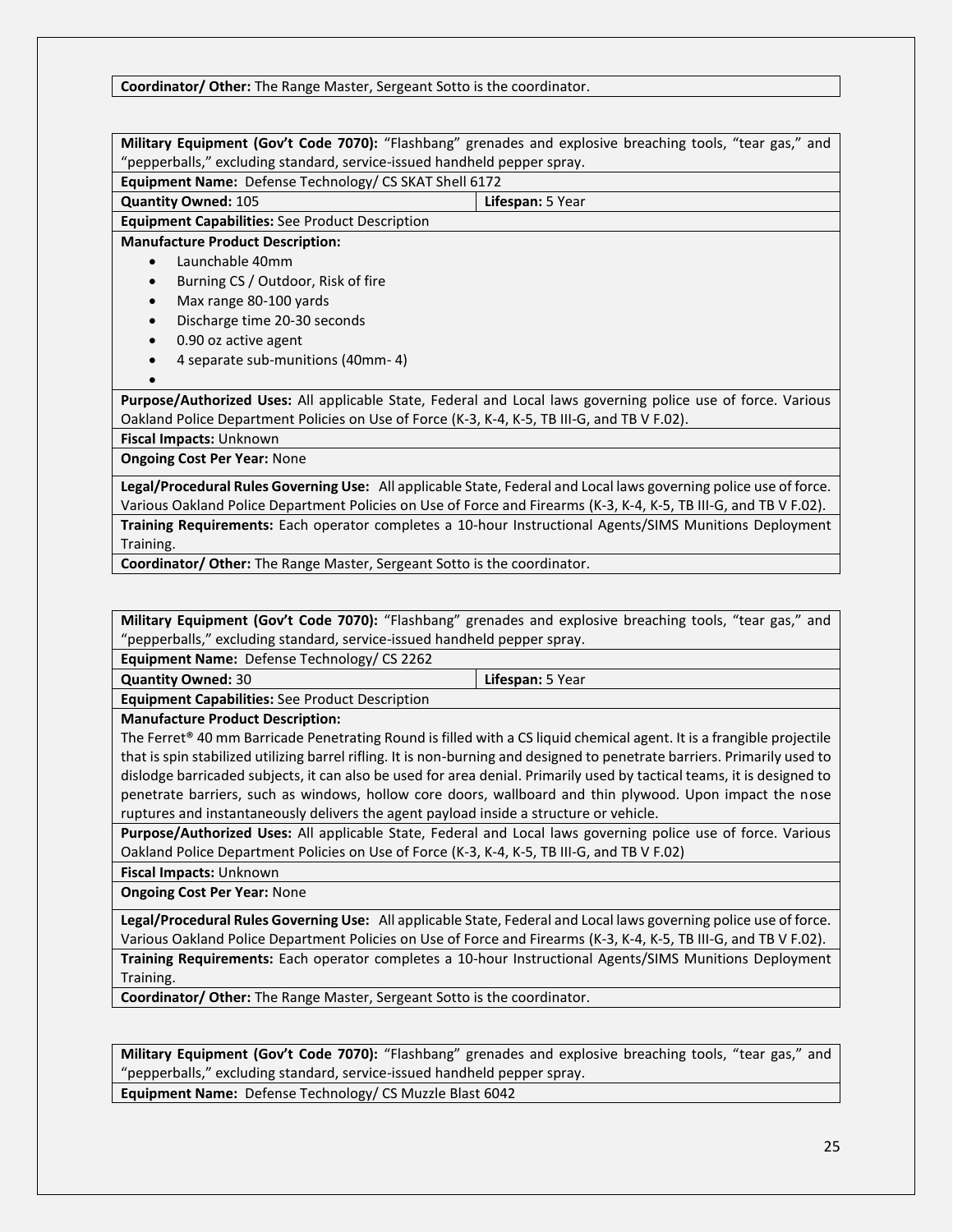#### **Coordinator/ Other:** The Range Master, Sergeant Sotto is the coordinator.

|                                                                                                              | Military Equipment (Gov't Code 7070): "Flashbang" grenades and explosive breaching tools, "tear gas," and         |  |
|--------------------------------------------------------------------------------------------------------------|-------------------------------------------------------------------------------------------------------------------|--|
| "pepperballs," excluding standard, service-issued handheld pepper spray.                                     |                                                                                                                   |  |
| Equipment Name: Defense Technology/ CS SKAT Shell 6172                                                       |                                                                                                                   |  |
| <b>Quantity Owned: 105</b>                                                                                   | <b>Lifespan:</b> 5 Year                                                                                           |  |
| <b>Equipment Capabilities:</b> See Product Description                                                       |                                                                                                                   |  |
| <b>Manufacture Product Description:</b>                                                                      |                                                                                                                   |  |
| Launchable 40mm                                                                                              |                                                                                                                   |  |
| Burning CS / Outdoor, Risk of fire                                                                           |                                                                                                                   |  |
| Max range 80-100 yards<br>$\bullet$                                                                          |                                                                                                                   |  |
| Discharge time 20-30 seconds<br>$\bullet$                                                                    |                                                                                                                   |  |
| 0.90 oz active agent<br>$\bullet$                                                                            |                                                                                                                   |  |
| 4 separate sub-munitions (40mm-4)                                                                            |                                                                                                                   |  |
|                                                                                                              |                                                                                                                   |  |
| Purpose/Authorized Uses: All applicable State, Federal and Local laws governing police use of force. Various |                                                                                                                   |  |
| Oakland Police Department Policies on Use of Force (K-3, K-4, K-5, TB III-G, and TB V F.02).                 |                                                                                                                   |  |
| Fiscal Impacts: Unknown                                                                                      |                                                                                                                   |  |
| <b>Ongoing Cost Per Year: None</b>                                                                           |                                                                                                                   |  |
|                                                                                                              | Legal/Procedural Rules Governing Use: All applicable State, Federal and Local laws governing police use of force. |  |

Various Oakland Police Department Policies on Use of Force and Firearms (K-3, K-4, K-5, TB III-G, and TB V F.02). **Training Requirements:** Each operator completes a 10-hour Instructional Agents/SIMS Munitions Deployment Training.

**Coordinator/ Other:** The Range Master, Sergeant Sotto is the coordinator.

**Military Equipment (Gov't Code 7070):** "Flashbang" grenades and explosive breaching tools, "tear gas," and "pepperballs," excluding standard, service-issued handheld pepper spray.

**Equipment Name:** Defense Technology/ CS 2262

| <b>Quantity Owned: 30</b>                              | Lifespan: 5 Year |
|--------------------------------------------------------|------------------|
| <b>Equipment Capabilities:</b> See Product Description |                  |

**Manufacture Product Description:**

The Ferret<sup>®</sup> 40 mm Barricade Penetrating Round is filled with a CS liquid chemical agent. It is a frangible projectile that is spin stabilized utilizing barrel rifling. It is non-burning and designed to penetrate barriers. Primarily used to dislodge barricaded subjects, it can also be used for area denial. Primarily used by tactical teams, it is designed to penetrate barriers, such as windows, hollow core doors, wallboard and thin plywood. Upon impact the nose ruptures and instantaneously delivers the agent payload inside a structure or vehicle.

**Purpose/Authorized Uses:** All applicable State, Federal and Local laws governing police use of force. Various Oakland Police Department Policies on Use of Force (K-3, K-4, K-5, TB III-G, and TB V F.02)

**Fiscal Impacts:** Unknown

**Ongoing Cost Per Year:** None

**Legal/Procedural Rules Governing Use:** All applicable State, Federal and Local laws governing police use of force. Various Oakland Police Department Policies on Use of Force and Firearms (K-3, K-4, K-5, TB III-G, and TB V F.02). **Training Requirements:** Each operator completes a 10-hour Instructional Agents/SIMS Munitions Deployment Training.

**Coordinator/ Other:** The Range Master, Sergeant Sotto is the coordinator.

**Military Equipment (Gov't Code 7070):** "Flashbang" grenades and explosive breaching tools, "tear gas," and "pepperballs," excluding standard, service-issued handheld pepper spray. **Equipment Name:** Defense Technology/ CS Muzzle Blast 6042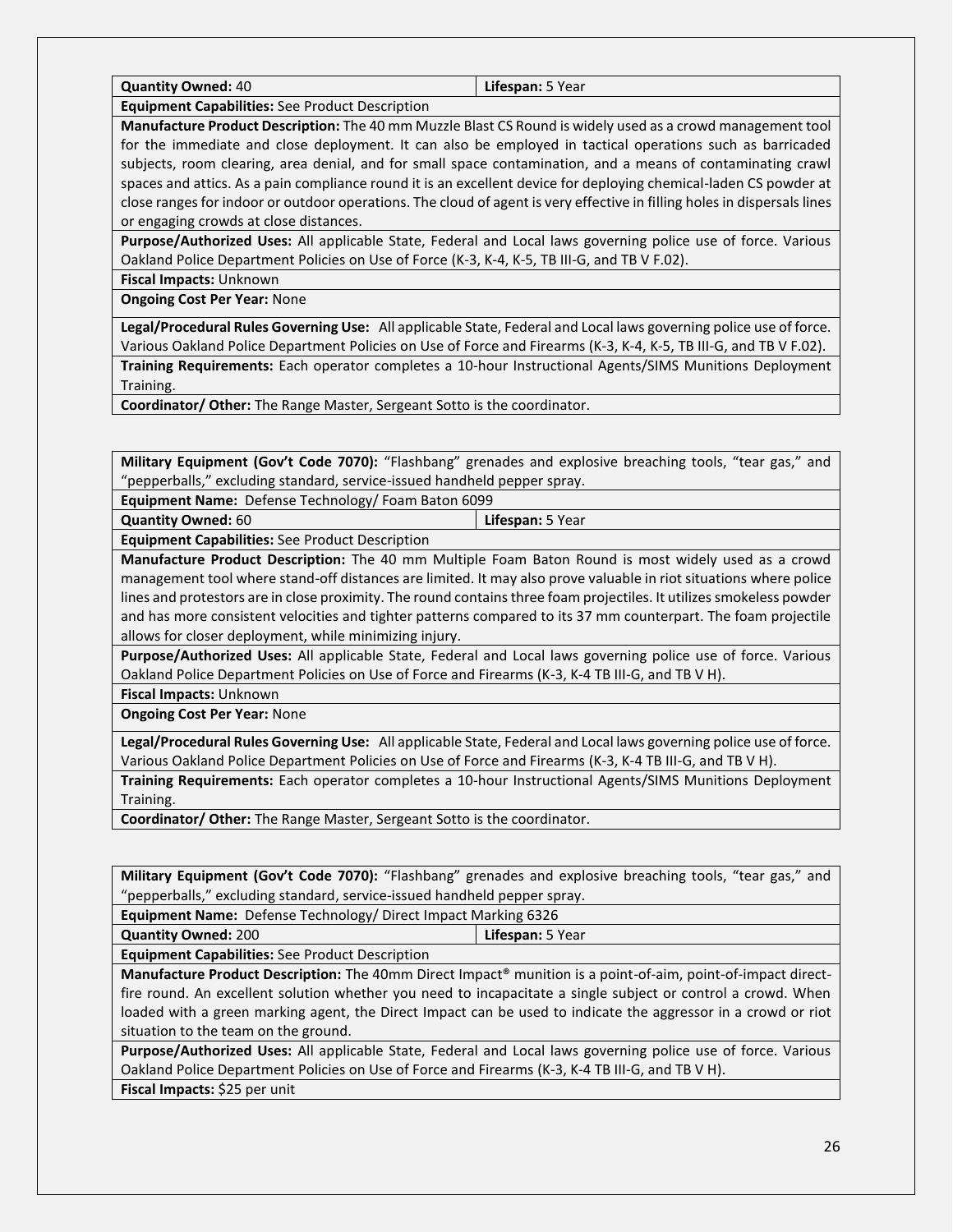**Quantity Owned:** 40 **Lifespan:** 5 Year

**Equipment Capabilities:** See Product Description

**Manufacture Product Description:** The 40 mm Muzzle Blast CS Round is widely used as a crowd management tool for the immediate and close deployment. It can also be employed in tactical operations such as barricaded subjects, room clearing, area denial, and for small space contamination, and a means of contaminating crawl spaces and attics. As a pain compliance round it is an excellent device for deploying chemical-laden CS powder at close ranges for indoor or outdoor operations. The cloud of agent is very effective in filling holes in dispersals lines or engaging crowds at close distances.

**Purpose/Authorized Uses:** All applicable State, Federal and Local laws governing police use of force. Various Oakland Police Department Policies on Use of Force (K-3, K-4, K-5, TB III-G, and TB V F.02).

**Fiscal Impacts:** Unknown

**Ongoing Cost Per Year:** None

**Legal/Procedural Rules Governing Use:** All applicable State, Federal and Local laws governing police use of force. Various Oakland Police Department Policies on Use of Force and Firearms (K-3, K-4, K-5, TB III-G, and TB V F.02).

**Training Requirements:** Each operator completes a 10-hour Instructional Agents/SIMS Munitions Deployment Training.

**Coordinator/ Other:** The Range Master, Sergeant Sotto is the coordinator.

**Military Equipment (Gov't Code 7070):** "Flashbang" grenades and explosive breaching tools, "tear gas," and "pepperballs," excluding standard, service-issued handheld pepper spray.

**Equipment Name:** Defense Technology/ Foam Baton 6099

**Quantity Owned:** 60 **Lifespan:** 5 Year

**Equipment Capabilities:** See Product Description

**Manufacture Product Description:** The 40 mm Multiple Foam Baton Round is most widely used as a crowd management tool where stand-off distances are limited. It may also prove valuable in riot situations where police lines and protestors are in close proximity. The round contains three foam projectiles. It utilizes smokeless powder and has more consistent velocities and tighter patterns compared to its 37 mm counterpart. The foam projectile allows for closer deployment, while minimizing injury.

**Purpose/Authorized Uses:** All applicable State, Federal and Local laws governing police use of force. Various Oakland Police Department Policies on Use of Force and Firearms (K-3, K-4 TB III-G, and TB V H).

**Fiscal Impacts:** Unknown

**Ongoing Cost Per Year:** None

**Legal/Procedural Rules Governing Use:** All applicable State, Federal and Local laws governing police use of force. Various Oakland Police Department Policies on Use of Force and Firearms (K-3, K-4 TB III-G, and TB V H).

**Training Requirements:** Each operator completes a 10-hour Instructional Agents/SIMS Munitions Deployment Training.

**Coordinator/ Other:** The Range Master, Sergeant Sotto is the coordinator.

**Military Equipment (Gov't Code 7070):** "Flashbang" grenades and explosive breaching tools, "tear gas," and "pepperballs," excluding standard, service-issued handheld pepper spray.

**Equipment Name:** Defense Technology/ Direct Impact Marking 6326

**Quantity Owned:** 200 **Lifespan:** 5 Year

**Equipment Capabilities:** See Product Description

**Manufacture Product Description:** The 40mm Direct Impact® munition is a point-of-aim, point-of-impact directfire round. An excellent solution whether you need to incapacitate a single subject or control a crowd. When loaded with a green marking agent, the Direct Impact can be used to indicate the aggressor in a crowd or riot situation to the team on the ground.

**Purpose/Authorized Uses:** All applicable State, Federal and Local laws governing police use of force. Various Oakland Police Department Policies on Use of Force and Firearms (K-3, K-4 TB III-G, and TB V H). **Fiscal Impacts:** \$25 per unit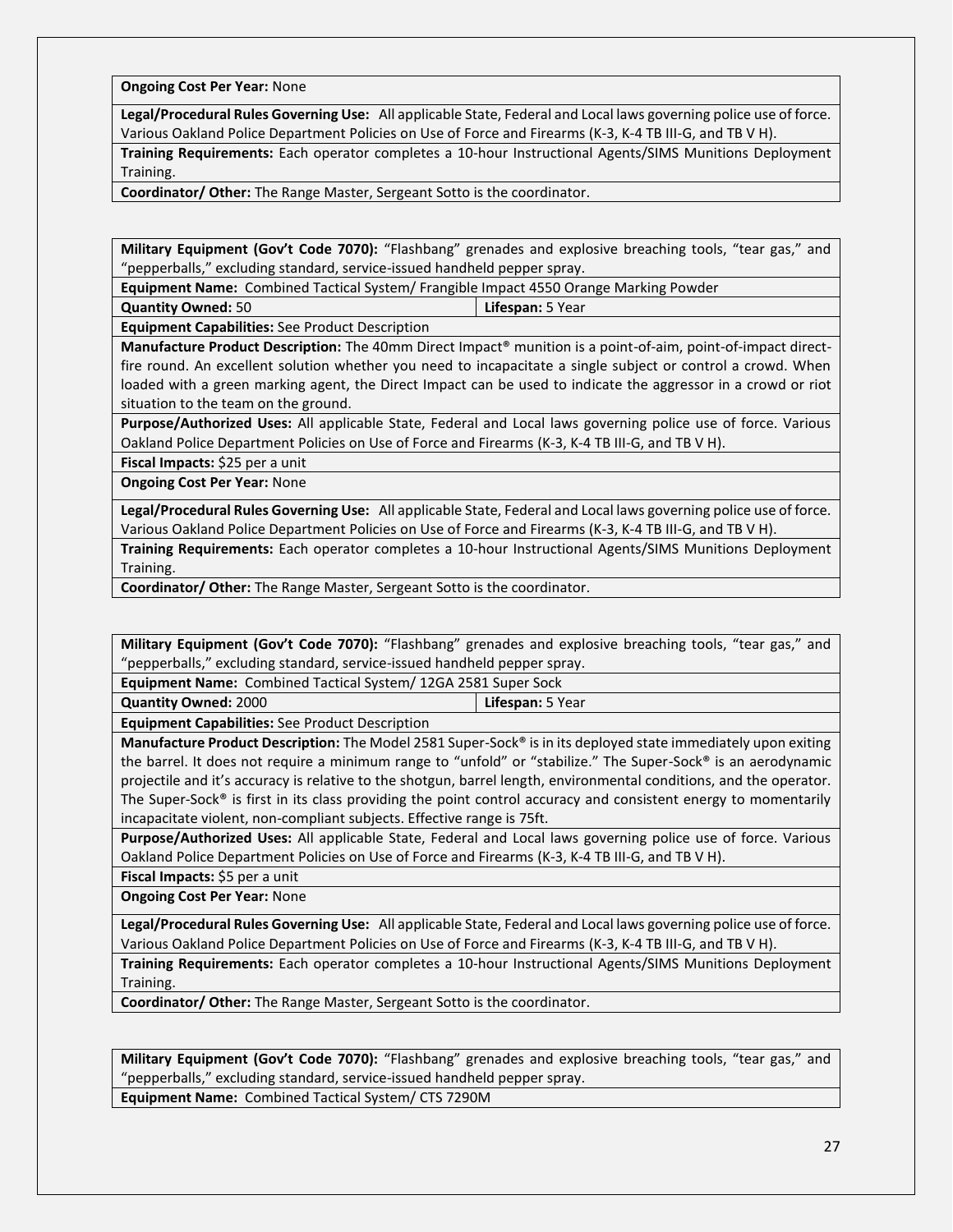**Ongoing Cost Per Year:** None

**Legal/Procedural Rules Governing Use:** All applicable State, Federal and Local laws governing police use of force. Various Oakland Police Department Policies on Use of Force and Firearms (K-3, K-4 TB III-G, and TB V H).

**Training Requirements:** Each operator completes a 10-hour Instructional Agents/SIMS Munitions Deployment Training.

**Coordinator/ Other:** The Range Master, Sergeant Sotto is the coordinator.

**Military Equipment (Gov't Code 7070):** "Flashbang" grenades and explosive breaching tools, "tear gas," and "pepperballs," excluding standard, service-issued handheld pepper spray.

**Equipment Name:** Combined Tactical System/ Frangible Impact 4550 Orange Marking Powder

**Quantity Owned:** 50 **Lifespan:** 5 Year

**Equipment Capabilities:** See Product Description

**Manufacture Product Description:** The 40mm Direct Impact® munition is a point-of-aim, point-of-impact directfire round. An excellent solution whether you need to incapacitate a single subject or control a crowd. When loaded with a green marking agent, the Direct Impact can be used to indicate the aggressor in a crowd or riot situation to the team on the ground.

**Purpose/Authorized Uses:** All applicable State, Federal and Local laws governing police use of force. Various Oakland Police Department Policies on Use of Force and Firearms (K-3, K-4 TB III-G, and TB V H).

**Fiscal Impacts:** \$25 per a unit

**Ongoing Cost Per Year:** None

**Legal/Procedural Rules Governing Use:** All applicable State, Federal and Local laws governing police use of force. Various Oakland Police Department Policies on Use of Force and Firearms (K-3, K-4 TB III-G, and TB V H).

**Training Requirements:** Each operator completes a 10-hour Instructional Agents/SIMS Munitions Deployment Training.

**Coordinator/ Other:** The Range Master, Sergeant Sotto is the coordinator.

**Military Equipment (Gov't Code 7070):** "Flashbang" grenades and explosive breaching tools, "tear gas," and "pepperballs," excluding standard, service-issued handheld pepper spray.

**Equipment Name:** Combined Tactical System/ 12GA 2581 Super Sock

**Quantity Owned:** 2000 **Lifespan:** 5 Year

**Equipment Capabilities:** See Product Description

**Manufacture Product Description:** The Model 2581 Super-Sock® is in its deployed state immediately upon exiting the barrel. It does not require a minimum range to "unfold" or "stabilize." The Super-Sock® is an aerodynamic projectile and it's accuracy is relative to the shotgun, barrel length, environmental conditions, and the operator. The Super-Sock® is first in its class providing the point control accuracy and consistent energy to momentarily incapacitate violent, non-compliant subjects. Effective range is 75ft.

**Purpose/Authorized Uses:** All applicable State, Federal and Local laws governing police use of force. Various Oakland Police Department Policies on Use of Force and Firearms (K-3, K-4 TB III-G, and TB V H).

**Fiscal Impacts:** \$5 per a unit

**Ongoing Cost Per Year:** None

**Legal/Procedural Rules Governing Use:** All applicable State, Federal and Local laws governing police use of force. Various Oakland Police Department Policies on Use of Force and Firearms (K-3, K-4 TB III-G, and TB V H).

**Training Requirements:** Each operator completes a 10-hour Instructional Agents/SIMS Munitions Deployment Training.

**Coordinator/ Other:** The Range Master, Sergeant Sotto is the coordinator.

**Military Equipment (Gov't Code 7070):** "Flashbang" grenades and explosive breaching tools, "tear gas," and "pepperballs," excluding standard, service-issued handheld pepper spray.

**Equipment Name:** Combined Tactical System/ CTS 7290M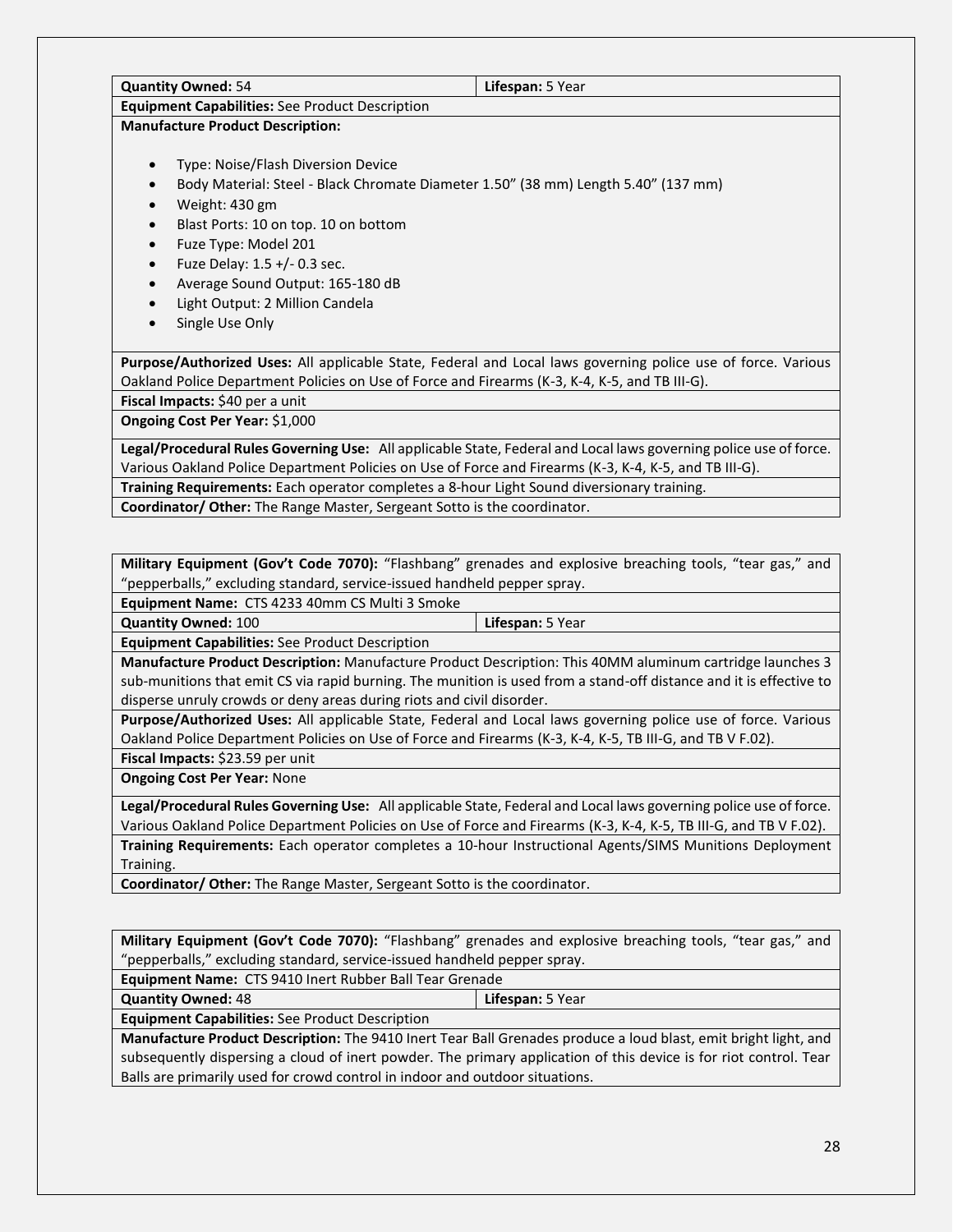| <b>Quantity Owned: 54</b>                                                       | Lifespan: 5 Year                                                                                                  |
|---------------------------------------------------------------------------------|-------------------------------------------------------------------------------------------------------------------|
| <b>Equipment Capabilities:</b> See Product Description                          |                                                                                                                   |
| <b>Manufacture Product Description:</b>                                         |                                                                                                                   |
| Type: Noise/Flash Diversion Device                                              |                                                                                                                   |
|                                                                                 | Body Material: Steel - Black Chromate Diameter 1.50" (38 mm) Length 5.40" (137 mm)                                |
| Weight: 430 gm                                                                  |                                                                                                                   |
| Blast Ports: 10 on top. 10 on bottom                                            |                                                                                                                   |
| Fuze Type: Model 201                                                            |                                                                                                                   |
| Fuze Delay: 1.5 +/- 0.3 sec.<br>$\bullet$                                       |                                                                                                                   |
| Average Sound Output: 165-180 dB                                                |                                                                                                                   |
| Light Output: 2 Million Candela                                                 |                                                                                                                   |
| Single Use Only                                                                 |                                                                                                                   |
|                                                                                 | Purpose/Authorized Uses: All applicable State, Federal and Local laws governing police use of force. Various      |
|                                                                                 | Oakland Police Department Policies on Use of Force and Firearms (K-3, K-4, K-5, and TB III-G).                    |
| Fiscal Impacts: \$40 per a unit                                                 |                                                                                                                   |
| Ongoing Cost Per Year: \$1,000                                                  |                                                                                                                   |
|                                                                                 | Legal/Procedural Rules Governing Use: All applicable State, Federal and Local laws governing police use of force. |
|                                                                                 | Various Oakland Police Department Policies on Use of Force and Firearms (K-3, K-4, K-5, and TB III-G).            |
|                                                                                 | Training Requirements: Each operator completes a 8-hour Light Sound diversionary training.                        |
| <b>Coordinator/ Other:</b> The Range Master, Sergeant Sotto is the coordinator. |                                                                                                                   |

**Military Equipment (Gov't Code 7070):** "Flashbang" grenades and explosive breaching tools, "tear gas," and "pepperballs," excluding standard, service-issued handheld pepper spray.

**Equipment Name:** CTS 4233 40mm CS Multi 3 Smoke

**Quantity Owned:** 100 **Lifespan:** 5 Year

**Equipment Capabilities:** See Product Description

**Manufacture Product Description:** Manufacture Product Description: This 40MM aluminum cartridge launches 3 sub-munitions that emit CS via rapid burning. The munition is used from a stand-off distance and it is effective to disperse unruly crowds or deny areas during riots and civil disorder.

**Purpose/Authorized Uses:** All applicable State, Federal and Local laws governing police use of force. Various Oakland Police Department Policies on Use of Force and Firearms (K-3, K-4, K-5, TB III-G, and TB V F.02). **Fiscal Impacts:** \$23.59 per unit

**Ongoing Cost Per Year:** None

**Legal/Procedural Rules Governing Use:** All applicable State, Federal and Local laws governing police use of force. Various Oakland Police Department Policies on Use of Force and Firearms (K-3, K-4, K-5, TB III-G, and TB V F.02). **Training Requirements:** Each operator completes a 10-hour Instructional Agents/SIMS Munitions Deployment Training.

**Coordinator/ Other:** The Range Master, Sergeant Sotto is the coordinator.

**Military Equipment (Gov't Code 7070):** "Flashbang" grenades and explosive breaching tools, "tear gas," and "pepperballs," excluding standard, service-issued handheld pepper spray.

**Equipment Name:** CTS 9410 Inert Rubber Ball Tear Grenade

**Quantity Owned:** 48 **Lifespan:** 5 Year

**Equipment Capabilities:** See Product Description

**Manufacture Product Description:** The 9410 Inert Tear Ball Grenades produce a loud blast, emit bright light, and subsequently dispersing a cloud of inert powder. The primary application of this device is for riot control. Tear Balls are primarily used for crowd control in indoor and outdoor situations.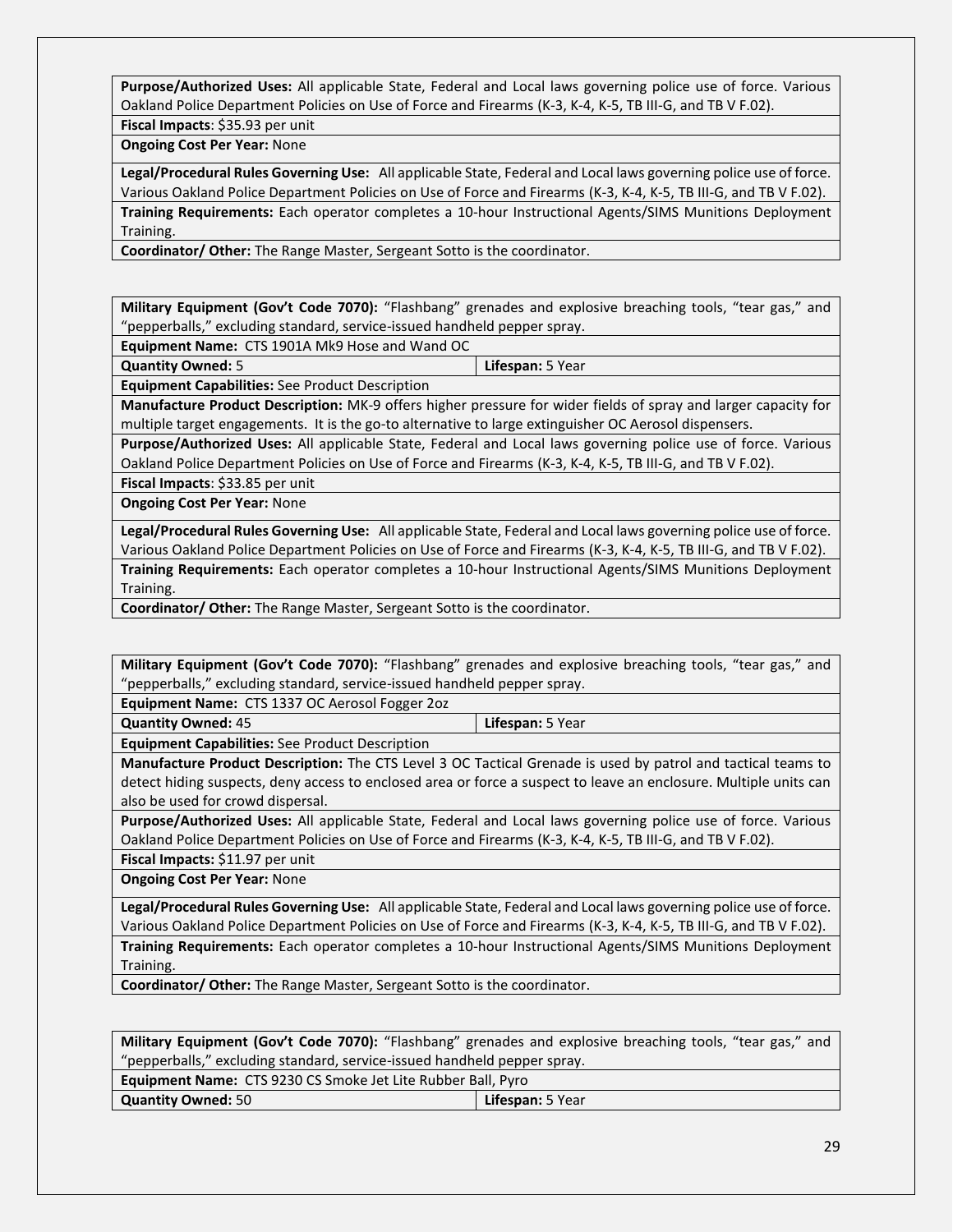**Purpose/Authorized Uses:** All applicable State, Federal and Local laws governing police use of force. Various Oakland Police Department Policies on Use of Force and Firearms (K-3, K-4, K-5, TB III-G, and TB V F.02).

**Fiscal Impacts**: \$35.93 per unit

**Ongoing Cost Per Year:** None

**Legal/Procedural Rules Governing Use:** All applicable State, Federal and Local laws governing police use of force. Various Oakland Police Department Policies on Use of Force and Firearms (K-3, K-4, K-5, TB III-G, and TB V F.02). **Training Requirements:** Each operator completes a 10-hour Instructional Agents/SIMS Munitions Deployment Training.

**Coordinator/ Other:** The Range Master, Sergeant Sotto is the coordinator.

**Military Equipment (Gov't Code 7070):** "Flashbang" grenades and explosive breaching tools, "tear gas," and "pepperballs," excluding standard, service-issued handheld pepper spray.

**Equipment Name:** CTS 1901A Mk9 Hose and Wand OC

**Quantity Owned:** 5 **Lifespan:** 5 Year

**Equipment Capabilities:** See Product Description

**Manufacture Product Description:** MK-9 offers higher pressure for wider fields of spray and larger capacity for multiple target engagements. It is the go-to alternative to large extinguisher OC Aerosol dispensers.

**Purpose/Authorized Uses:** All applicable State, Federal and Local laws governing police use of force. Various Oakland Police Department Policies on Use of Force and Firearms (K-3, K-4, K-5, TB III-G, and TB V F.02).

**Fiscal Impacts**: \$33.85 per unit

**Ongoing Cost Per Year:** None

**Legal/Procedural Rules Governing Use:** All applicable State, Federal and Local laws governing police use of force. Various Oakland Police Department Policies on Use of Force and Firearms (K-3, K-4, K-5, TB III-G, and TB V F.02).

**Training Requirements:** Each operator completes a 10-hour Instructional Agents/SIMS Munitions Deployment Training.

**Coordinator/ Other:** The Range Master, Sergeant Sotto is the coordinator.

**Military Equipment (Gov't Code 7070):** "Flashbang" grenades and explosive breaching tools, "tear gas," and "pepperballs," excluding standard, service-issued handheld pepper spray.

**Equipment Name:** CTS 1337 OC Aerosol Fogger 2oz

**Quantity Owned:** 45 **Lifespan:** 5 Year

**Equipment Capabilities:** See Product Description

**Manufacture Product Description:** The CTS Level 3 OC Tactical Grenade is used by patrol and tactical teams to detect hiding suspects, deny access to enclosed area or force a suspect to leave an enclosure. Multiple units can also be used for crowd dispersal.

**Purpose/Authorized Uses:** All applicable State, Federal and Local laws governing police use of force. Various Oakland Police Department Policies on Use of Force and Firearms (K-3, K-4, K-5, TB III-G, and TB V F.02).

**Fiscal Impacts:** \$11.97 per unit

**Ongoing Cost Per Year:** None

**Legal/Procedural Rules Governing Use:** All applicable State, Federal and Local laws governing police use of force. Various Oakland Police Department Policies on Use of Force and Firearms (K-3, K-4, K-5, TB III-G, and TB V F.02). **Training Requirements:** Each operator completes a 10-hour Instructional Agents/SIMS Munitions Deployment Training.

**Coordinator/ Other:** The Range Master, Sergeant Sotto is the coordinator.

**Military Equipment (Gov't Code 7070):** "Flashbang" grenades and explosive breaching tools, "tear gas," and "pepperballs," excluding standard, service-issued handheld pepper spray.

| <b>Equipment Name:</b> CTS 9230 CS Smoke Jet Lite Rubber Ball, Pyro |                  |
|---------------------------------------------------------------------|------------------|
| <b>Quantity Owned: 50</b>                                           | Lifespan: 5 Year |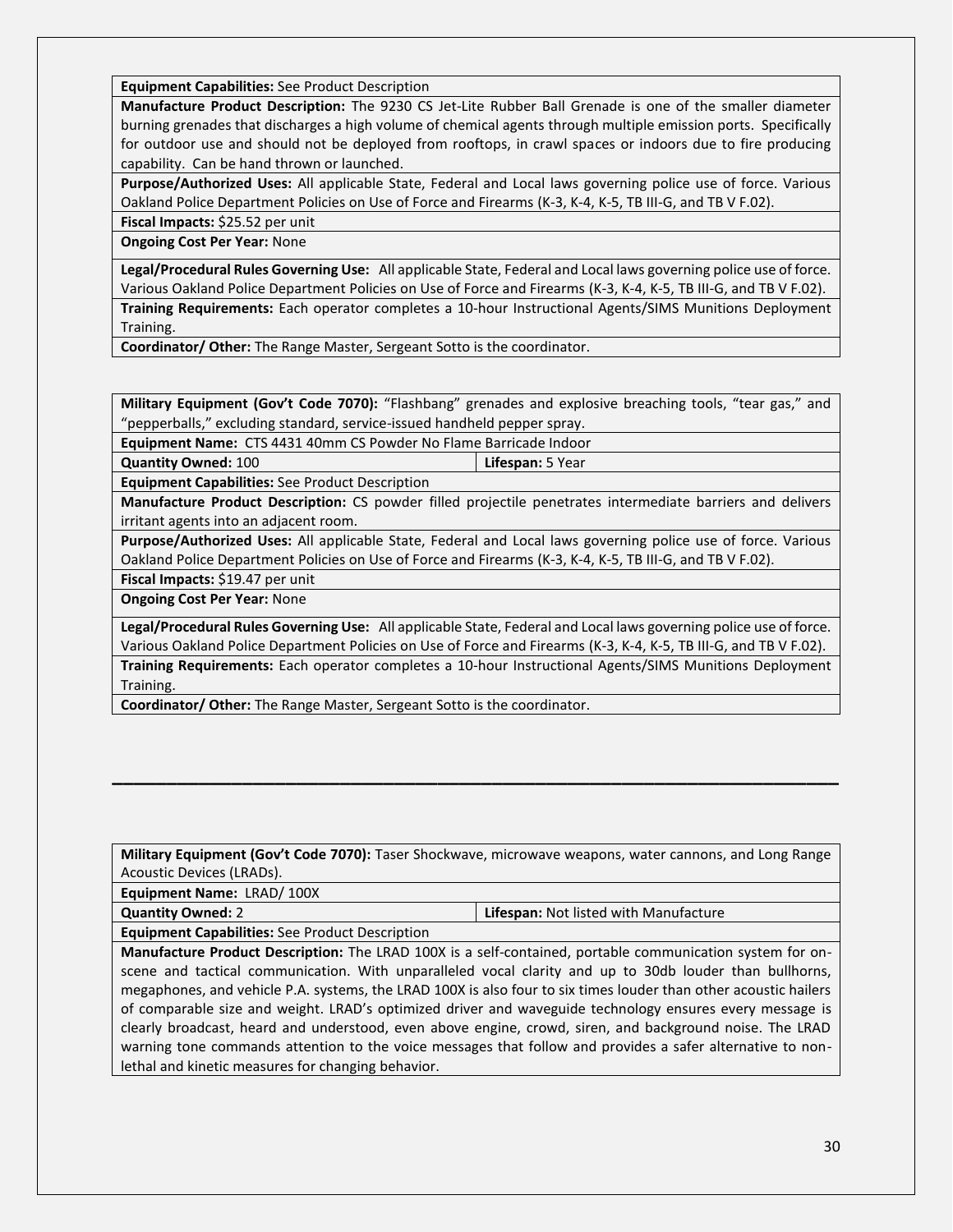**Equipment Capabilities:** See Product Description

**Manufacture Product Description:** The 9230 CS Jet-Lite Rubber Ball Grenade is one of the smaller diameter burning grenades that discharges a high volume of chemical agents through multiple emission ports. Specifically for outdoor use and should not be deployed from rooftops, in crawl spaces or indoors due to fire producing capability. Can be hand thrown or launched.

**Purpose/Authorized Uses:** All applicable State, Federal and Local laws governing police use of force. Various Oakland Police Department Policies on Use of Force and Firearms (K-3, K-4, K-5, TB III-G, and TB V F.02).

**Fiscal Impacts:** \$25.52 per unit **Ongoing Cost Per Year:** None

**Legal/Procedural Rules Governing Use:** All applicable State, Federal and Local laws governing police use of force. Various Oakland Police Department Policies on Use of Force and Firearms (K-3, K-4, K-5, TB III-G, and TB V F.02).

**Training Requirements:** Each operator completes a 10-hour Instructional Agents/SIMS Munitions Deployment Training.

**Coordinator/ Other:** The Range Master, Sergeant Sotto is the coordinator.

**Military Equipment (Gov't Code 7070):** "Flashbang" grenades and explosive breaching tools, "tear gas," and "pepperballs," excluding standard, service-issued handheld pepper spray.

**Equipment Name:** CTS 4431 40mm CS Powder No Flame Barricade Indoor

**Quantity Owned:** 100 **Lifespan:** 5 Year

**Equipment Capabilities:** See Product Description

**Manufacture Product Description:** CS powder filled projectile penetrates intermediate barriers and delivers irritant agents into an adjacent room.

**Purpose/Authorized Uses:** All applicable State, Federal and Local laws governing police use of force. Various Oakland Police Department Policies on Use of Force and Firearms (K-3, K-4, K-5, TB III-G, and TB V F.02).

**Fiscal Impacts:** \$19.47 per unit

**Ongoing Cost Per Year:** None

**Legal/Procedural Rules Governing Use:** All applicable State, Federal and Local laws governing police use of force. Various Oakland Police Department Policies on Use of Force and Firearms (K-3, K-4, K-5, TB III-G, and TB V F.02). **Training Requirements:** Each operator completes a 10-hour Instructional Agents/SIMS Munitions Deployment Training.

**Coordinator/ Other:** The Range Master, Sergeant Sotto is the coordinator.

**Military Equipment (Gov't Code 7070):** Taser Shockwave, microwave weapons, water cannons, and Long Range Acoustic Devices (LRADs).

**\_\_\_\_\_\_\_\_\_\_\_\_\_\_\_\_\_\_\_\_\_\_\_\_\_\_\_\_\_\_\_\_\_\_\_\_\_\_\_\_\_\_\_\_\_\_\_\_\_\_\_\_\_\_\_\_\_\_\_\_\_\_\_\_\_\_\_**

**Equipment Name:** LRAD/ 100X

**Quantity Owned:** 2 **Lifespan:** Not listed with Manufacture

**Equipment Capabilities:** See Product Description

**Manufacture Product Description:** The LRAD 100X is a self-contained, portable communication system for onscene and tactical communication. With unparalleled vocal clarity and up to 30db louder than bullhorns, megaphones, and vehicle P.A. systems, the LRAD 100X is also four to six times louder than other acoustic hailers of comparable size and weight. LRAD's optimized driver and waveguide technology ensures every message is clearly broadcast, heard and understood, even above engine, crowd, siren, and background noise. The LRAD warning tone commands attention to the voice messages that follow and provides a safer alternative to nonlethal and kinetic measures for changing behavior.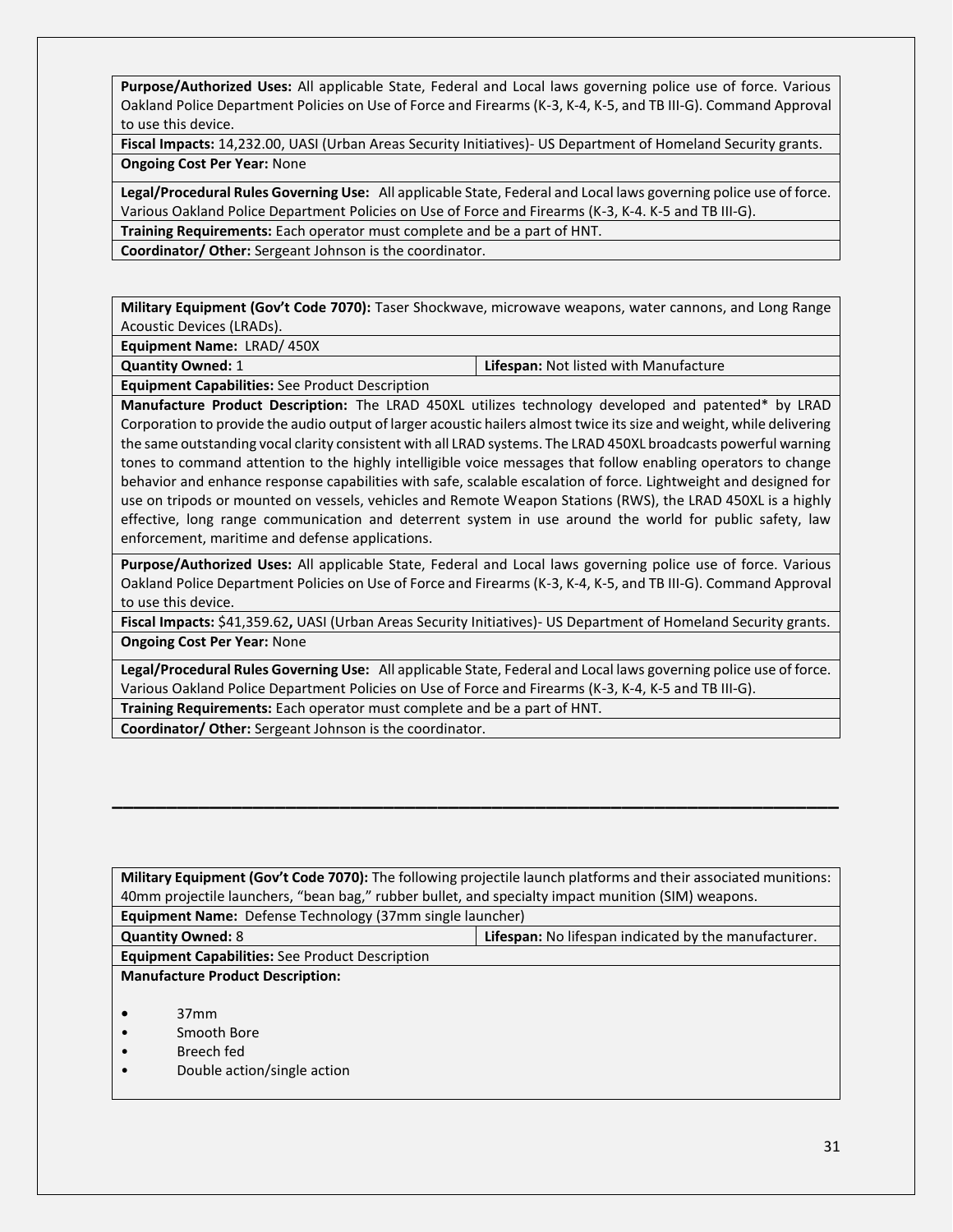**Purpose/Authorized Uses:** All applicable State, Federal and Local laws governing police use of force. Various Oakland Police Department Policies on Use of Force and Firearms (K-3, K-4, K-5, and TB III-G). Command Approval to use this device.

**Fiscal Impacts:** 14,232.00, UASI (Urban Areas Security Initiatives)- US Department of Homeland Security grants. **Ongoing Cost Per Year:** None

**Legal/Procedural Rules Governing Use:** All applicable State, Federal and Local laws governing police use of force. Various Oakland Police Department Policies on Use of Force and Firearms (K-3, K-4. K-5 and TB III-G).

**Training Requirements:** Each operator must complete and be a part of HNT.

**Coordinator/ Other:** Sergeant Johnson is the coordinator.

**Military Equipment (Gov't Code 7070):** Taser Shockwave, microwave weapons, water cannons, and Long Range Acoustic Devices (LRADs).

**Equipment Name:** LRAD/ 450X

**Quantity Owned:** 1 **Lifespan:** Not listed with Manufacture

**Equipment Capabilities:** See Product Description

**Manufacture Product Description:** The LRAD 450XL utilizes technology developed and patented\* by LRAD Corporation to provide the audio output of larger acoustic hailers almost twice its size and weight, while delivering the same outstanding vocal clarity consistent with all LRAD systems. The LRAD 450XL broadcasts powerful warning tones to command attention to the highly intelligible voice messages that follow enabling operators to change behavior and enhance response capabilities with safe, scalable escalation of force. Lightweight and designed for use on tripods or mounted on vessels, vehicles and Remote Weapon Stations (RWS), the LRAD 450XL is a highly effective, long range communication and deterrent system in use around the world for public safety, law enforcement, maritime and defense applications.

**Purpose/Authorized Uses:** All applicable State, Federal and Local laws governing police use of force. Various Oakland Police Department Policies on Use of Force and Firearms (K-3, K-4, K-5, and TB III-G). Command Approval to use this device.

**Fiscal Impacts:** \$41,359.62**,** UASI (Urban Areas Security Initiatives)- US Department of Homeland Security grants. **Ongoing Cost Per Year:** None

**Legal/Procedural Rules Governing Use:** All applicable State, Federal and Local laws governing police use of force. Various Oakland Police Department Policies on Use of Force and Firearms (K-3, K-4, K-5 and TB III-G). **Training Requirements:** Each operator must complete and be a part of HNT.

**\_\_\_\_\_\_\_\_\_\_\_\_\_\_\_\_\_\_\_\_\_\_\_\_\_\_\_\_\_\_\_\_\_\_\_\_\_\_\_\_\_\_\_\_\_\_\_\_\_\_\_\_\_\_\_\_\_\_\_\_\_\_\_\_\_\_\_**

**Coordinator/ Other:** Sergeant Johnson is the coordinator.

| Military Equipment (Gov't Code 7070): The following projectile launch platforms and their associated munitions: |  |  |
|-----------------------------------------------------------------------------------------------------------------|--|--|
| 40mm projectile launchers, "bean bag," rubber bullet, and specialty impact munition (SIM) weapons.              |  |  |
| <b>Equipment Name:</b> Defense Technology (37mm single launcher)                                                |  |  |
| <b>Lifespan:</b> No lifespan indicated by the manufacturer.<br><b>Quantity Owned: 8</b>                         |  |  |
| <b>Equipment Capabilities:</b> See Product Description                                                          |  |  |
| <b>Manufacture Product Description:</b>                                                                         |  |  |
|                                                                                                                 |  |  |
| 37 <sub>mm</sub>                                                                                                |  |  |
| Smooth Bore                                                                                                     |  |  |
| Breech fed                                                                                                      |  |  |
| Double action/single action                                                                                     |  |  |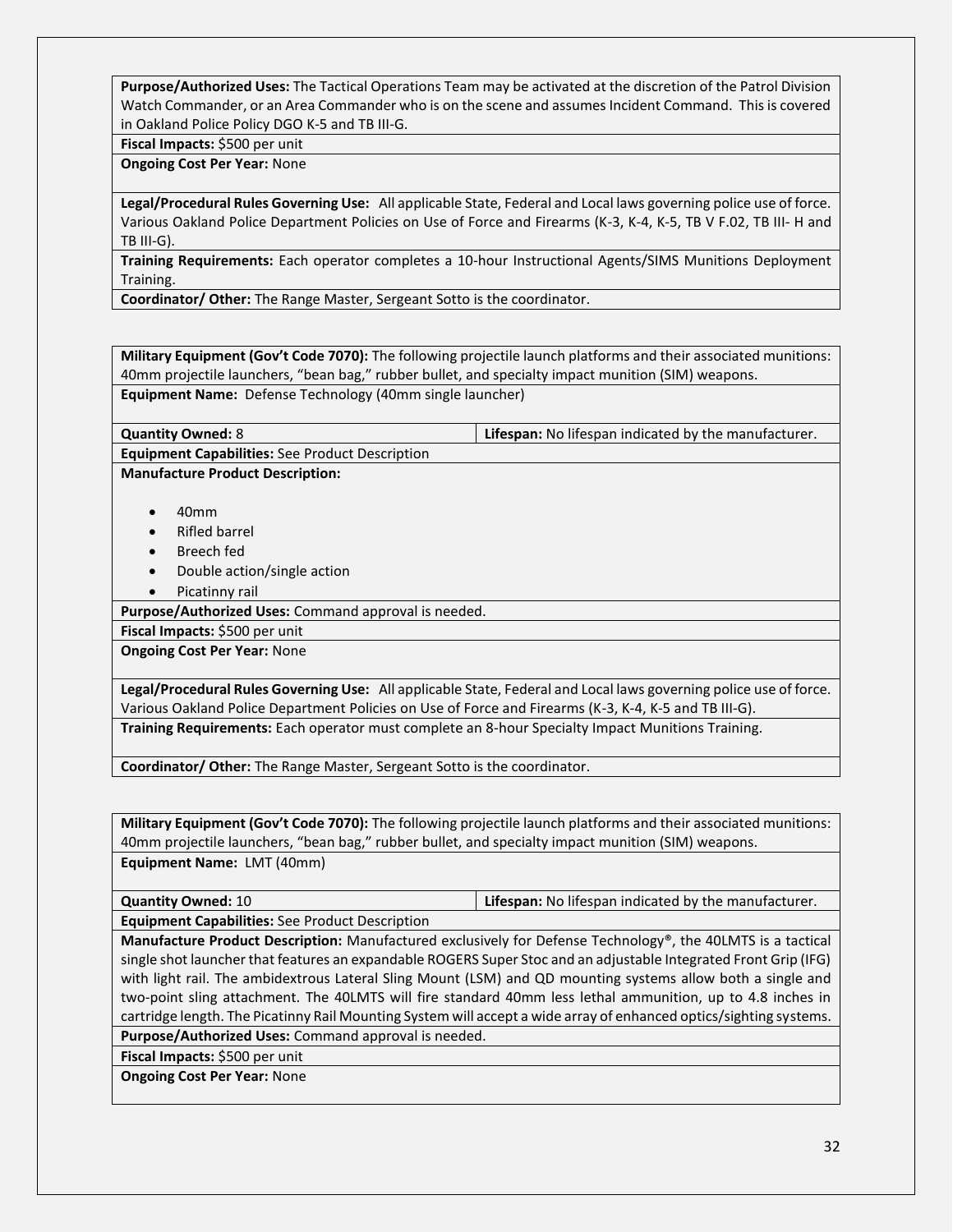**Purpose/Authorized Uses:** The Tactical Operations Team may be activated at the discretion of the Patrol Division Watch Commander, or an Area Commander who is on the scene and assumes Incident Command. This is covered in Oakland Police Policy DGO K-5 and TB III-G.

#### **Fiscal Impacts:** \$500 per unit

#### **Ongoing Cost Per Year:** None

**Legal/Procedural Rules Governing Use:** All applicable State, Federal and Local laws governing police use of force. Various Oakland Police Department Policies on Use of Force and Firearms (K-3, K-4, K-5, TB V F.02, TB III- H and TB III-G).

**Training Requirements:** Each operator completes a 10-hour Instructional Agents/SIMS Munitions Deployment Training.

**Coordinator/ Other:** The Range Master, Sergeant Sotto is the coordinator.

**Military Equipment (Gov't Code 7070):** The following projectile launch platforms and their associated munitions: 40mm projectile launchers, "bean bag," rubber bullet, and specialty impact munition (SIM) weapons. **Equipment Name:** Defense Technology (40mm single launcher)

**Quantity Owned:** 8 **Lifespan:** No lifespan indicated by the manufacturer.

**Manufacture Product Description:**

**Equipment Capabilities:** See Product Description

- 40mm
- Rifled barrel
- Breech fed
- Double action/single action
- Picatinny rail

**Purpose/Authorized Uses:** Command approval is needed.

**Fiscal Impacts:** \$500 per unit

**Ongoing Cost Per Year:** None

**Legal/Procedural Rules Governing Use:** All applicable State, Federal and Local laws governing police use of force. Various Oakland Police Department Policies on Use of Force and Firearms (K-3, K-4, K-5 and TB III-G). **Training Requirements:** Each operator must complete an 8-hour Specialty Impact Munitions Training.

**Coordinator/ Other:** The Range Master, Sergeant Sotto is the coordinator.

**Military Equipment (Gov't Code 7070):** The following projectile launch platforms and their associated munitions: 40mm projectile launchers, "bean bag," rubber bullet, and specialty impact munition (SIM) weapons. **Equipment Name:** LMT (40mm)

| <b>Quantity Owned: 10</b>                              | <b>Lifespan:</b> No lifespan indicated by the manufacturer. |
|--------------------------------------------------------|-------------------------------------------------------------|
| <b>Equipment Capabilities:</b> See Product Description |                                                             |

**Manufacture Product Description:** Manufactured exclusively for Defense Technology®, the 40LMTS is a tactical single shot launcher that features an expandable ROGERS Super Stoc and an adjustable Integrated Front Grip (IFG) with light rail. The ambidextrous Lateral Sling Mount (LSM) and QD mounting systems allow both a single and two-point sling attachment. The 40LMTS will fire standard 40mm less lethal ammunition, up to 4.8 inches in cartridge length. The Picatinny Rail Mounting System will accept a wide array of enhanced optics/sighting systems.

**Purpose/Authorized Uses:** Command approval is needed.

**Fiscal Impacts:** \$500 per unit

**Ongoing Cost Per Year:** None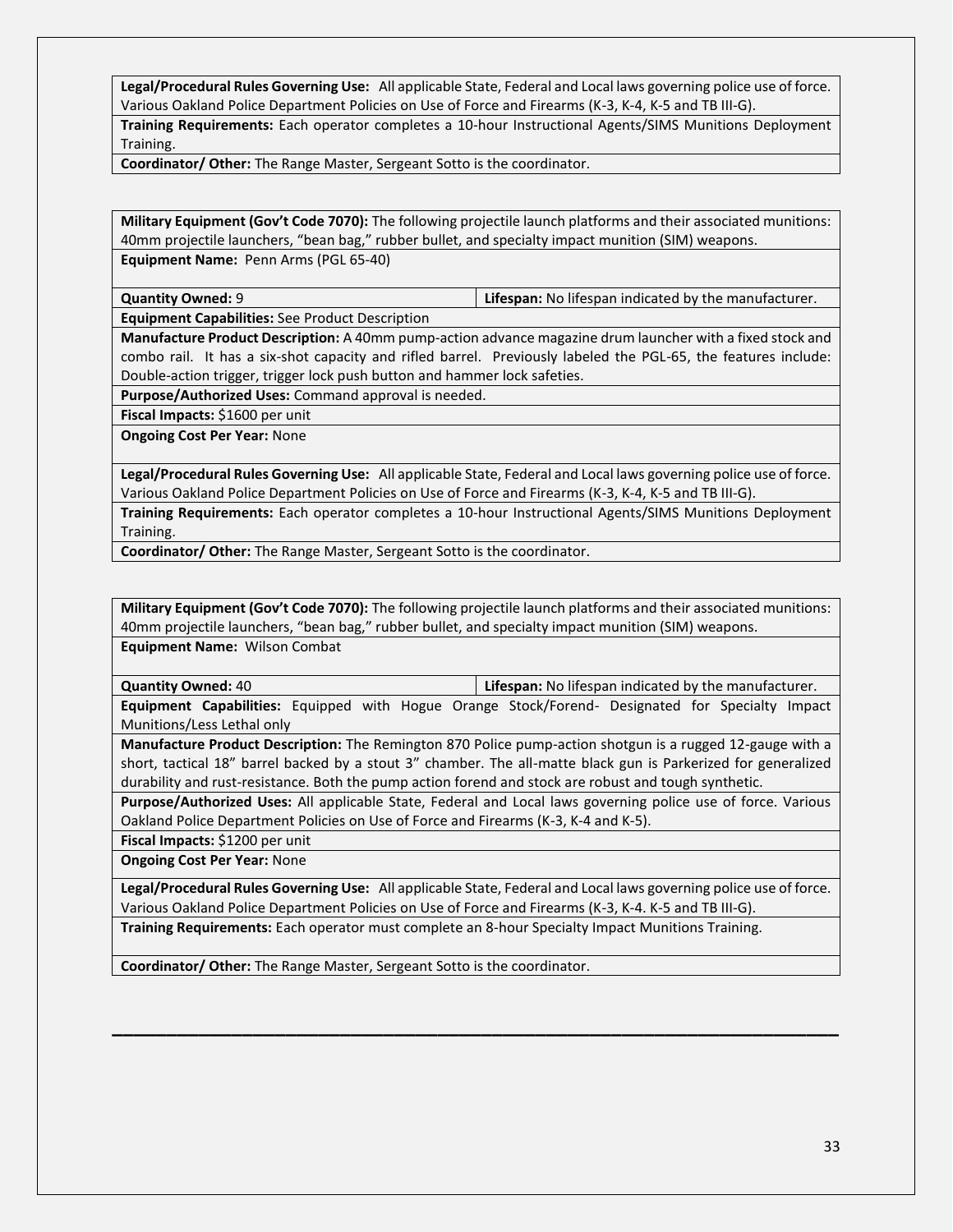**Legal/Procedural Rules Governing Use:** All applicable State, Federal and Local laws governing police use of force. Various Oakland Police Department Policies on Use of Force and Firearms (K-3, K-4, K-5 and TB III-G).

**Training Requirements:** Each operator completes a 10-hour Instructional Agents/SIMS Munitions Deployment Training.

**Coordinator/ Other:** The Range Master, Sergeant Sotto is the coordinator.

**Military Equipment (Gov't Code 7070):** The following projectile launch platforms and their associated munitions: 40mm projectile launchers, "bean bag," rubber bullet, and specialty impact munition (SIM) weapons. **Equipment Name:** Penn Arms (PGL 65-40)

**Quantity Owned:** 9 **Lifespan:** No lifespan indicated by the manufacturer.

**Equipment Capabilities:** See Product Description

**Manufacture Product Description:** A 40mm pump-action advance magazine drum launcher with a fixed stock and combo rail. It has a six-shot capacity and rifled barrel. Previously labeled the PGL-65, the features include: Double-action trigger, trigger lock push button and hammer lock safeties.

**Purpose/Authorized Uses:** Command approval is needed.

**Fiscal Impacts:** \$1600 per unit

**Ongoing Cost Per Year:** None

**Legal/Procedural Rules Governing Use:** All applicable State, Federal and Local laws governing police use of force. Various Oakland Police Department Policies on Use of Force and Firearms (K-3, K-4, K-5 and TB III-G).

**Training Requirements:** Each operator completes a 10-hour Instructional Agents/SIMS Munitions Deployment Training.

**Coordinator/ Other:** The Range Master, Sergeant Sotto is the coordinator.

**Military Equipment (Gov't Code 7070):** The following projectile launch platforms and their associated munitions: 40mm projectile launchers, "bean bag," rubber bullet, and specialty impact munition (SIM) weapons.

**Equipment Name:** Wilson Combat

**Quantity Owned:** 40 **Lifespan:** No lifespan indicated by the manufacturer.

**Equipment Capabilities:** Equipped with Hogue Orange Stock/Forend- Designated for Specialty Impact Munitions/Less Lethal only

**Manufacture Product Description:** The Remington 870 Police pump-action shotgun is a rugged 12-gauge with a short, tactical 18" barrel backed by a stout 3" chamber. The all-matte black gun is Parkerized for generalized durability and rust-resistance. Both the pump action forend and stock are robust and tough synthetic.

**Purpose/Authorized Uses:** All applicable State, Federal and Local laws governing police use of force. Various Oakland Police Department Policies on Use of Force and Firearms (K-3, K-4 and K-5).

**Fiscal Impacts:** \$1200 per unit

**Ongoing Cost Per Year:** None

**Legal/Procedural Rules Governing Use:** All applicable State, Federal and Local laws governing police use of force. Various Oakland Police Department Policies on Use of Force and Firearms (K-3, K-4. K-5 and TB III-G).

**\_\_\_\_\_\_\_\_\_\_\_\_\_\_\_\_\_\_\_\_\_\_\_\_\_\_\_\_\_\_\_\_\_\_\_\_\_\_\_\_\_\_\_\_\_\_\_\_\_\_\_\_\_\_\_\_\_\_\_\_\_\_\_\_\_\_\_**

**Training Requirements:** Each operator must complete an 8-hour Specialty Impact Munitions Training.

**Coordinator/ Other:** The Range Master, Sergeant Sotto is the coordinator.